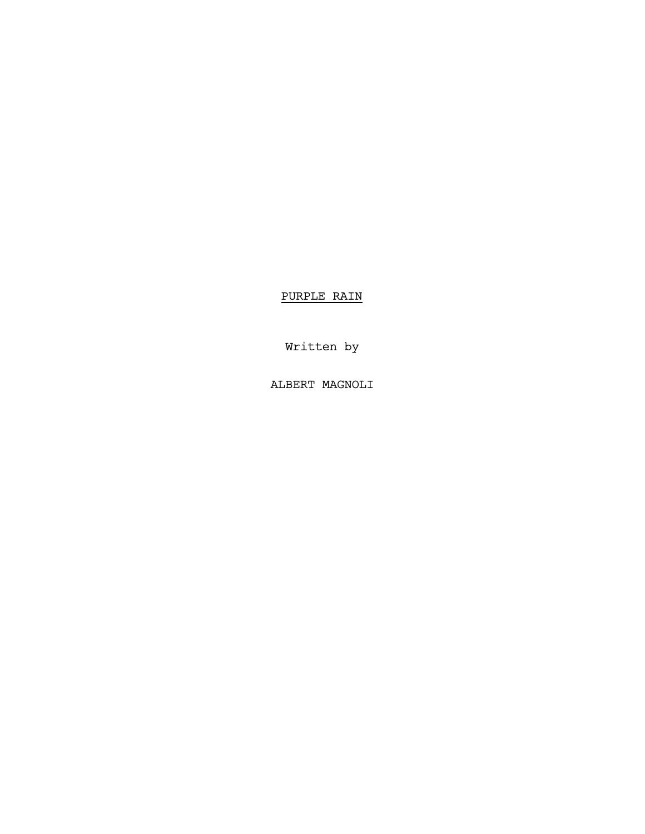PURPLE RAIN

Written by

ALBERT MAGNOLI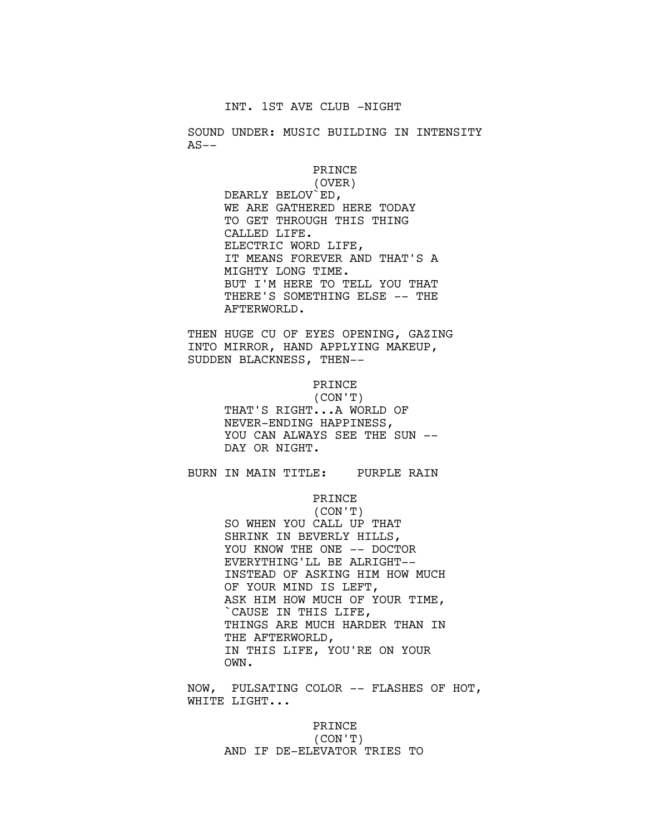SOUND UNDER: MUSIC BUILDING IN INTENSITY  $AS--$ 

PRINCE

 (OVER) DEARLY BELOV`ED, WE ARE GATHERED HERE TODAY TO GET THROUGH THIS THING CALLED LIFE. ELECTRIC WORD LIFE, IT MEANS FOREVER AND THAT'S A MIGHTY LONG TIME. BUT I'M HERE TO TELL YOU THAT THERE'S SOMETHING ELSE -- THE AFTERWORLD.

 THEN HUGE CU OF EYES OPENING, GAZING INTO MIRROR, HAND APPLYING MAKEUP, SUDDEN BLACKNESS, THEN--

PRINCE

 (CON'T) THAT'S RIGHT...A WORLD OF NEVER-ENDING HAPPINESS, YOU CAN ALWAYS SEE THE SUN --DAY OR NIGHT.

BURN IN MAIN TITLE: PURPLE RAIN

 PRINCE (CON'T) SO WHEN YOU CALL UP THAT SHRINK IN BEVERLY HILLS, YOU KNOW THE ONE -- DOCTOR EVERYTHING'LL BE ALRIGHT-- INSTEAD OF ASKING HIM HOW MUCH OF YOUR MIND IS LEFT, ASK HIM HOW MUCH OF YOUR TIME, `CAUSE IN THIS LIFE, THINGS ARE MUCH HARDER THAN IN THE AFTERWORLD, IN THIS LIFE, YOU'RE ON YOUR OWN.

 NOW, PULSATING COLOR -- FLASHES OF HOT, WHITE LIGHT...

> PRINCE (CON'T) AND IF DE-ELEVATOR TRIES TO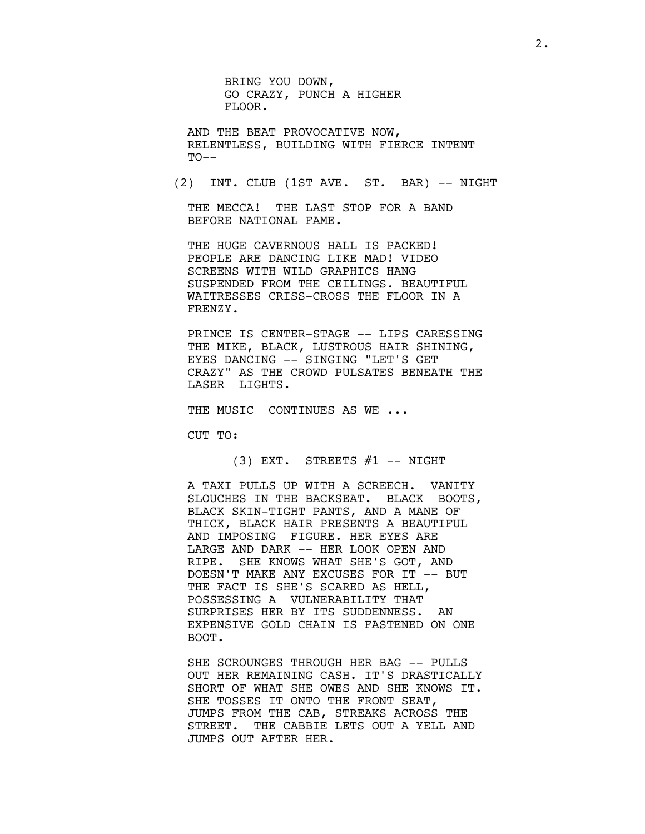BRING YOU DOWN, GO CRAZY, PUNCH A HIGHER FLOOR.

 AND THE BEAT PROVOCATIVE NOW, RELENTLESS, BUILDING WITH FIERCE INTENT TO--

(2) INT. CLUB (1ST AVE. ST. BAR) -- NIGHT

 THE MECCA! THE LAST STOP FOR A BAND BEFORE NATIONAL FAME.

 THE HUGE CAVERNOUS HALL IS PACKED! PEOPLE ARE DANCING LIKE MAD! VIDEO SCREENS WITH WILD GRAPHICS HANG SUSPENDED FROM THE CEILINGS. BEAUTIFUL WAITRESSES CRISS-CROSS THE FLOOR IN A FRENZY.

 PRINCE IS CENTER-STAGE -- LIPS CARESSING THE MIKE, BLACK, LUSTROUS HAIR SHINING, EYES DANCING -- SINGING "LET'S GET CRAZY" AS THE CROWD PULSATES BENEATH THE LASER LIGHTS.

THE MUSIC CONTINUES AS WE ...

CUT TO:

(3) EXT. STREETS  $#1$  -- NIGHT

 A TAXI PULLS UP WITH A SCREECH. VANITY SLOUCHES IN THE BACKSEAT. BLACK BOOTS, BLACK SKIN-TIGHT PANTS, AND A MANE OF THICK, BLACK HAIR PRESENTS A BEAUTIFUL AND IMPOSING FIGURE. HER EYES ARE LARGE AND DARK -- HER LOOK OPEN AND RIPE. SHE KNOWS WHAT SHE'S GOT, AND DOESN'T MAKE ANY EXCUSES FOR IT -- BUT THE FACT IS SHE'S SCARED AS HELL, POSSESSING A VULNERABILITY THAT SURPRISES HER BY ITS SUDDENNESS. AN EXPENSIVE GOLD CHAIN IS FASTENED ON ONE BOOT.

SHE SCROUNGES THROUGH HER BAG -- PULLS OUT HER REMAINING CASH. IT'S DRASTICALLY SHORT OF WHAT SHE OWES AND SHE KNOWS IT. SHE TOSSES IT ONTO THE FRONT SEAT, JUMPS FROM THE CAB, STREAKS ACROSS THE STREET. THE CABBIE LETS OUT A YELL AND JUMPS OUT AFTER HER.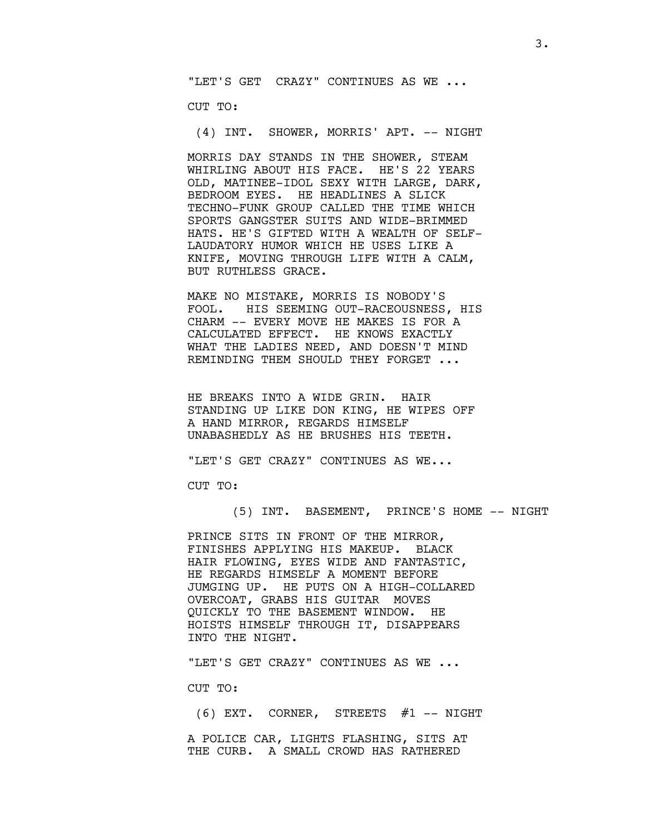"LET'S GET CRAZY" CONTINUES AS WE ...

CUT TO:

(4) INT. SHOWER, MORRIS' APT. -- NIGHT

 MORRIS DAY STANDS IN THE SHOWER, STEAM WHIRLING ABOUT HIS FACE. HE'S 22 YEARS OLD, MATINEE-IDOL SEXY WITH LARGE, DARK, BEDROOM EYES. HE HEADLINES A SLICK TECHNO-FUNK GROUP CALLED THE TIME WHICH SPORTS GANGSTER SUITS AND WIDE-BRIMMED HATS. HE'S GIFTED WITH A WEALTH OF SELF- LAUDATORY HUMOR WHICH HE USES LIKE A KNIFE, MOVING THROUGH LIFE WITH A CALM, BUT RUTHLESS GRACE.

 MAKE NO MISTAKE, MORRIS IS NOBODY'S FOOL. HIS SEEMING OUT-RACEOUSNESS, HIS CHARM -- EVERY MOVE HE MAKES IS FOR A CALCULATED EFFECT. HE KNOWS EXACTLY WHAT THE LADIES NEED, AND DOESN'T MIND REMINDING THEM SHOULD THEY FORGET ...

 HE BREAKS INTO A WIDE GRIN. HAIR STANDING UP LIKE DON KING, HE WIPES OFF A HAND MIRROR, REGARDS HIMSELF UNABASHEDLY AS HE BRUSHES HIS TEETH.

"LET'S GET CRAZY" CONTINUES AS WE...

CUT TO:

(5) INT. BASEMENT, PRINCE'S HOME -- NIGHT

 PRINCE SITS IN FRONT OF THE MIRROR, FINISHES APPLYING HIS MAKEUP. BLACK HAIR FLOWING, EYES WIDE AND FANTASTIC, HE REGARDS HIMSELF A MOMENT BEFORE JUMGING UP. HE PUTS ON A HIGH-COLLARED OVERCOAT, GRABS HIS GUITAR MOVES QUICKLY TO THE BASEMENT WINDOW. HE HOISTS HIMSELF THROUGH IT, DISAPPEARS INTO THE NIGHT.

"LET'S GET CRAZY" CONTINUES AS WE ...

CUT TO:

(6) EXT. CORNER, STREETS  $#1$  -- NIGHT

 A POLICE CAR, LIGHTS FLASHING, SITS AT THE CURB. A SMALL CROWD HAS RATHERED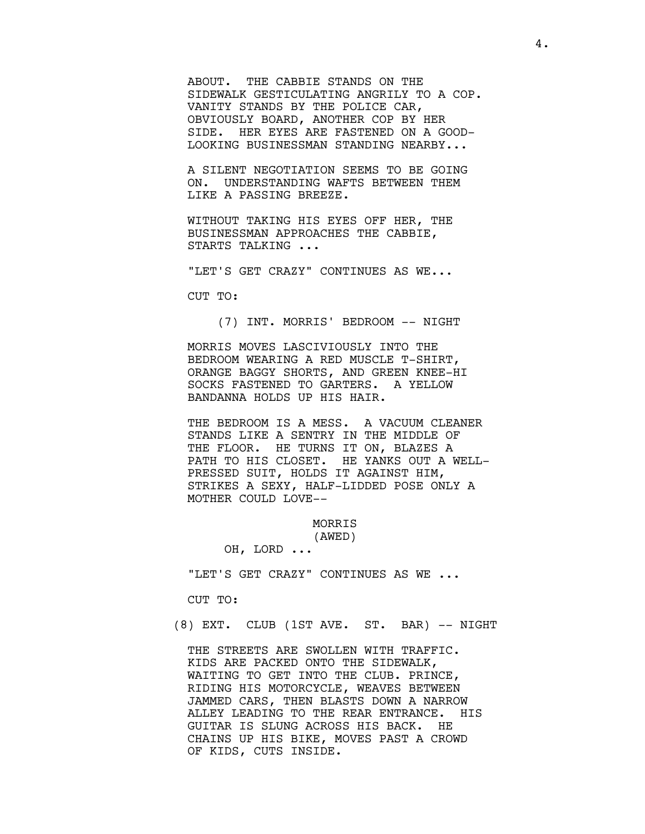ABOUT. THE CABBIE STANDS ON THE SIDEWALK GESTICULATING ANGRILY TO A COP. VANITY STANDS BY THE POLICE CAR, OBVIOUSLY BOARD, ANOTHER COP BY HER SIDE. HER EYES ARE FASTENED ON A GOOD- LOOKING BUSINESSMAN STANDING NEARBY...

 A SILENT NEGOTIATION SEEMS TO BE GOING ON. UNDERSTANDING WAFTS BETWEEN THEM LIKE A PASSING BREEZE.

 WITHOUT TAKING HIS EYES OFF HER, THE BUSINESSMAN APPROACHES THE CABBIE, STARTS TALKING ...

"LET'S GET CRAZY" CONTINUES AS WE...

CUT TO:

(7) INT. MORRIS' BEDROOM -- NIGHT

 MORRIS MOVES LASCIVIOUSLY INTO THE BEDROOM WEARING A RED MUSCLE T-SHIRT, ORANGE BAGGY SHORTS, AND GREEN KNEE-HI SOCKS FASTENED TO GARTERS. A YELLOW BANDANNA HOLDS UP HIS HAIR.

 THE BEDROOM IS A MESS. A VACUUM CLEANER STANDS LIKE A SENTRY IN THE MIDDLE OF THE FLOOR. HE TURNS IT ON, BLAZES A PATH TO HIS CLOSET. HE YANKS OUT A WELL- PRESSED SUIT, HOLDS IT AGAINST HIM, STRIKES A SEXY, HALF-LIDDED POSE ONLY A MOTHER COULD LOVE--

MORRIS

(AWED)

OH, LORD ...

"LET'S GET CRAZY" CONTINUES AS WE ...

CUT TO:

(8) EXT. CLUB (1ST AVE. ST. BAR) -- NIGHT

 THE STREETS ARE SWOLLEN WITH TRAFFIC. KIDS ARE PACKED ONTO THE SIDEWALK, WAITING TO GET INTO THE CLUB. PRINCE, RIDING HIS MOTORCYCLE, WEAVES BETWEEN JAMMED CARS, THEN BLASTS DOWN A NARROW ALLEY LEADING TO THE REAR ENTRANCE. HIS GUITAR IS SLUNG ACROSS HIS BACK. HE CHAINS UP HIS BIKE, MOVES PAST A CROWD OF KIDS, CUTS INSIDE.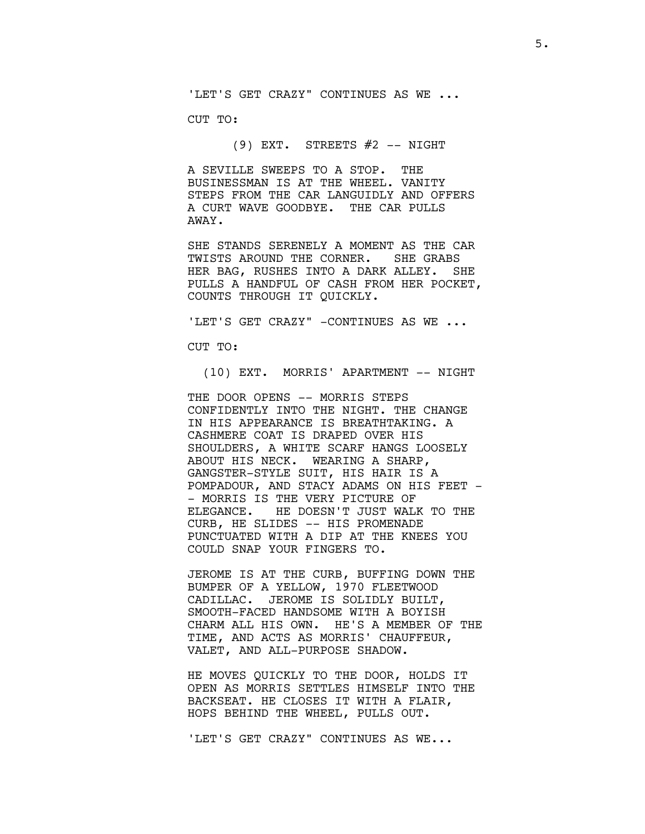'LET'S GET CRAZY" CONTINUES AS WE ...

CUT TO:

(9) EXT. STREETS  $#2$  -- NIGHT

 A SEVILLE SWEEPS TO A STOP. THE BUSINESSMAN IS AT THE WHEEL. VANITY STEPS FROM THE CAR LANGUIDLY AND OFFERS A CURT WAVE GOODBYE. THE CAR PULLS AWAY.

 SHE STANDS SERENELY A MOMENT AS THE CAR TWISTS AROUND THE CORNER. SHE GRABS HER BAG, RUSHES INTO A DARK ALLEY. SHE PULLS A HANDFUL OF CASH FROM HER POCKET, COUNTS THROUGH IT QUICKLY.

'LET'S GET CRAZY" -CONTINUES AS WE ...

CUT TO:

(10) EXT. MORRIS' APARTMENT -- NIGHT

 THE DOOR OPENS -- MORRIS STEPS CONFIDENTLY INTO THE NIGHT. THE CHANGE IN HIS APPEARANCE IS BREATHTAKING. A CASHMERE COAT IS DRAPED OVER HIS SHOULDERS, A WHITE SCARF HANGS LOOSELY ABOUT HIS NECK. WEARING A SHARP, GANGSTER-STYLE SUIT, HIS HAIR IS A POMPADOUR, AND STACY ADAMS ON HIS FEET - - MORRIS IS THE VERY PICTURE OF ELEGANCE. HE DOESN'T JUST WALK TO THE CURB, HE SLIDES -- HIS PROMENADE PUNCTUATED WITH A DIP AT THE KNEES YOU COULD SNAP YOUR FINGERS TO.

 JEROME IS AT THE CURB, BUFFING DOWN THE BUMPER OF A YELLOW, 1970 FLEETWOOD CADILLAC. JEROME IS SOLIDLY BUILT, SMOOTH-FACED HANDSOME WITH A BOYISH CHARM ALL HIS OWN. HE'S A MEMBER OF THE TIME, AND ACTS AS MORRIS' CHAUFFEUR, VALET, AND ALL-PURPOSE SHADOW.

 HE MOVES QUICKLY TO THE DOOR, HOLDS IT OPEN AS MORRIS SETTLES HIMSELF INTO THE BACKSEAT. HE CLOSES IT WITH A FLAIR, HOPS BEHIND THE WHEEL, PULLS OUT.

'LET'S GET CRAZY" CONTINUES AS WE...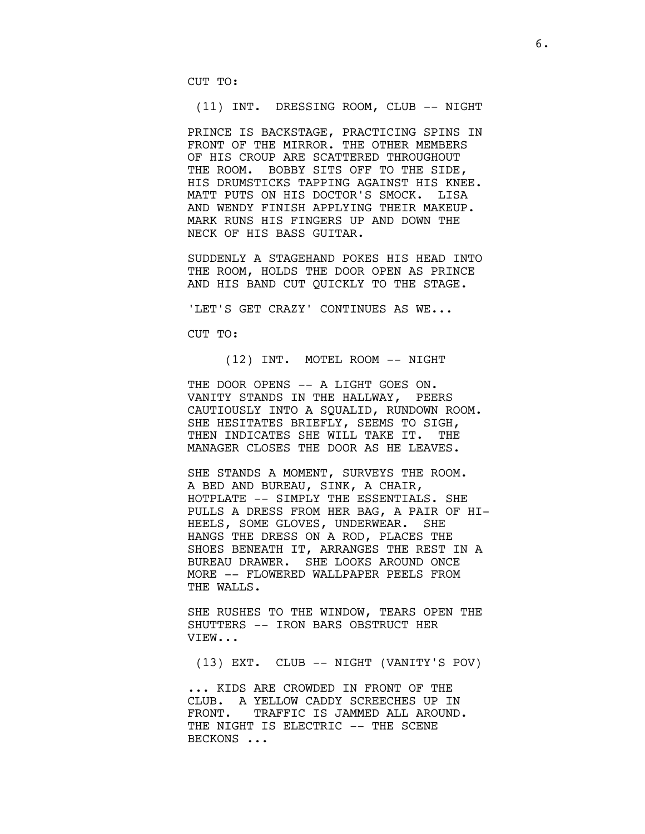CUT TO:

(11) INT. DRESSING ROOM, CLUB -- NIGHT

 PRINCE IS BACKSTAGE, PRACTICING SPINS IN FRONT OF THE MIRROR. THE OTHER MEMBERS OF HIS CROUP ARE SCATTERED THROUGHOUT THE ROOM. BOBBY SITS OFF TO THE SIDE, HIS DRUMSTICKS TAPPING AGAINST HIS KNEE. MATT PUTS ON HIS DOCTOR'S SMOCK. LISA AND WENDY FINISH APPLYING THEIR MAKEUP. MARK RUNS HIS FINGERS UP AND DOWN THE NECK OF HIS BASS GUITAR.

 SUDDENLY A STAGEHAND POKES HIS HEAD INTO THE ROOM, HOLDS THE DOOR OPEN AS PRINCE AND HIS BAND CUT QUICKLY TO THE STAGE.

'LET'S GET CRAZY' CONTINUES AS WE...

CUT TO:

(12) INT. MOTEL ROOM -- NIGHT

THE DOOR OPENS -- A LIGHT GOES ON. VANITY STANDS IN THE HALLWAY, PEERS CAUTIOUSLY INTO A SQUALID, RUNDOWN ROOM. SHE HESITATES BRIEFLY, SEEMS TO SIGH, THEN INDICATES SHE WILL TAKE IT. THE MANAGER CLOSES THE DOOR AS HE LEAVES.

 SHE STANDS A MOMENT, SURVEYS THE ROOM. A BED AND BUREAU, SINK, A CHAIR, HOTPLATE -- SIMPLY THE ESSENTIALS. SHE PULLS A DRESS FROM HER BAG, A PAIR OF HI- HEELS, SOME GLOVES, UNDERWEAR. SHE HANGS THE DRESS ON A ROD, PLACES THE SHOES BENEATH IT, ARRANGES THE REST IN A BUREAU DRAWER. SHE LOOKS AROUND ONCE MORE -- FLOWERED WALLPAPER PEELS FROM THE WALLS.

 SHE RUSHES TO THE WINDOW, TEARS OPEN THE SHUTTERS -- IRON BARS OBSTRUCT HER VIEW...

(13) EXT. CLUB -- NIGHT (VANITY'S POV)

 ... KIDS ARE CROWDED IN FRONT OF THE CLUB. A YELLOW CADDY SCREECHES UP IN FRONT. TRAFFIC IS JAMMED ALL AROUND. THE NIGHT IS ELECTRIC -- THE SCENE BECKONS ...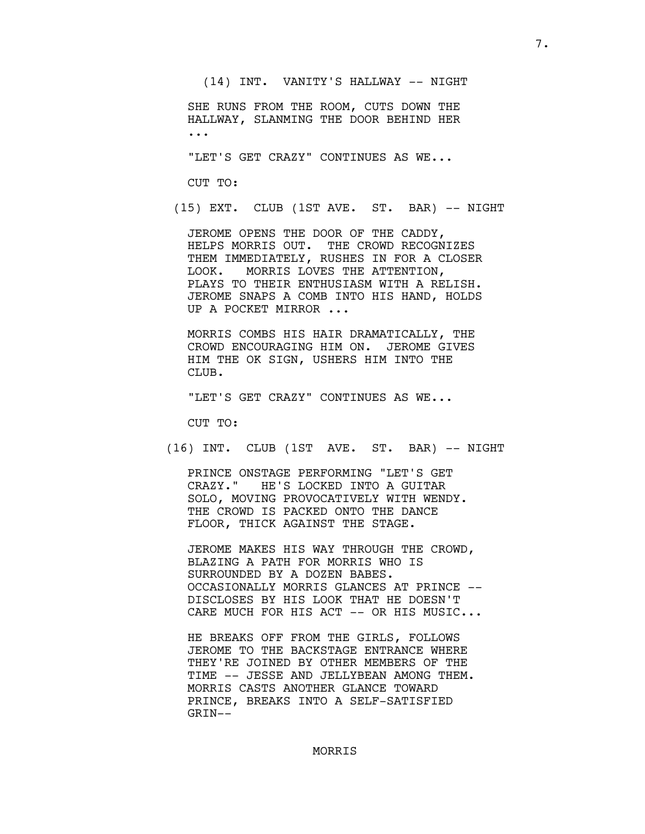(14) INT. VANITY'S HALLWAY -- NIGHT

 SHE RUNS FROM THE ROOM, CUTS DOWN THE HALLWAY, SLANMING THE DOOR BEHIND HER ...

"LET'S GET CRAZY" CONTINUES AS WE...

CUT TO:

(15) EXT. CLUB (1ST AVE. ST. BAR) -- NIGHT

 JEROME OPENS THE DOOR OF THE CADDY, HELPS MORRIS OUT. THE CROWD RECOGNIZES THEM IMMEDIATELY, RUSHES IN FOR A CLOSER LOOK. MORRIS LOVES THE ATTENTION, PLAYS TO THEIR ENTHUSIASM WITH A RELISH. JEROME SNAPS A COMB INTO HIS HAND, HOLDS UP A POCKET MIRROR ...

 MORRIS COMBS HIS HAIR DRAMATICALLY, THE CROWD ENCOURAGING HIM ON. JEROME GIVES HIM THE OK SIGN, USHERS HIM INTO THE CLUB.

"LET'S GET CRAZY" CONTINUES AS WE...

CUT TO:

(16) INT. CLUB (1ST AVE. ST. BAR) -- NIGHT

PRINCE ONSTAGE PERFORMING "LET'S GET<br>CRAZY." HE'S LOCKED INTO A GUITAR HE'S LOCKED INTO A GUITAR SOLO, MOVING PROVOCATIVELY WITH WENDY. THE CROWD IS PACKED ONTO THE DANCE FLOOR, THICK AGAINST THE STAGE.

 JEROME MAKES HIS WAY THROUGH THE CROWD, BLAZING A PATH FOR MORRIS WHO IS SURROUNDED BY A DOZEN BABES. OCCASIONALLY MORRIS GLANCES AT PRINCE -- DISCLOSES BY HIS LOOK THAT HE DOESN'T CARE MUCH FOR HIS ACT -- OR HIS MUSIC...

 HE BREAKS OFF FROM THE GIRLS, FOLLOWS JEROME TO THE BACKSTAGE ENTRANCE WHERE THEY'RE JOINED BY OTHER MEMBERS OF THE TIME -- JESSE AND JELLYBEAN AMONG THEM. MORRIS CASTS ANOTHER GLANCE TOWARD PRINCE, BREAKS INTO A SELF-SATISFIED GRIN--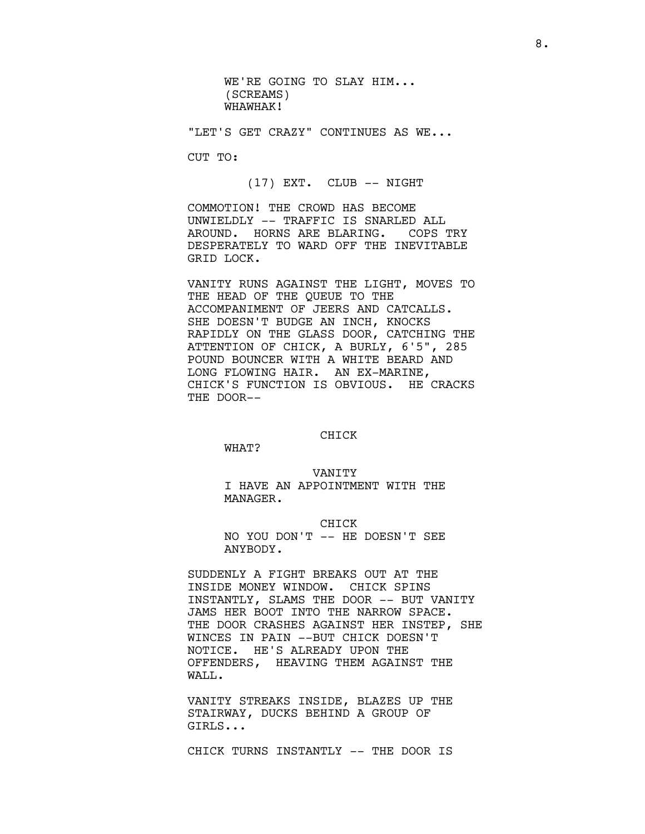WE'RE GOING TO SLAY HIM... (SCREAMS) WHAWHAK!

"LET'S GET CRAZY" CONTINUES AS WE...

CUT TO:

(17) EXT. CLUB -- NIGHT

 COMMOTION! THE CROWD HAS BECOME UNWIELDLY -- TRAFFIC IS SNARLED ALL AROUND. HORNS ARE BLARING. COPS TRY DESPERATELY TO WARD OFF THE INEVITABLE GRID LOCK.

 VANITY RUNS AGAINST THE LIGHT, MOVES TO THE HEAD OF THE QUEUE TO THE ACCOMPANIMENT OF JEERS AND CATCALLS. SHE DOESN'T BUDGE AN INCH, KNOCKS RAPIDLY ON THE GLASS DOOR, CATCHING THE ATTENTION OF CHICK, A BURLY, 6'5", 285 POUND BOUNCER WITH A WHITE BEARD AND LONG FLOWING HAIR. AN EX-MARINE, CHICK'S FUNCTION IS OBVIOUS. HE CRACKS THE DOOR--

#### CHICK

WHAT?

 VANITY I HAVE AN APPOINTMENT WITH THE MANAGER.

 CHICK NO YOU DON'T -- HE DOESN'T SEE ANYBODY.

 SUDDENLY A FIGHT BREAKS OUT AT THE INSIDE MONEY WINDOW. CHICK SPINS INSTANTLY, SLAMS THE DOOR -- BUT VANITY JAMS HER BOOT INTO THE NARROW SPACE. THE DOOR CRASHES AGAINST HER INSTEP, SHE WINCES IN PAIN --BUT CHICK DOESN'T NOTICE. HE'S ALREADY UPON THE OFFENDERS, HEAVING THEM AGAINST THE WALL.

 VANITY STREAKS INSIDE, BLAZES UP THE STAIRWAY, DUCKS BEHIND A GROUP OF GIRLS...

CHICK TURNS INSTANTLY -- THE DOOR IS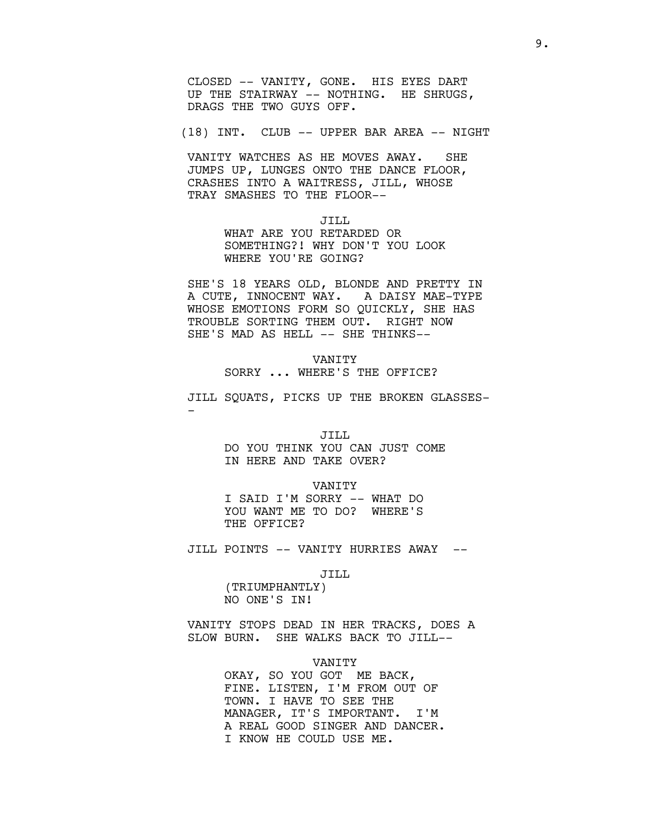CLOSED -- VANITY, GONE. HIS EYES DART UP THE STAIRWAY -- NOTHING. HE SHRUGS, DRAGS THE TWO GUYS OFF.

(18) INT. CLUB -- UPPER BAR AREA -- NIGHT

 VANITY WATCHES AS HE MOVES AWAY. SHE JUMPS UP, LUNGES ONTO THE DANCE FLOOR, CRASHES INTO A WAITRESS, JILL, WHOSE TRAY SMASHES TO THE FLOOR--

 JILL WHAT ARE YOU RETARDED OR SOMETHING?! WHY DON'T YOU LOOK WHERE YOU'RE GOING?

> SHE'S 18 YEARS OLD, BLONDE AND PRETTY IN A CUTE, INNOCENT WAY. A DAISY MAE-TYPE WHOSE EMOTIONS FORM SO QUICKLY, SHE HAS TROUBLE SORTING THEM OUT. RIGHT NOW SHE'S MAD AS HELL -- SHE THINKS--

> > VANITY SORRY ... WHERE'S THE OFFICE?

 JILL SQUATS, PICKS UP THE BROKEN GLASSES- - 1990 - 1990 - 1990 -

JILL

 DO YOU THINK YOU CAN JUST COME IN HERE AND TAKE OVER?

VANITY

 I SAID I'M SORRY -- WHAT DO YOU WANT ME TO DO? WHERE'S THE OFFICE?

JILL POINTS -- VANITY HURRIES AWAY --

JILL

 (TRIUMPHANTLY) NO ONE'S IN!

 VANITY STOPS DEAD IN HER TRACKS, DOES A SLOW BURN. SHE WALKS BACK TO JILL--

VANITY

 OKAY, SO YOU GOT ME BACK, FINE. LISTEN, I'M FROM OUT OF TOWN. I HAVE TO SEE THE MANAGER, IT'S IMPORTANT. I'M A REAL GOOD SINGER AND DANCER. I KNOW HE COULD USE ME.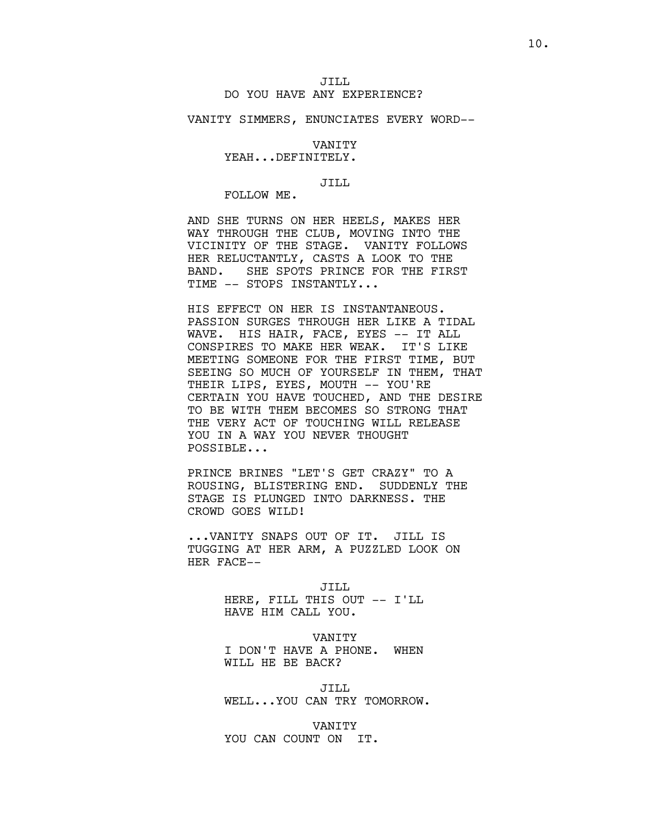## JILL DO YOU HAVE ANY EXPERIENCE?

#### VANITY SIMMERS, ENUNCIATES EVERY WORD--

VANITY

# YEAH...DEFINITELY.

# JILL

FOLLOW ME.

 AND SHE TURNS ON HER HEELS, MAKES HER WAY THROUGH THE CLUB, MOVING INTO THE VICINITY OF THE STAGE. VANITY FOLLOWS HER RELUCTANTLY, CASTS A LOOK TO THE BAND. SHE SPOTS PRINCE FOR THE FIRST TIME -- STOPS INSTANTLY...

 HIS EFFECT ON HER IS INSTANTANEOUS. PASSION SURGES THROUGH HER LIKE A TIDAL WAVE. HIS HAIR, FACE, EYES -- IT ALL CONSPIRES TO MAKE HER WEAK. IT'S LIKE MEETING SOMEONE FOR THE FIRST TIME, BUT SEEING SO MUCH OF YOURSELF IN THEM, THAT THEIR LIPS, EYES, MOUTH -- YOU'RE CERTAIN YOU HAVE TOUCHED, AND THE DESIRE TO BE WITH THEM BECOMES SO STRONG THAT THE VERY ACT OF TOUCHING WILL RELEASE YOU IN A WAY YOU NEVER THOUGHT POSSIBLE...

 PRINCE BRINES "LET'S GET CRAZY" TO A ROUSING, BLISTERING END. SUDDENLY THE STAGE IS PLUNGED INTO DARKNESS. THE CROWD GOES WILD!

 ...VANITY SNAPS OUT OF IT. JILL IS TUGGING AT HER ARM, A PUZZLED LOOK ON HER FACE--

 JILL HERE, FILL THIS OUT -- I'LL HAVE HIM CALL YOU.

> VANITY I DON'T HAVE A PHONE. WHEN WILL HE BE BACK?

 JILL WELL...YOU CAN TRY TOMORROW.

 VANITY YOU CAN COUNT ON IT.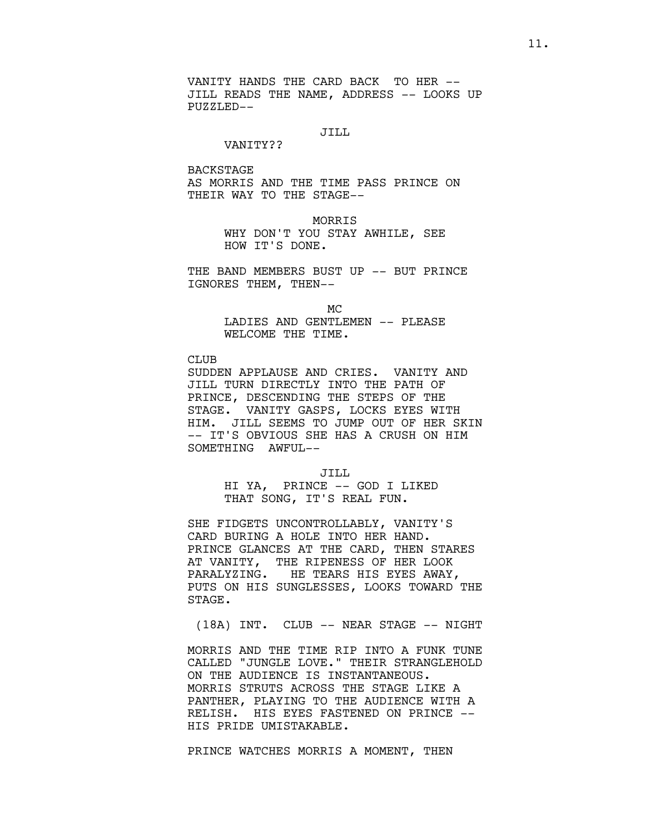VANITY HANDS THE CARD BACK TO HER -- JILL READS THE NAME, ADDRESS -- LOOKS UP PUZZLED--

# JILL

### VANITY??

 BACKSTAGE AS MORRIS AND THE TIME PASS PRINCE ON THEIR WAY TO THE STAGE--

MORRIS

 WHY DON'T YOU STAY AWHILE, SEE HOW IT'S DONE.

THE BAND MEMBERS BUST UP -- BUT PRINCE IGNORES THEM, THEN--

**MC** MC LADIES AND GENTLEMEN -- PLEASE WELCOME THE TIME.

CLUB

 SUDDEN APPLAUSE AND CRIES. VANITY AND JILL TURN DIRECTLY INTO THE PATH OF PRINCE, DESCENDING THE STEPS OF THE STAGE. VANITY GASPS, LOCKS EYES WITH HIM. JILL SEEMS TO JUMP OUT OF HER SKIN -- IT'S OBVIOUS SHE HAS A CRUSH ON HIM SOMETHING AWFUL--

 JILL HI YA, PRINCE -- GOD I LIKED THAT SONG, IT'S REAL FUN.

> SHE FIDGETS UNCONTROLLABLY, VANITY'S CARD BURING A HOLE INTO HER HAND. PRINCE GLANCES AT THE CARD, THEN STARES AT VANITY, THE RIPENESS OF HER LOOK PARALYZING. HE TEARS HIS EYES AWAY, PUTS ON HIS SUNGLESSES, LOOKS TOWARD THE STAGE.

(18A) INT. CLUB -- NEAR STAGE -- NIGHT

 MORRIS AND THE TIME RIP INTO A FUNK TUNE CALLED "JUNGLE LOVE." THEIR STRANGLEHOLD ON THE AUDIENCE IS INSTANTANEOUS. MORRIS STRUTS ACROSS THE STAGE LIKE A PANTHER, PLAYING TO THE AUDIENCE WITH A RELISH. HIS EYES FASTENED ON PRINCE -- HIS PRIDE UMISTAKABLE.

PRINCE WATCHES MORRIS A MOMENT, THEN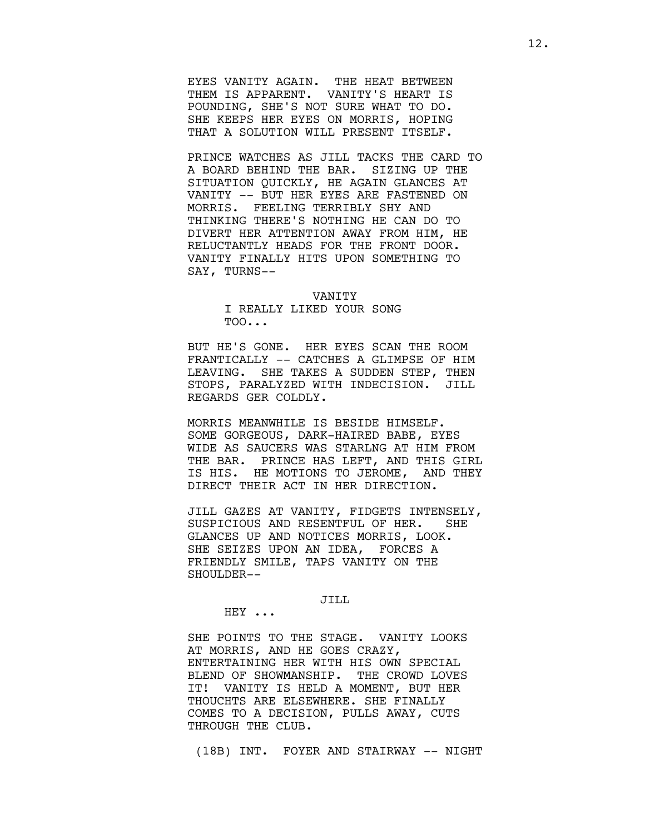EYES VANITY AGAIN. THE HEAT BETWEEN THEM IS APPARENT. VANITY'S HEART IS POUNDING, SHE'S NOT SURE WHAT TO DO. SHE KEEPS HER EYES ON MORRIS, HOPING THAT A SOLUTION WILL PRESENT ITSELF.

 PRINCE WATCHES AS JILL TACKS THE CARD TO A BOARD BEHIND THE BAR. SIZING UP THE SITUATION QUICKLY, HE AGAIN GLANCES AT VANITY -- BUT HER EYES ARE FASTENED ON MORRIS. FEELING TERRIBLY SHY AND THINKING THERE'S NOTHING HE CAN DO TO DIVERT HER ATTENTION AWAY FROM HIM, HE RELUCTANTLY HEADS FOR THE FRONT DOOR. VANITY FINALLY HITS UPON SOMETHING TO SAY, TURNS--

## VANITY I REALLY LIKED YOUR SONG TOO...

 BUT HE'S GONE. HER EYES SCAN THE ROOM FRANTICALLY -- CATCHES A GLIMPSE OF HIM LEAVING. SHE TAKES A SUDDEN STEP, THEN STOPS, PARALYZED WITH INDECISION. JILL REGARDS GER COLDLY.

 MORRIS MEANWHILE IS BESIDE HIMSELF. SOME GORGEOUS, DARK-HAIRED BABE, EYES WIDE AS SAUCERS WAS STARLNG AT HIM FROM THE BAR. PRINCE HAS LEFT, AND THIS GIRL IS HIS. HE MOTIONS TO JEROME, AND THEY DIRECT THEIR ACT IN HER DIRECTION.

 JILL GAZES AT VANITY, FIDGETS INTENSELY, SUSPICIOUS AND RESENTFUL OF HER. SHE GLANCES UP AND NOTICES MORRIS, LOOK. SHE SEIZES UPON AN IDEA, FORCES A FRIENDLY SMILE, TAPS VANITY ON THE SHOULDER--

JILL

HEY ...

 SHE POINTS TO THE STAGE. VANITY LOOKS AT MORRIS, AND HE GOES CRAZY, ENTERTAINING HER WITH HIS OWN SPECIAL BLEND OF SHOWMANSHIP. THE CROWD LOVES IT! VANITY IS HELD A MOMENT, BUT HER THOUCHTS ARE ELSEWHERE. SHE FINALLY COMES TO A DECISION, PULLS AWAY, CUTS THROUGH THE CLUB.

(18B) INT. FOYER AND STAIRWAY -- NIGHT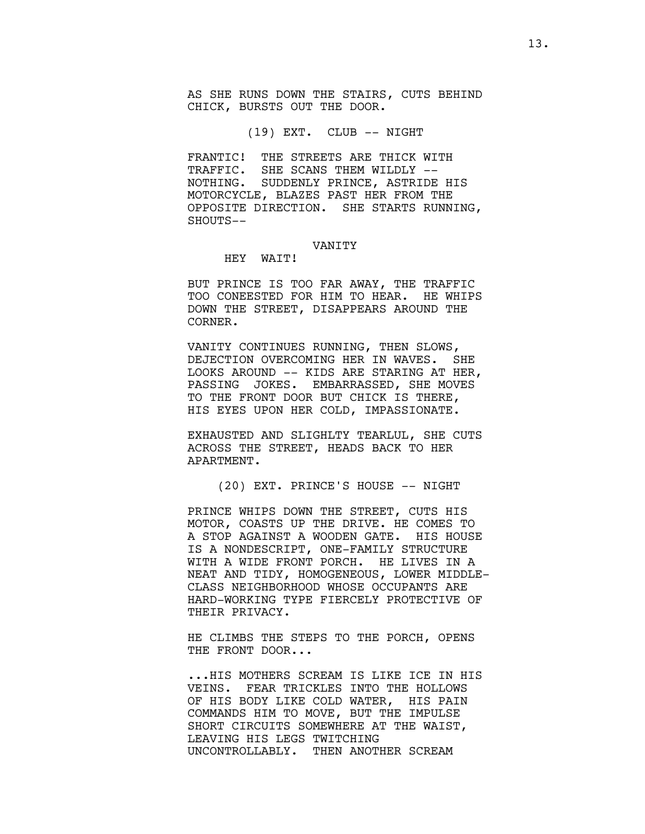AS SHE RUNS DOWN THE STAIRS, CUTS BEHIND CHICK, BURSTS OUT THE DOOR.

#### (19) EXT. CLUB -- NIGHT

 FRANTIC! THE STREETS ARE THICK WITH TRAFFIC. SHE SCANS THEM WILDLY -- NOTHING. SUDDENLY PRINCE, ASTRIDE HIS MOTORCYCLE, BLAZES PAST HER FROM THE OPPOSITE DIRECTION. SHE STARTS RUNNING, SHOUTS--

## VANITY

### HEY WAIT!

 BUT PRINCE IS TOO FAR AWAY, THE TRAFFIC TOO CONEESTED FOR HIM TO HEAR. HE WHIPS DOWN THE STREET, DISAPPEARS AROUND THE CORNER.

 VANITY CONTINUES RUNNING, THEN SLOWS, DEJECTION OVERCOMING HER IN WAVES. SHE LOOKS AROUND -- KIDS ARE STARING AT HER, PASSING JOKES. EMBARRASSED, SHE MOVES TO THE FRONT DOOR BUT CHICK IS THERE, HIS EYES UPON HER COLD, IMPASSIONATE.

 EXHAUSTED AND SLIGHLTY TEARLUL, SHE CUTS ACROSS THE STREET, HEADS BACK TO HER APARTMENT.

(20) EXT. PRINCE'S HOUSE -- NIGHT

 PRINCE WHIPS DOWN THE STREET, CUTS HIS MOTOR, COASTS UP THE DRIVE. HE COMES TO A STOP AGAINST A WOODEN GATE. HIS HOUSE IS A NONDESCRIPT, ONE-FAMILY STRUCTURE WITH A WIDE FRONT PORCH. HE LIVES IN A NEAT AND TIDY, HOMOGENEOUS, LOWER MIDDLE- CLASS NEIGHBORHOOD WHOSE OCCUPANTS ARE HARD-WORKING TYPE FIERCELY PROTECTIVE OF THEIR PRIVACY.

 HE CLIMBS THE STEPS TO THE PORCH, OPENS THE FRONT DOOR...

 ...HIS MOTHERS SCREAM IS LIKE ICE IN HIS VEINS. FEAR TRICKLES INTO THE HOLLOWS OF HIS BODY LIKE COLD WATER, HIS PAIN COMMANDS HIM TO MOVE, BUT THE IMPULSE SHORT CIRCUITS SOMEWHERE AT THE WAIST, LEAVING HIS LEGS TWITCHING UNCONTROLLABLY. THEN ANOTHER SCREAM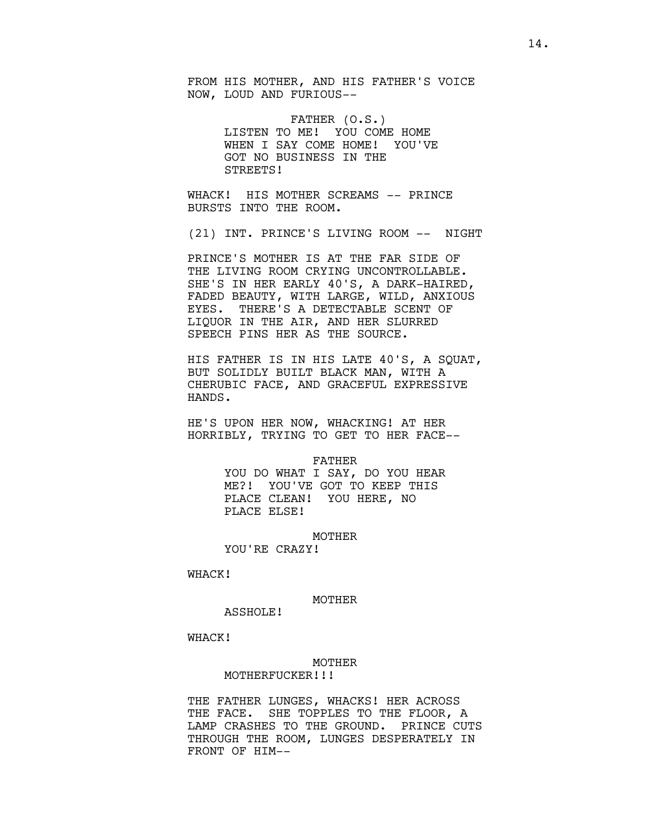FROM HIS MOTHER, AND HIS FATHER'S VOICE NOW, LOUD AND FURIOUS--

> FATHER (O.S.) LISTEN TO ME! YOU COME HOME WHEN I SAY COME HOME! YOU'VE GOT NO BUSINESS IN THE STREETS!

WHACK! HIS MOTHER SCREAMS -- PRINCE BURSTS INTO THE ROOM.

(21) INT. PRINCE'S LIVING ROOM -- NIGHT

 PRINCE'S MOTHER IS AT THE FAR SIDE OF THE LIVING ROOM CRYING UNCONTROLLABLE. SHE'S IN HER EARLY 40'S, A DARK-HAIRED, FADED BEAUTY, WITH LARGE, WILD, ANXIOUS EYES. THERE'S A DETECTABLE SCENT OF LIQUOR IN THE AIR, AND HER SLURRED SPEECH PINS HER AS THE SOURCE.

 HIS FATHER IS IN HIS LATE 40'S, A SQUAT, BUT SOLIDLY BUILT BLACK MAN, WITH A CHERUBIC FACE, AND GRACEFUL EXPRESSIVE HANDS.

 HE'S UPON HER NOW, WHACKING! AT HER HORRIBLY, TRYING TO GET TO HER FACE--

> FATHER YOU DO WHAT I SAY, DO YOU HEAR ME?! YOU'VE GOT TO KEEP THIS PLACE CLEAN! YOU HERE, NO PLACE ELSE!

 MOTHER YOU'RE CRAZY!

WHACK!

#### MOTHER

ASSHOLE!

WHACK!

# MOTHER

# MOTHERFUCKER!!!

 THE FATHER LUNGES, WHACKS! HER ACROSS THE FACE. SHE TOPPLES TO THE FLOOR, A LAMP CRASHES TO THE GROUND. PRINCE CUTS THROUGH THE ROOM, LUNGES DESPERATELY IN FRONT OF HIM--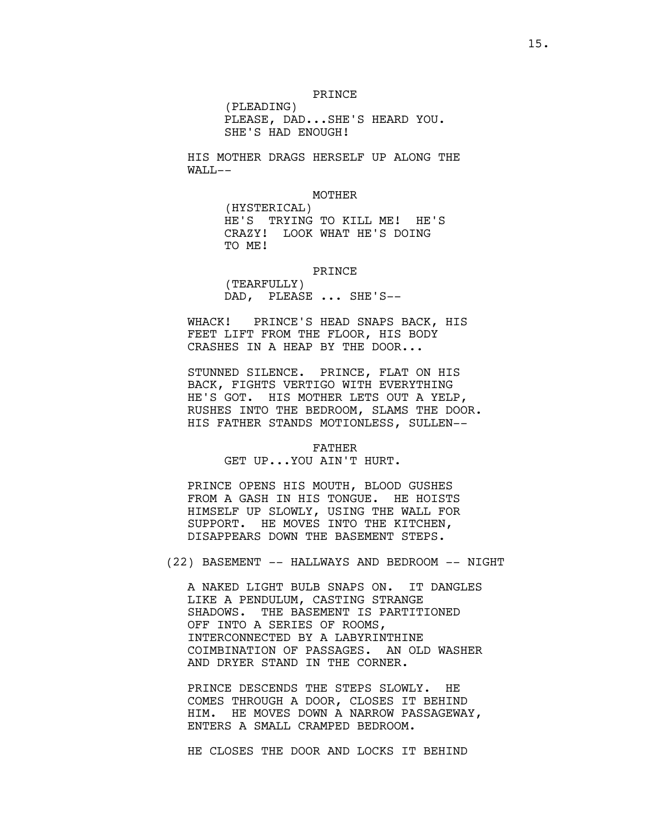PRINCE

 (PLEADING) PLEASE, DAD...SHE'S HEARD YOU. SHE'S HAD ENOUGH!

 HIS MOTHER DRAGS HERSELF UP ALONG THE WALL--

MOTHER

 (HYSTERICAL) HE'S TRYING TO KILL ME! HE'S CRAZY! LOOK WHAT HE'S DOING TO ME!

#### PRINCE

 (TEARFULLY) DAD, PLEASE ... SHE'S--

 WHACK! PRINCE'S HEAD SNAPS BACK, HIS FEET LIFT FROM THE FLOOR, HIS BODY CRASHES IN A HEAP BY THE DOOR...

 STUNNED SILENCE. PRINCE, FLAT ON HIS BACK, FIGHTS VERTIGO WITH EVERYTHING HE'S GOT. HIS MOTHER LETS OUT A YELP, RUSHES INTO THE BEDROOM, SLAMS THE DOOR. HIS FATHER STANDS MOTIONLESS, SULLEN--

> FATHER GET UP...YOU AIN'T HURT.

 PRINCE OPENS HIS MOUTH, BLOOD GUSHES FROM A GASH IN HIS TONGUE. HE HOISTS HIMSELF UP SLOWLY, USING THE WALL FOR SUPPORT. HE MOVES INTO THE KITCHEN, DISAPPEARS DOWN THE BASEMENT STEPS.

(22) BASEMENT -- HALLWAYS AND BEDROOM -- NIGHT

 A NAKED LIGHT BULB SNAPS ON. IT DANGLES LIKE A PENDULUM, CASTING STRANGE SHADOWS. THE BASEMENT IS PARTITIONED OFF INTO A SERIES OF ROOMS, INTERCONNECTED BY A LABYRINTHINE COIMBINATION OF PASSAGES. AN OLD WASHER AND DRYER STAND IN THE CORNER.

 PRINCE DESCENDS THE STEPS SLOWLY. HE COMES THROUGH A DOOR, CLOSES IT BEHIND HIM. HE MOVES DOWN A NARROW PASSAGEWAY, ENTERS A SMALL CRAMPED BEDROOM.

HE CLOSES THE DOOR AND LOCKS IT BEHIND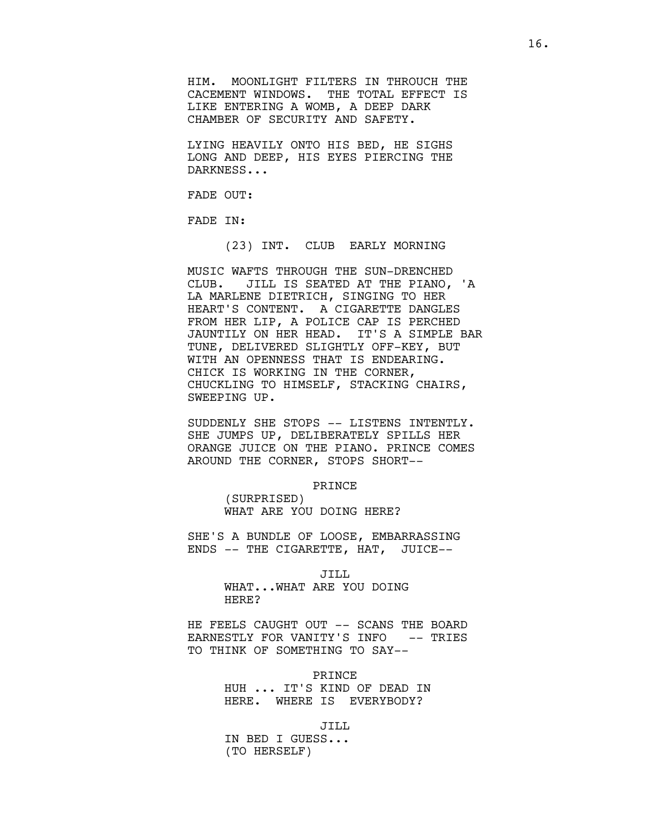HIM. MOONLIGHT FILTERS IN THROUCH THE CACEMENT WINDOWS. THE TOTAL EFFECT IS LIKE ENTERING A WOMB, A DEEP DARK CHAMBER OF SECURITY AND SAFETY.

 LYING HEAVILY ONTO HIS BED, HE SIGHS LONG AND DEEP, HIS EYES PIERCING THE DARKNESS...

FADE OUT:

FADE IN:

(23) INT. CLUB EARLY MORNING

 MUSIC WAFTS THROUGH THE SUN-DRENCHED CLUB. JILL IS SEATED AT THE PIANO, 'A LA MARLENE DIETRICH, SINGING TO HER HEART'S CONTENT. A CIGARETTE DANGLES FROM HER LIP, A POLICE CAP IS PERCHED JAUNTILY ON HER HEAD. IT'S A SIMPLE BAR TUNE, DELIVERED SLIGHTLY OFF-KEY, BUT WITH AN OPENNESS THAT IS ENDEARING. CHICK IS WORKING IN THE CORNER, CHUCKLING TO HIMSELF, STACKING CHAIRS, SWEEPING UP.

 SUDDENLY SHE STOPS -- LISTENS INTENTLY. SHE JUMPS UP, DELIBERATELY SPILLS HER ORANGE JUICE ON THE PIANO. PRINCE COMES AROUND THE CORNER, STOPS SHORT--

PRINCE

 (SURPRISED) WHAT ARE YOU DOING HERE?

 SHE'S A BUNDLE OF LOOSE, EMBARRASSING ENDS -- THE CIGARETTE, HAT, JUICE--

 JILL WHAT...WHAT ARE YOU DOING HERE?

> HE FEELS CAUGHT OUT -- SCANS THE BOARD EARNESTLY FOR VANITY'S INFO -- TRIES TO THINK OF SOMETHING TO SAY--

> > PRINCE HUH ... IT'S KIND OF DEAD IN HERE. WHERE IS EVERYBODY?

JILL

 IN BED I GUESS... (TO HERSELF)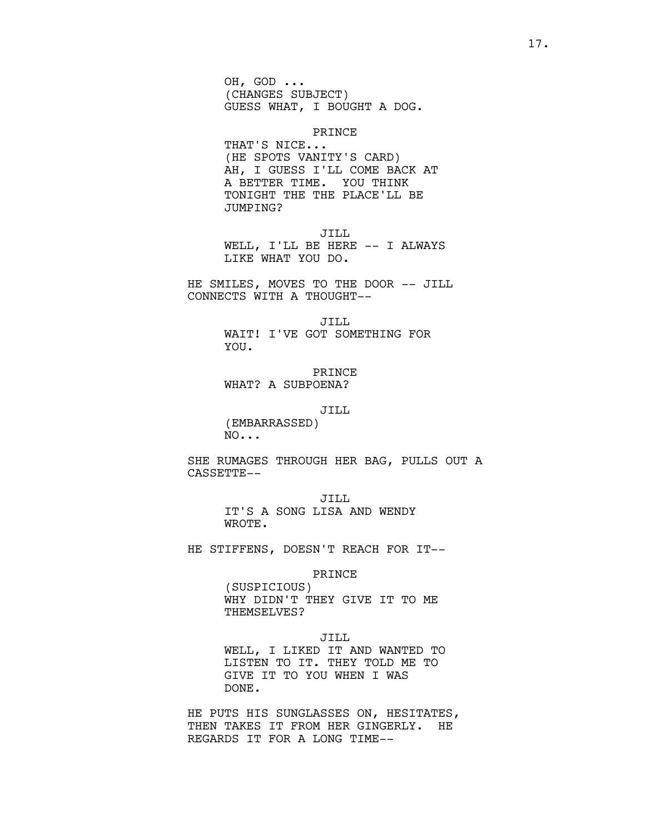OH, GOD ... (CHANGES SUBJECT) GUESS WHAT, I BOUGHT A DOG.

PRINCE

 THAT'S NICE... (HE SPOTS VANITY'S CARD) AH, I GUESS I'LL COME BACK AT A BETTER TIME. YOU THINK TONIGHT THE THE PLACE'LL BE JUMPING?

 JILL WELL, I'LL BE HERE -- I ALWAYS LIKE WHAT YOU DO.

 HE SMILES, MOVES TO THE DOOR -- JILL CONNECTS WITH A THOUGHT--

 JILL WAIT! I'VE GOT SOMETHING FOR YOU.

> PRINCE WHAT? A SUBPOENA?

> > JILL

 (EMBARRASSED) NO...

 SHE RUMAGES THROUGH HER BAG, PULLS OUT A CASSETTE--

> JILL IT'S A SONG LISA AND WENDY WROTE.

HE STIFFENS, DOESN'T REACH FOR IT--

PRINCE

 (SUSPICIOUS) WHY DIDN'T THEY GIVE IT TO ME THEMSELVES?

JILL

 WELL, I LIKED IT AND WANTED TO LISTEN TO IT. THEY TOLD ME TO GIVE IT TO YOU WHEN I WAS DONE.

 HE PUTS HIS SUNGLASSES ON, HESITATES, THEN TAKES IT FROM HER GINGERLY. HE REGARDS IT FOR A LONG TIME--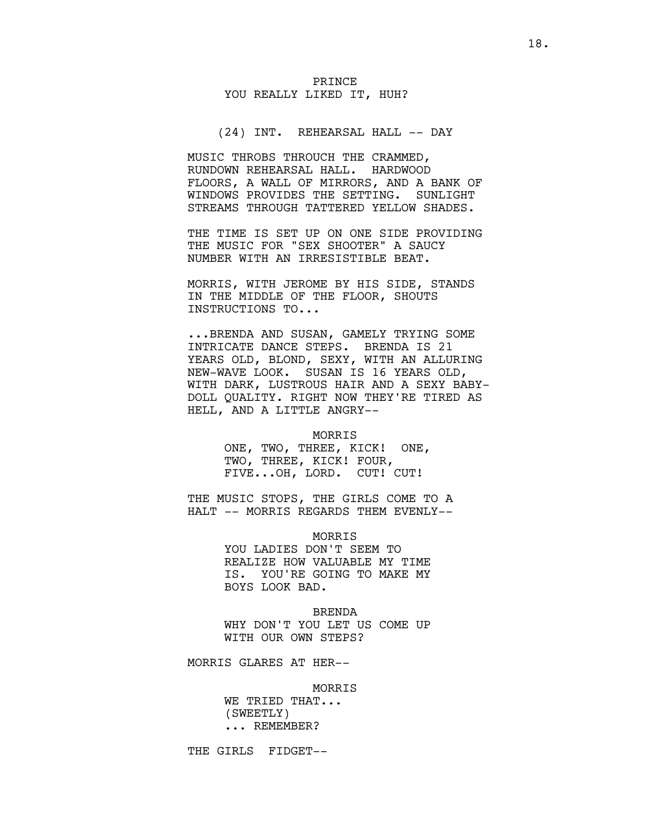## PRINCE YOU REALLY LIKED IT, HUH?

(24) INT. REHEARSAL HALL -- DAY

 MUSIC THROBS THROUCH THE CRAMMED, RUNDOWN REHEARSAL HALL. HARDWOOD FLOORS, A WALL OF MIRRORS, AND A BANK OF WINDOWS PROVIDES THE SETTING. SUNLIGHT STREAMS THROUGH TATTERED YELLOW SHADES.

 THE TIME IS SET UP ON ONE SIDE PROVIDING THE MUSIC FOR "SEX SHOOTER" A SAUCY NUMBER WITH AN IRRESISTIBLE BEAT.

 MORRIS, WITH JEROME BY HIS SIDE, STANDS IN THE MIDDLE OF THE FLOOR, SHOUTS INSTRUCTIONS TO...

 ...BRENDA AND SUSAN, GAMELY TRYING SOME INTRICATE DANCE STEPS. BRENDA IS 21 YEARS OLD, BLOND, SEXY, WITH AN ALLURING NEW-WAVE LOOK. SUSAN IS 16 YEARS OLD, WITH DARK, LUSTROUS HAIR AND A SEXY BABY- DOLL QUALITY. RIGHT NOW THEY'RE TIRED AS HELL, AND A LITTLE ANGRY--

> MORRIS ONE, TWO, THREE, KICK! ONE, TWO, THREE, KICK! FOUR, FIVE...OH, LORD. CUT! CUT!

 THE MUSIC STOPS, THE GIRLS COME TO A HALT -- MORRIS REGARDS THEM EVENLY--

> MORRIS YOU LADIES DON'T SEEM TO REALIZE HOW VALUABLE MY TIME IS. YOU'RE GOING TO MAKE MY BOYS LOOK BAD.

> BRENDA WHY DON'T YOU LET US COME UP WITH OUR OWN STEPS?

MORRIS GLARES AT HER--

 MORRIS WE TRIED THAT... (SWEETLY) ... REMEMBER?

THE GIRLS FIDGET--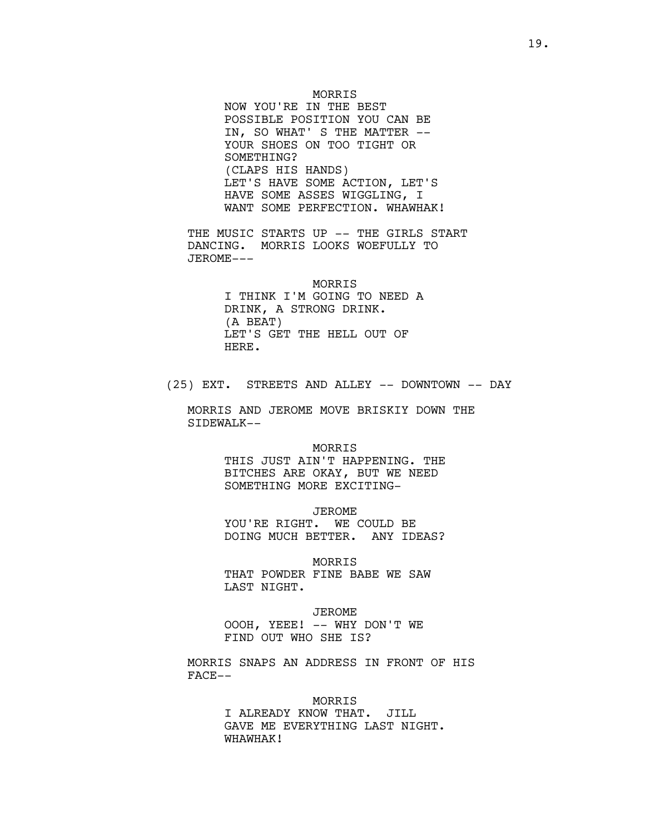MORRIS NOW YOU'RE IN THE BEST POSSIBLE POSITION YOU CAN BE IN, SO WHAT' S THE MATTER -- YOUR SHOES ON TOO TIGHT OR SOMETHING? (CLAPS HIS HANDS) LET'S HAVE SOME ACTION, LET'S HAVE SOME ASSES WIGGLING, I WANT SOME PERFECTION. WHAWHAK!

 THE MUSIC STARTS UP -- THE GIRLS START DANCING. MORRIS LOOKS WOEFULLY TO JEROME---

> MORRIS I THINK I'M GOING TO NEED A DRINK, A STRONG DRINK. (A BEAT) LET'S GET THE HELL OUT OF HERE.

(25) EXT. STREETS AND ALLEY -- DOWNTOWN -- DAY

 MORRIS AND JEROME MOVE BRISKIY DOWN THE SIDEWALK--

> MORRIS THIS JUST AIN'T HAPPENING. THE BITCHES ARE OKAY, BUT WE NEED SOMETHING MORE EXCITING-

> JEROME YOU'RE RIGHT. WE COULD BE DOING MUCH BETTER. ANY IDEAS?

 MORRIS THAT POWDER FINE BABE WE SAW LAST NIGHT.

 JEROME OOOH, YEEE! -- WHY DON'T WE FIND OUT WHO SHE IS?

 MORRIS SNAPS AN ADDRESS IN FRONT OF HIS FACE--

> MORRIS I ALREADY KNOW THAT. JILL GAVE ME EVERYTHING LAST NIGHT. WHAWHAK!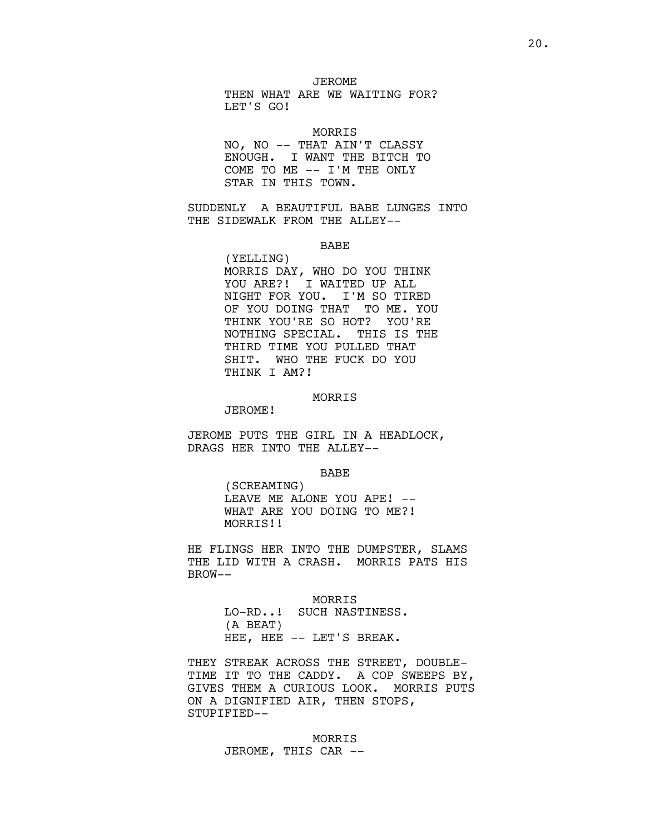**JEROME** 

 THEN WHAT ARE WE WAITING FOR? LET'S GO!

MORRIS

 NO, NO -- THAT AIN'T CLASSY ENOUGH. I WANT THE BITCH TO COME TO ME -- I'M THE ONLY STAR IN THIS TOWN.

 SUDDENLY A BEAUTIFUL BABE LUNGES INTO THE SIDEWALK FROM THE ALLEY--

BABE

 (YELLING) MORRIS DAY, WHO DO YOU THINK YOU ARE?! I WAITED UP ALL NIGHT FOR YOU. I'M SO TIRED OF YOU DOING THAT TO ME. YOU THINK YOU'RE SO HOT? YOU'RE NOTHING SPECIAL. THIS IS THE THIRD TIME YOU PULLED THAT SHIT. WHO THE FUCK DO YOU THINK I AM?!

MORRIS

JEROME!

 JEROME PUTS THE GIRL IN A HEADLOCK, DRAGS HER INTO THE ALLEY--

BABE

 (SCREAMING) LEAVE ME ALONE YOU APE! -- WHAT ARE YOU DOING TO ME?! MORRIS!!

 HE FLINGS HER INTO THE DUMPSTER, SLAMS THE LID WITH A CRASH. MORRIS PATS HIS BROW--

MORRIS

 LO-RD..! SUCH NASTINESS. (A BEAT) HEE, HEE -- LET'S BREAK.

 THEY STREAK ACROSS THE STREET, DOUBLE- TIME IT TO THE CADDY. A COP SWEEPS BY, GIVES THEM A CURIOUS LOOK. MORRIS PUTS ON A DIGNIFIED AIR, THEN STOPS, STUPIFIED--

> MORRIS JEROME, THIS CAR --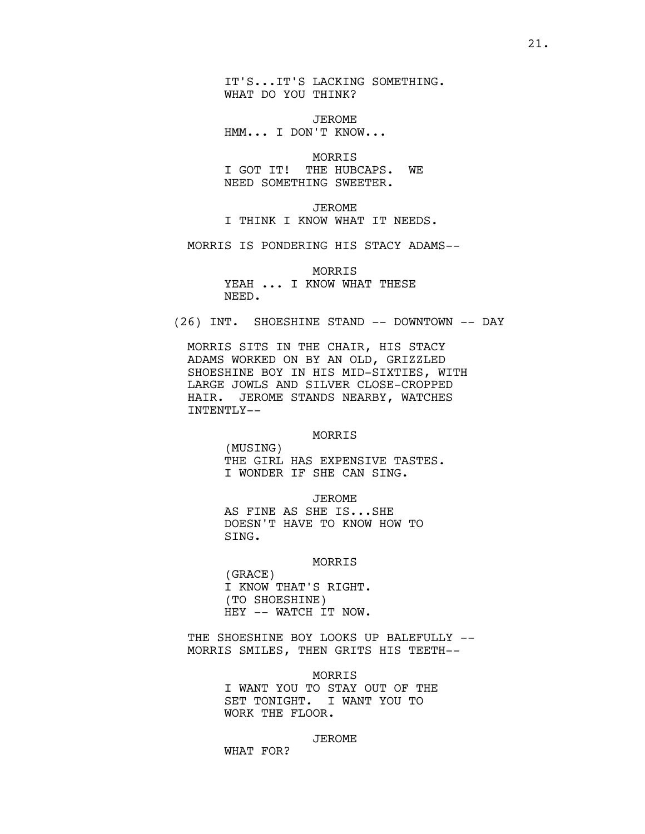IT'S...IT'S LACKING SOMETHING. WHAT DO YOU THINK?

 JEROME HMM... I DON'T KNOW...

 MORRIS I GOT IT! THE HUBCAPS. WE NEED SOMETHING SWEETER.

 JEROME I THINK I KNOW WHAT IT NEEDS.

MORRIS IS PONDERING HIS STACY ADAMS--

 MORRIS YEAH ... I KNOW WHAT THESE NEED.

(26) INT. SHOESHINE STAND -- DOWNTOWN -- DAY

 MORRIS SITS IN THE CHAIR, HIS STACY ADAMS WORKED ON BY AN OLD, GRIZZLED SHOESHINE BOY IN HIS MID-SIXTIES, WITH LARGE JOWLS AND SILVER CLOSE-CROPPED HAIR. JEROME STANDS NEARBY, WATCHES INTENTLY--

MORRIS

 (MUSING) THE GIRL HAS EXPENSIVE TASTES. I WONDER IF SHE CAN SING.

JEROME

 AS FINE AS SHE IS...SHE DOESN'T HAVE TO KNOW HOW TO SING.

#### MORRIS

 (GRACE) I KNOW THAT'S RIGHT. (TO SHOESHINE) HEY -- WATCH IT NOW.

THE SHOESHINE BOY LOOKS UP BALEFULLY --MORRIS SMILES, THEN GRITS HIS TEETH--

> MORRIS I WANT YOU TO STAY OUT OF THE SET TONIGHT. I WANT YOU TO WORK THE FLOOR.

> > JEROME

WHAT FOR?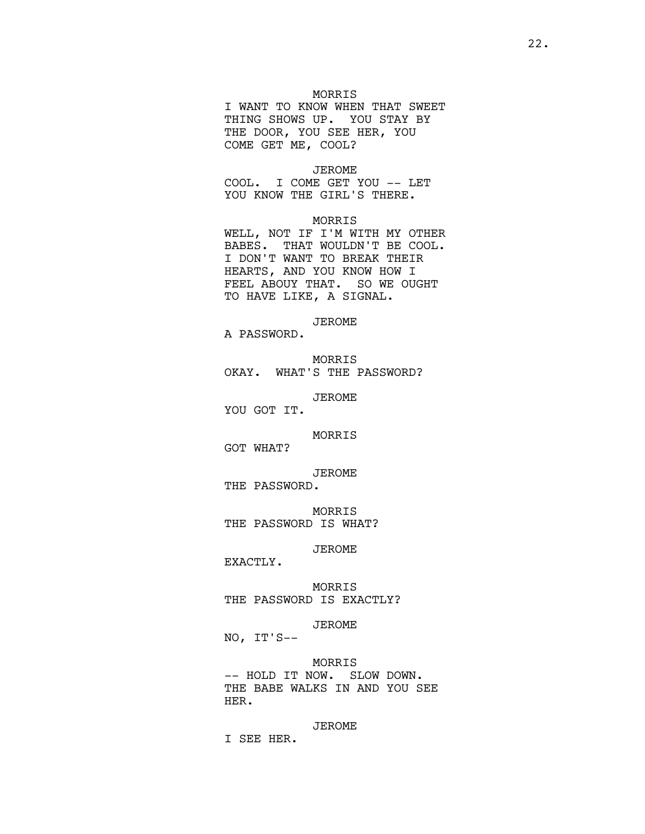## MORRIS

 I WANT TO KNOW WHEN THAT SWEET THING SHOWS UP. YOU STAY BY THE DOOR, YOU SEE HER, YOU COME GET ME, COOL?

JEROME

 COOL. I COME GET YOU -- LET YOU KNOW THE GIRL'S THERE.

 MORRIS WELL, NOT IF I'M WITH MY OTHER BABES. THAT WOULDN'T BE COOL. I DON'T WANT TO BREAK THEIR HEARTS, AND YOU KNOW HOW I FEEL ABOUY THAT. SO WE OUGHT TO HAVE LIKE, A SIGNAL.

JEROME

A PASSWORD.

 MORRIS OKAY. WHAT'S THE PASSWORD?

JEROME

YOU GOT IT.

# MORRIS

GOT WHAT?

JEROME

THE PASSWORD.

 MORRIS THE PASSWORD IS WHAT?

#### JEROME

EXACTLY.

 MORRIS THE PASSWORD IS EXACTLY?

JEROME

NO, IT'S--

MORRIS

-- HOLD IT NOW. SLOW DOWN. THE BABE WALKS IN AND YOU SEE HER.

#### JEROME

I SEE HER.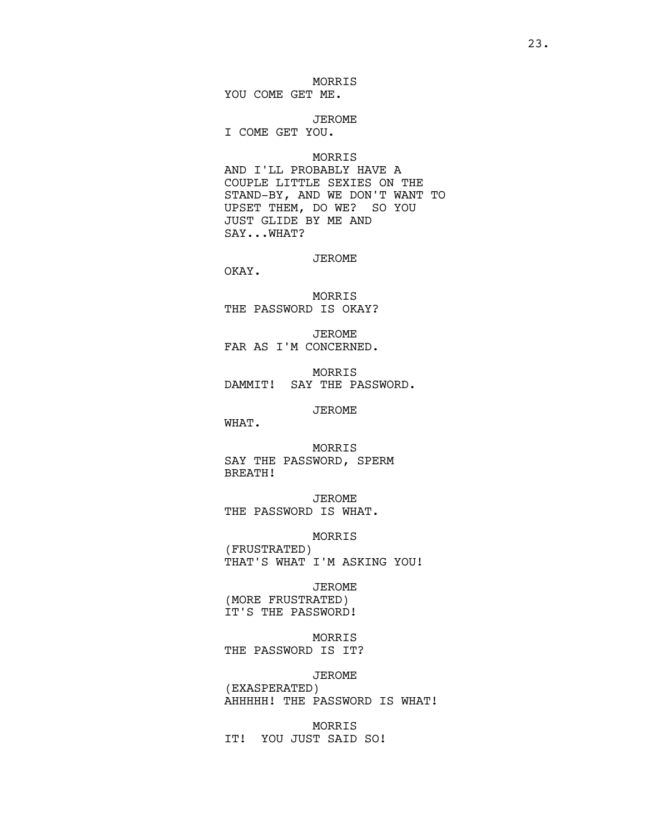JEROME I COME GET YOU.

MORRIS

 AND I'LL PROBABLY HAVE A COUPLE LITTLE SEXIES ON THE STAND-BY, AND WE DON'T WANT TO UPSET THEM, DO WE? SO YOU JUST GLIDE BY ME AND SAY...WHAT?

JEROME

OKAY.

 MORRIS THE PASSWORD IS OKAY?

 JEROME FAR AS I'M CONCERNED.

 MORRIS DAMMIT! SAY THE PASSWORD.

JEROME

WHAT.

 MORRIS SAY THE PASSWORD, SPERM BREATH!

 JEROME THE PASSWORD IS WHAT.

 MORRIS (FRUSTRATED) THAT'S WHAT I'M ASKING YOU!

 JEROME (MORE FRUSTRATED) IT'S THE PASSWORD!

 MORRIS THE PASSWORD IS IT?

 JEROME (EXASPERATED) AHHHHH! THE PASSWORD IS WHAT!

 MORRIS IT! YOU JUST SAID SO!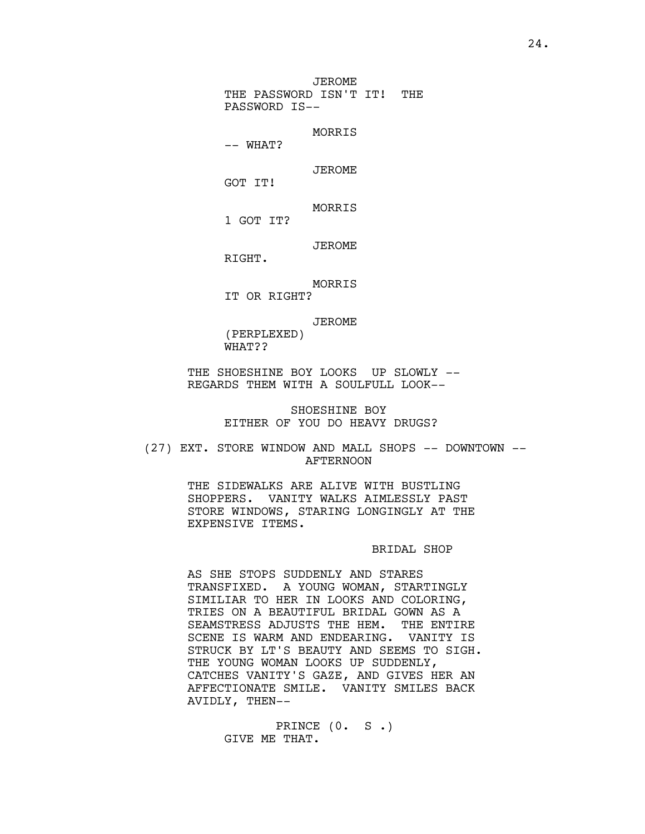JEROME THE PASSWORD ISN'T IT! THE PASSWORD IS--

MORRIS

-- WHAT?

JEROME

GOT IT!

 MORRIS 1 GOT IT?

JEROME

RIGHT.

MORRIS

IT OR RIGHT?

JEROME

 (PERPLEXED) WHAT??

THE SHOESHINE BOY LOOKS UP SLOWLY --REGARDS THEM WITH A SOULFULL LOOK--

> SHOESHINE BOY EITHER OF YOU DO HEAVY DRUGS?

 (27) EXT. STORE WINDOW AND MALL SHOPS -- DOWNTOWN -- AFTERNOON

> THE SIDEWALKS ARE ALIVE WITH BUSTLING SHOPPERS. VANITY WALKS AIMLESSLY PAST STORE WINDOWS, STARING LONGINGLY AT THE EXPENSIVE ITEMS.

#### BRIDAL SHOP

 AS SHE STOPS SUDDENLY AND STARES TRANSFIXED. A YOUNG WOMAN, STARTINGLY SIMILIAR TO HER IN LOOKS AND COLORING, TRIES ON A BEAUTIFUL BRIDAL GOWN AS A SEAMSTRESS ADJUSTS THE HEM. THE ENTIRE SCENE IS WARM AND ENDEARING. VANITY IS STRUCK BY LT'S BEAUTY AND SEEMS TO SIGH. THE YOUNG WOMAN LOOKS UP SUDDENLY, CATCHES VANITY'S GAZE, AND GIVES HER AN AFFECTIONATE SMILE. VANITY SMILES BACK AVIDLY, THEN--

> PRINCE (0. S .) GIVE ME THAT.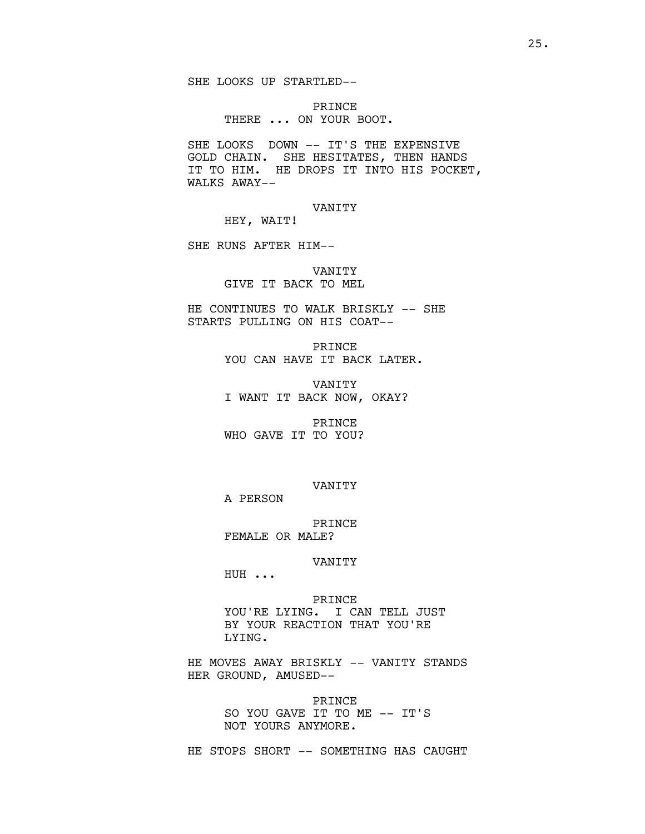PRINCE THERE ... ON YOUR BOOT.

 SHE LOOKS DOWN -- IT'S THE EXPENSIVE GOLD CHAIN. SHE HESITATES, THEN HANDS IT TO HIM. HE DROPS IT INTO HIS POCKET, WALKS AWAY--

VANITY

HEY, WAIT!

SHE RUNS AFTER HIM--

 VANITY GIVE IT BACK TO MEL

 HE CONTINUES TO WALK BRISKLY -- SHE STARTS PULLING ON HIS COAT--

> PRINCE YOU CAN HAVE IT BACK LATER.

 VANITY I WANT IT BACK NOW, OKAY?

 PRINCE WHO GAVE IT TO YOU?

 VANITY A PERSON

 PRINCE FEMALE OR MALE?

## VANITY

HUH ...

 PRINCE YOU'RE LYING. I CAN TELL JUST BY YOUR REACTION THAT YOU'RE LYING.

HE MOVES AWAY BRISKLY -- VANITY STANDS HER GROUND, AMUSED--

> PRINCE SO YOU GAVE IT TO ME -- IT'S NOT YOURS ANYMORE.

HE STOPS SHORT -- SOMETHING HAS CAUGHT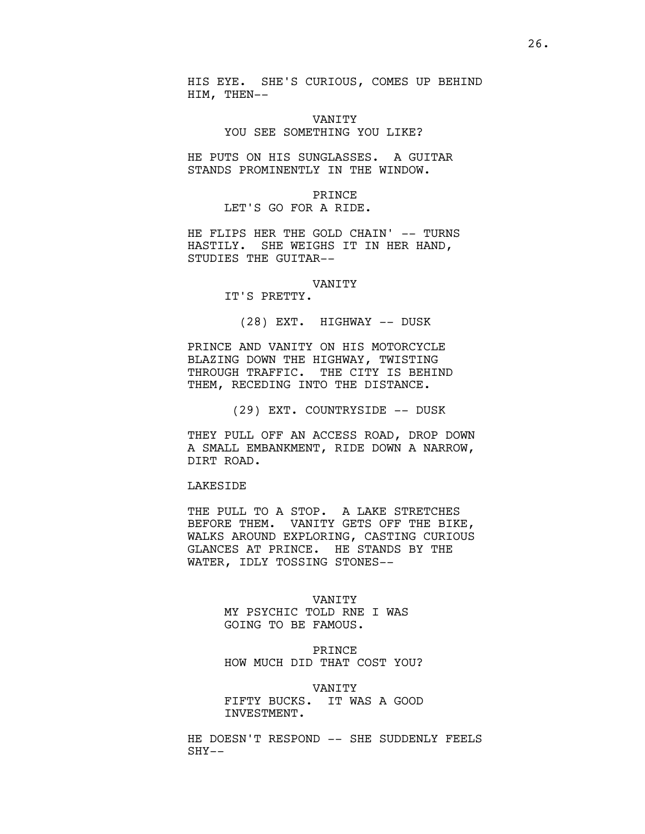HIS EYE. SHE'S CURIOUS, COMES UP BEHIND HIM, THEN--

### VANITY YOU SEE SOMETHING YOU LIKE?

 HE PUTS ON HIS SUNGLASSES. A GUITAR STANDS PROMINENTLY IN THE WINDOW.

## **PRINCE** LET'S GO FOR A RIDE.

HE FLIPS HER THE GOLD CHAIN' -- TURNS HASTILY. SHE WEIGHS IT IN HER HAND, STUDIES THE GUITAR--

## VANITY

IT'S PRETTY.

(28) EXT. HIGHWAY -- DUSK

 PRINCE AND VANITY ON HIS MOTORCYCLE BLAZING DOWN THE HIGHWAY, TWISTING THROUGH TRAFFIC. THE CITY IS BEHIND THEM, RECEDING INTO THE DISTANCE.

(29) EXT. COUNTRYSIDE -- DUSK

 THEY PULL OFF AN ACCESS ROAD, DROP DOWN A SMALL EMBANKMENT, RIDE DOWN A NARROW, DIRT ROAD.

### LAKESIDE

THE PULL TO A STOP. A LAKE STRETCHES BEFORE THEM. VANITY GETS OFF THE BIKE, WALKS AROUND EXPLORING, CASTING CURIOUS GLANCES AT PRINCE. HE STANDS BY THE WATER, IDLY TOSSING STONES--

> VANITY MY PSYCHIC TOLD RNE I WAS GOING TO BE FAMOUS.

 PRINCE HOW MUCH DID THAT COST YOU?

 VANITY FIFTY BUCKS. IT WAS A GOOD INVESTMENT.

 HE DOESN'T RESPOND -- SHE SUDDENLY FEELS  $SHY--$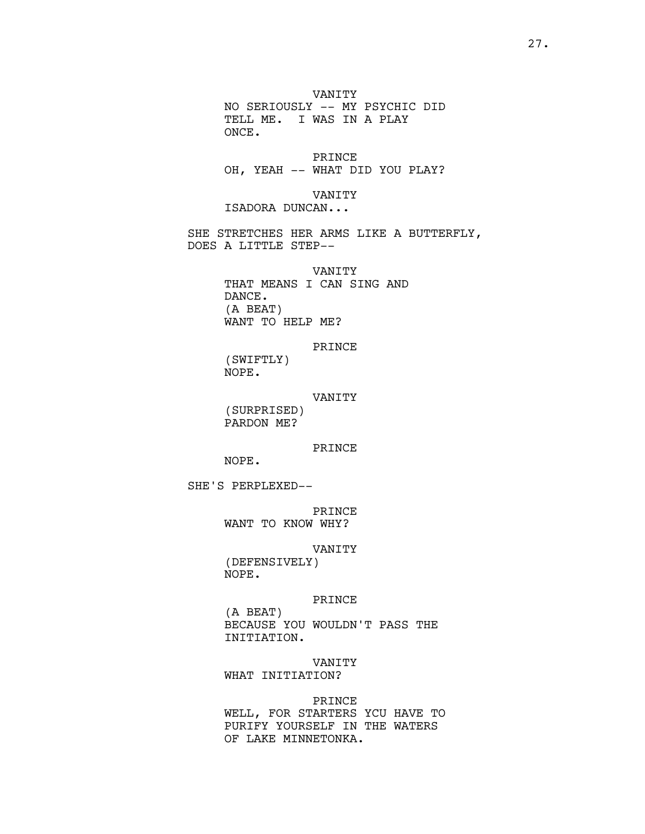VANITY NO SERIOUSLY -- MY PSYCHIC DID TELL ME. I WAS IN A PLAY ONCE.

 PRINCE OH, YEAH -- WHAT DID YOU PLAY?

 VANITY ISADORA DUNCAN...

 SHE STRETCHES HER ARMS LIKE A BUTTERFLY, DOES A LITTLE STEP--

> VANITY THAT MEANS I CAN SING AND DANCE. (A BEAT) WANT TO HELP ME?

 PRINCE (SWIFTLY) NOPE.

 VANITY (SURPRISED) PARDON ME?

PRINCE

NOPE.

SHE'S PERPLEXED--

 PRINCE WANT TO KNOW WHY?

VANITY

 (DEFENSIVELY) NOPE.

## PRINCE

 (A BEAT) BECAUSE YOU WOULDN'T PASS THE INITIATION.

VANITY

WHAT INITIATION?

PRINCE

 WELL, FOR STARTERS YCU HAVE TO PURIFY YOURSELF IN THE WATERS OF LAKE MINNETONKA.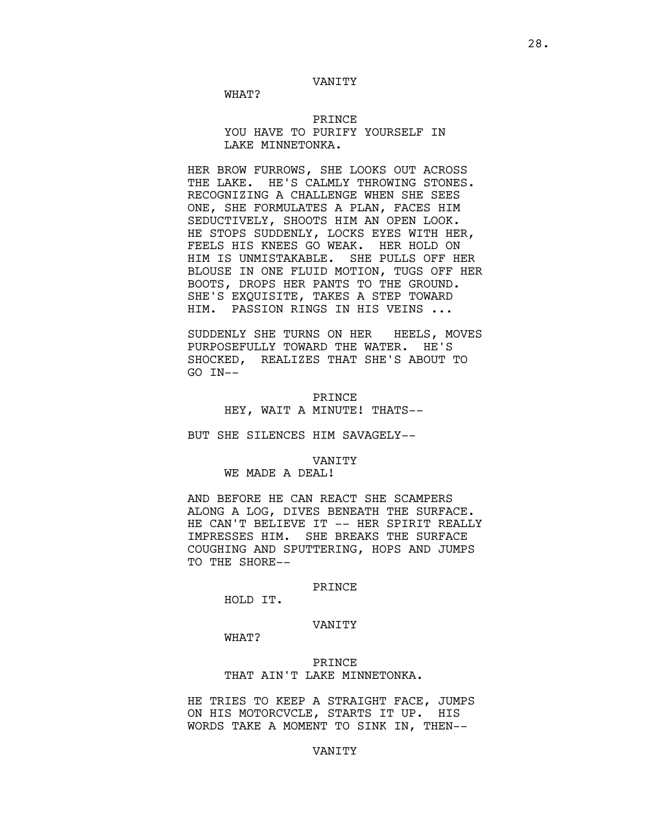### VANITY

WHAT?

## PRINCE YOU HAVE TO PURIFY YOURSELF IN LAKE MINNETONKA.

 HER BROW FURROWS, SHE LOOKS OUT ACROSS THE LAKE. HE'S CALMLY THROWING STONES. RECOGNIZING A CHALLENGE WHEN SHE SEES ONE, SHE FORMULATES A PLAN, FACES HIM SEDUCTIVELY, SHOOTS HIM AN OPEN LOOK. HE STOPS SUDDENLY, LOCKS EYES WITH HER, FEELS HIS KNEES GO WEAK. HER HOLD ON HIM IS UNMISTAKABLE. SHE PULLS OFF HER BLOUSE IN ONE FLUID MOTION, TUGS OFF HER BOOTS, DROPS HER PANTS TO THE GROUND. SHE'S EXQUISITE, TAKES A STEP TOWARD HIM. PASSION RINGS IN HIS VEINS ...

 SUDDENLY SHE TURNS ON HER HEELS, MOVES PURPOSEFULLY TOWARD THE WATER. HE'S SHOCKED, REALIZES THAT SHE'S ABOUT TO GO IN--

> PRINCE HEY, WAIT A MINUTE! THATS--

BUT SHE SILENCES HIM SAVAGELY--

VANITY

#### WE MADE A DEAL!

 AND BEFORE HE CAN REACT SHE SCAMPERS ALONG A LOG, DIVES BENEATH THE SURFACE. HE CAN'T BELIEVE IT -- HER SPIRIT REALLY IMPRESSES HIM. SHE BREAKS THE SURFACE COUGHING AND SPUTTERING, HOPS AND JUMPS TO THE SHORE--

#### PRINCE

HOLD IT.

#### VANITY

WHAT?

## **PRINCE** THAT AIN'T LAKE MINNETONKA.

 HE TRIES TO KEEP A STRAIGHT FACE, JUMPS ON HIS MOTORCVCLE, STARTS IT UP. HIS WORDS TAKE A MOMENT TO SINK IN, THEN--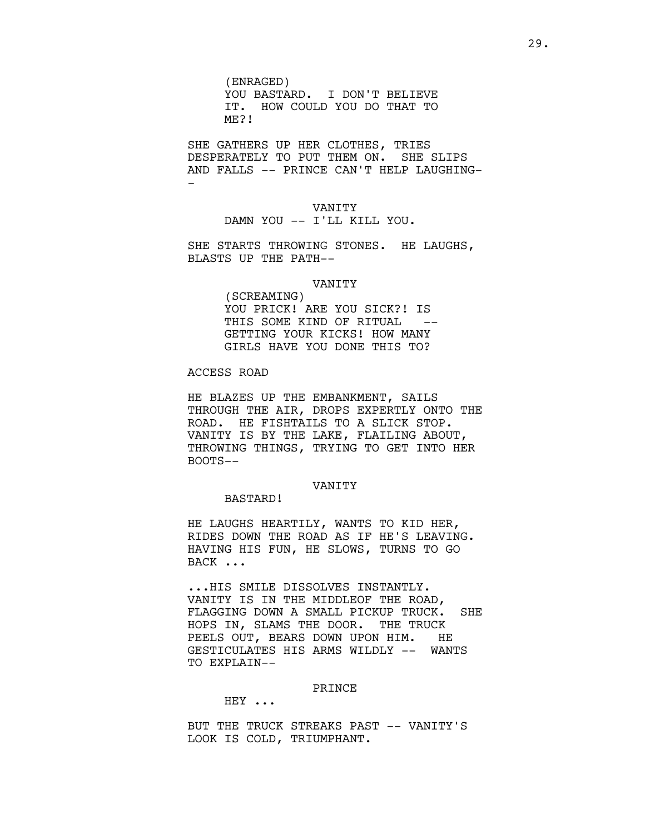(ENRAGED) YOU BASTARD. I DON'T BELIEVE IT. HOW COULD YOU DO THAT TO ME?!

 SHE GATHERS UP HER CLOTHES, TRIES DESPERATELY TO PUT THEM ON. SHE SLIPS AND FALLS -- PRINCE CAN'T HELP LAUGHING- - 1990 - 1990 - 1990 -

> VANITY DAMN YOU -- I'LL KILL YOU.

 SHE STARTS THROWING STONES. HE LAUGHS, BLASTS UP THE PATH--

#### VANITY

 (SCREAMING) YOU PRICK! ARE YOU SICK?! IS THIS SOME KIND OF RITUAL -- GETTING YOUR KICKS! HOW MANY GIRLS HAVE YOU DONE THIS TO?

ACCESS ROAD

 HE BLAZES UP THE EMBANKMENT, SAILS THROUGH THE AIR, DROPS EXPERTLY ONTO THE ROAD. HE FISHTAILS TO A SLICK STOP. VANITY IS BY THE LAKE, FLAILING ABOUT, THROWING THINGS, TRYING TO GET INTO HER BOOTS--

#### VANITY

BASTARD!

 HE LAUGHS HEARTILY, WANTS TO KID HER, RIDES DOWN THE ROAD AS IF HE'S LEAVING. HAVING HIS FUN, HE SLOWS, TURNS TO GO BACK ...

 ...HIS SMILE DISSOLVES INSTANTLY. VANITY IS IN THE MIDDLEOF THE ROAD, FLAGGING DOWN A SMALL PICKUP TRUCK. SHE HOPS IN, SLAMS THE DOOR. THE TRUCK PEELS OUT, BEARS DOWN UPON HIM. HE GESTICULATES HIS ARMS WILDLY -- WANTS TO EXPLAIN--

#### PRINCE

HEY ...

BUT THE TRUCK STREAKS PAST -- VANITY'S LOOK IS COLD, TRIUMPHANT.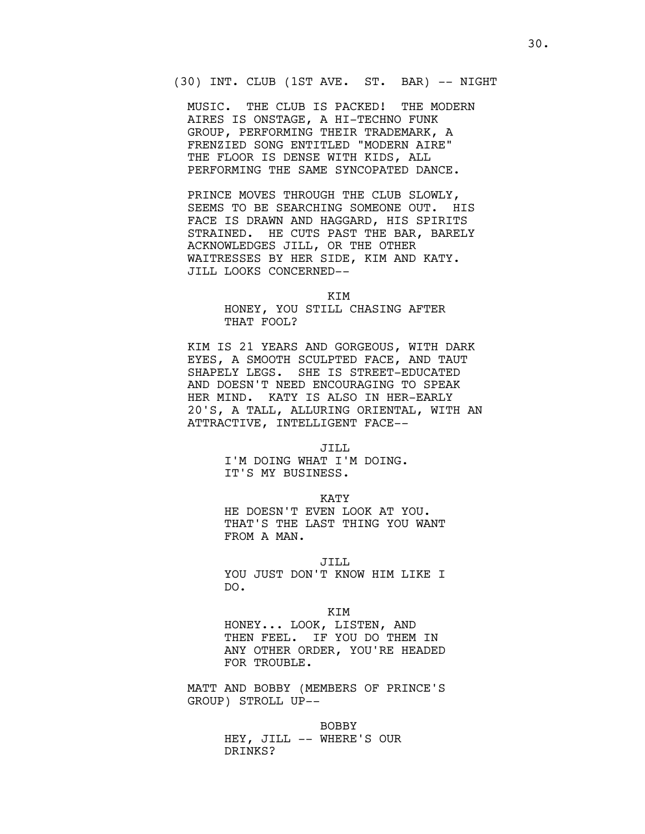(30) INT. CLUB (1ST AVE. ST. BAR) -- NIGHT

 MUSIC. THE CLUB IS PACKED! THE MODERN AIRES IS ONSTAGE, A HI-TECHNO FUNK GROUP, PERFORMING THEIR TRADEMARK, A FRENZIED SONG ENTITLED "MODERN AIRE" THE FLOOR IS DENSE WITH KIDS, ALL PERFORMING THE SAME SYNCOPATED DANCE.

PRINCE MOVES THROUGH THE CLUB SLOWLY, SEEMS TO BE SEARCHING SOMEONE OUT. HIS FACE IS DRAWN AND HAGGARD, HIS SPIRITS STRAINED. HE CUTS PAST THE BAR, BARELY ACKNOWLEDGES JILL, OR THE OTHER WAITRESSES BY HER SIDE, KIM AND KATY. JILL LOOKS CONCERNED--

**KIM**  HONEY, YOU STILL CHASING AFTER THAT FOOL?

> KIM IS 21 YEARS AND GORGEOUS, WITH DARK EYES, A SMOOTH SCULPTED FACE, AND TAUT SHAPELY LEGS. SHE IS STREET-EDUCATED AND DOESN'T NEED ENCOURAGING TO SPEAK HER MIND. KATY IS ALSO IN HER-EARLY 20'S, A TALL, ALLURING ORIENTAL, WITH AN ATTRACTIVE, INTELLIGENT FACE--

JILL

 I'M DOING WHAT I'M DOING. IT'S MY BUSINESS.

KATY

 HE DOESN'T EVEN LOOK AT YOU. THAT'S THE LAST THING YOU WANT FROM A MAN.

 JILL YOU JUST DON'T KNOW HIM LIKE I DO.

**KIM**  HONEY... LOOK, LISTEN, AND THEN FEEL. IF YOU DO THEM IN ANY OTHER ORDER, YOU'RE HEADED FOR TROUBLE.

> MATT AND BOBBY (MEMBERS OF PRINCE'S GROUP) STROLL UP--

> > BOBBY HEY, JILL -- WHERE'S OUR DRINKS?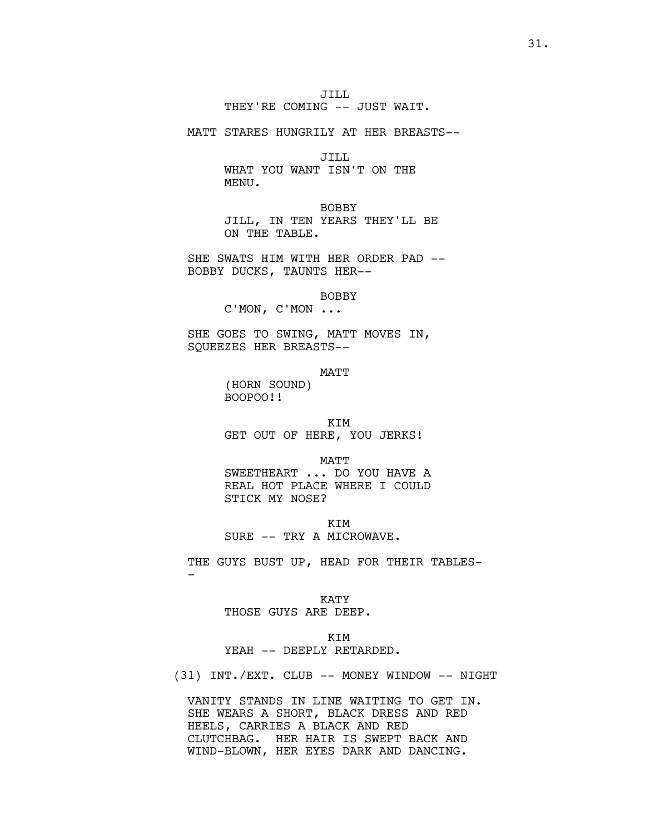JILL THEY'RE COMING -- JUST WAIT.

MATT STARES HUNGRILY AT HER BREASTS--

 JILL WHAT YOU WANT ISN'T ON THE MENU.

 BOBBY JILL, IN TEN YEARS THEY'LL BE ON THE TABLE.

 SHE SWATS HIM WITH HER ORDER PAD -- BOBBY DUCKS, TAUNTS HER--

BOBBY

C'MON, C'MON ...

 SHE GOES TO SWING, MATT MOVES IN, SQUEEZES HER BREASTS--

MATT

 (HORN SOUND) BOOPOO!!

**KIM** GET OUT OF HERE, YOU JERKS!

MATT

 SWEETHEART ... DO YOU HAVE A REAL HOT PLACE WHERE I COULD STICK MY NOSE?

**KIM** SURE -- TRY A MICROWAVE.

THE GUYS BUST UP, HEAD FOR THEIR TABLES-

- 1990 - 1990 - 1990 -

 KATY THOSE GUYS ARE DEEP.

# **KIM**

YEAH -- DEEPLY RETARDED.

(31) INT./EXT. CLUB -- MONEY WINDOW -- NIGHT

 VANITY STANDS IN LINE WAITING TO GET IN. SHE WEARS A SHORT, BLACK DRESS AND RED HEELS, CARRIES A BLACK AND RED CLUTCHBAG. HER HAIR IS SWEPT BACK AND WIND-BLOWN, HER EYES DARK AND DANCING.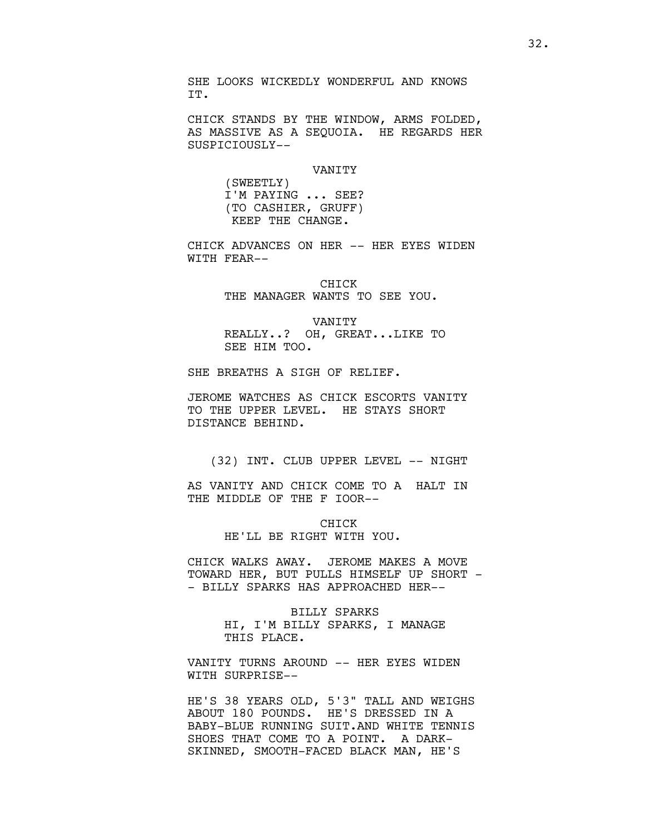SHE LOOKS WICKEDLY WONDERFUL AND KNOWS IT.

 CHICK STANDS BY THE WINDOW, ARMS FOLDED, AS MASSIVE AS A SEQUOIA. HE REGARDS HER SUSPICIOUSLY--

VANITY

 (SWEETLY) I'M PAYING ... SEE? (TO CASHIER, GRUFF) KEEP THE CHANGE.

CHICK ADVANCES ON HER -- HER EYES WIDEN WITH FEAR--

> CHICK THE MANAGER WANTS TO SEE YOU.

 VANITY REALLY..? OH, GREAT...LIKE TO SEE HIM TOO.

SHE BREATHS A SIGH OF RELIEF.

 JEROME WATCHES AS CHICK ESCORTS VANITY TO THE UPPER LEVEL. HE STAYS SHORT DISTANCE BEHIND.

(32) INT. CLUB UPPER LEVEL -- NIGHT

 AS VANITY AND CHICK COME TO A HALT IN THE MIDDLE OF THE F IOOR--

> CHICK HE'LL BE RIGHT WITH YOU.

 CHICK WALKS AWAY. JEROME MAKES A MOVE TOWARD HER, BUT PULLS HIMSELF UP SHORT - - BILLY SPARKS HAS APPROACHED HER--

> BILLY SPARKS HI, I'M BILLY SPARKS, I MANAGE THIS PLACE.

 VANITY TURNS AROUND -- HER EYES WIDEN WITH SURPRISE--

 HE'S 38 YEARS OLD, 5'3" TALL AND WEIGHS ABOUT 180 POUNDS. HE'S DRESSED IN A BABY-BLUE RUNNING SUIT.AND WHITE TENNIS SHOES THAT COME TO A POINT. A DARK- SKINNED, SMOOTH-FACED BLACK MAN, HE'S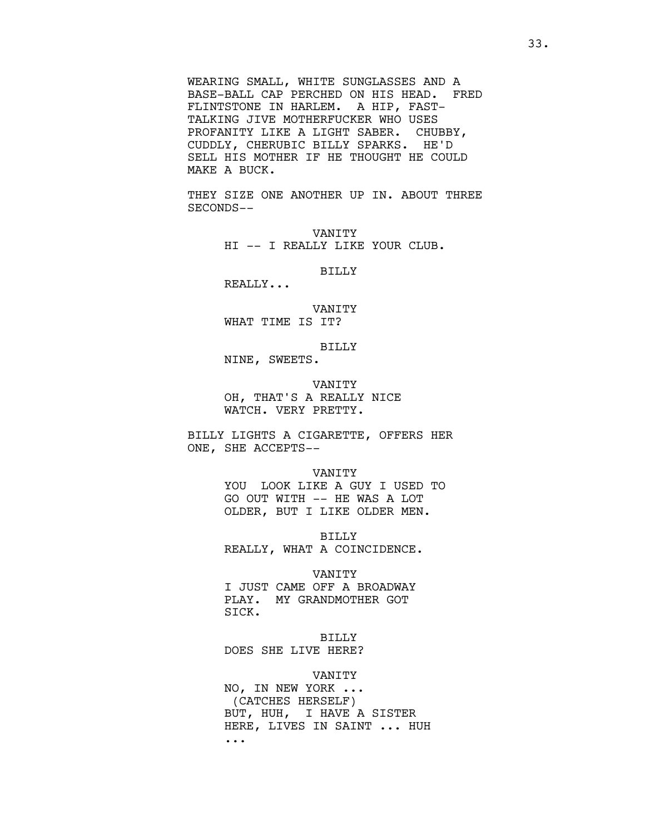WEARING SMALL, WHITE SUNGLASSES AND A BASE-BALL CAP PERCHED ON HIS HEAD. FRED FLINTSTONE IN HARLEM. A HIP, FAST- TALKING JIVE MOTHERFUCKER WHO USES PROFANITY LIKE A LIGHT SABER. CHUBBY, CUDDLY, CHERUBIC BILLY SPARKS. HE'D SELL HIS MOTHER IF HE THOUGHT HE COULD MAKE A BUCK.

> THEY SIZE ONE ANOTHER UP IN. ABOUT THREE SECONDS--

> > VANITY HI -- I REALLY LIKE YOUR CLUB.

> > > BILLY

REALLY...

 VANITY WHAT TIME IS IT?

 BILLY NINE, SWEETS.

 VANITY OH, THAT'S A REALLY NICE WATCH. VERY PRETTY.

 BILLY LIGHTS A CIGARETTE, OFFERS HER ONE, SHE ACCEPTS--

> VANITY YOU LOOK LIKE A GUY I USED TO GO OUT WITH -- HE WAS A LOT OLDER, BUT I LIKE OLDER MEN.

 BILLY REALLY, WHAT A COINCIDENCE.

 VANITY I JUST CAME OFF A BROADWAY PLAY. MY GRANDMOTHER GOT SICK.

 BILLY DOES SHE LIVE HERE?

 VANITY NO, IN NEW YORK ... (CATCHES HERSELF) BUT, HUH, I HAVE A SISTER HERE, LIVES IN SAINT ... HUH ...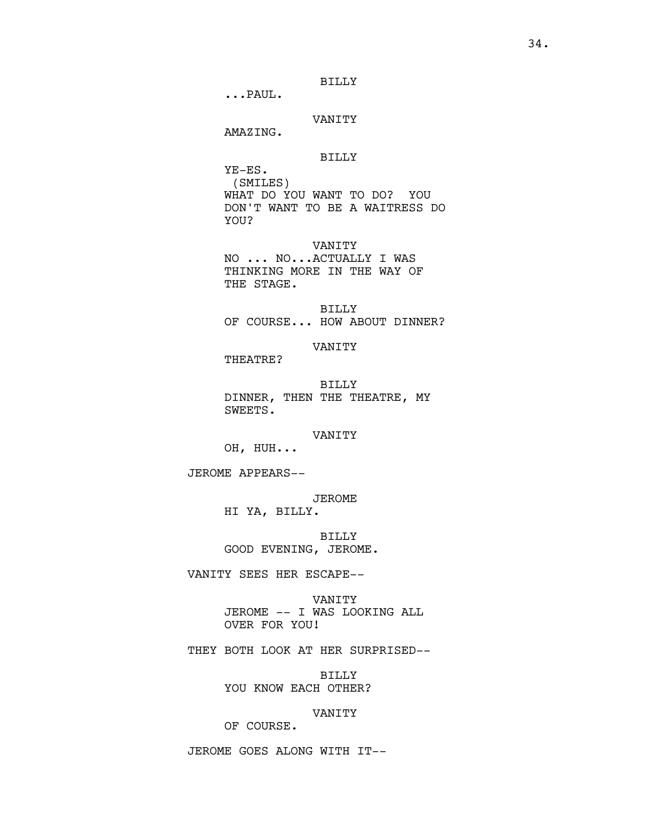...PAUL.

# VANITY

AMAZING.

## BILLY

 YE-ES. (SMILES) WHAT DO YOU WANT TO DO? YOU DON'T WANT TO BE A WAITRESS DO YOU?

 VANITY NO ... NO...ACTUALLY I WAS THINKING MORE IN THE WAY OF THE STAGE.

 BILLY OF COURSE... HOW ABOUT DINNER?

 VANITY THEATRE?

 BILLY DINNER, THEN THE THEATRE, MY SWEETS.

## VANITY

OH, HUH...

JEROME APPEARS--

 JEROME HI YA, BILLY.

 BILLY GOOD EVENING, JEROME.

VANITY SEES HER ESCAPE--

 VANITY JEROME -- I WAS LOOKING ALL OVER FOR YOU!

THEY BOTH LOOK AT HER SURPRISED--

 BILLY YOU KNOW EACH OTHER?

# VANITY

OF COURSE.

JEROME GOES ALONG WITH IT--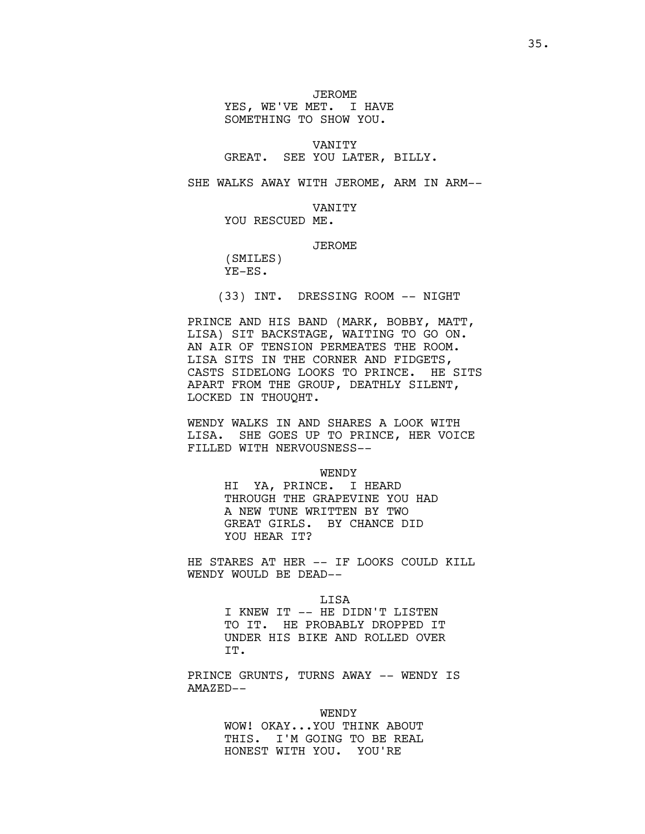JEROME YES, WE'VE MET. I HAVE SOMETHING TO SHOW YOU.

 VANITY GREAT. SEE YOU LATER, BILLY.

SHE WALKS AWAY WITH JEROME, ARM IN ARM--

 VANITY YOU RESCUED ME.

JEROME

 (SMILES) YE-ES.

(33) INT. DRESSING ROOM -- NIGHT

 PRINCE AND HIS BAND (MARK, BOBBY, MATT, LISA) SIT BACKSTAGE, WAITING TO GO ON. AN AIR OF TENSION PERMEATES THE ROOM. LISA SITS IN THE CORNER AND FIDGETS, CASTS SIDELONG LOOKS TO PRINCE. HE SITS APART FROM THE GROUP, DEATHLY SILENT, LOCKED IN THOUQHT.

 WENDY WALKS IN AND SHARES A LOOK WITH LISA. SHE GOES UP TO PRINCE, HER VOICE FILLED WITH NERVOUSNESS--

> WENDY HI YA, PRINCE. I HEARD THROUGH THE GRAPEVINE YOU HAD A NEW TUNE WRITTEN BY TWO GREAT GIRLS. BY CHANCE DID YOU HEAR IT?

 HE STARES AT HER -- IF LOOKS COULD KILL WENDY WOULD BE DEAD--

 LISA I KNEW IT -- HE DIDN'T LISTEN TO IT. HE PROBABLY DROPPED IT UNDER HIS BIKE AND ROLLED OVER IT.

> PRINCE GRUNTS, TURNS AWAY -- WENDY IS AMAZED--

> > WENDY WOW! OKAY...YOU THINK ABOUT THIS. I'M GOING TO BE REAL HONEST WITH YOU. YOU'RE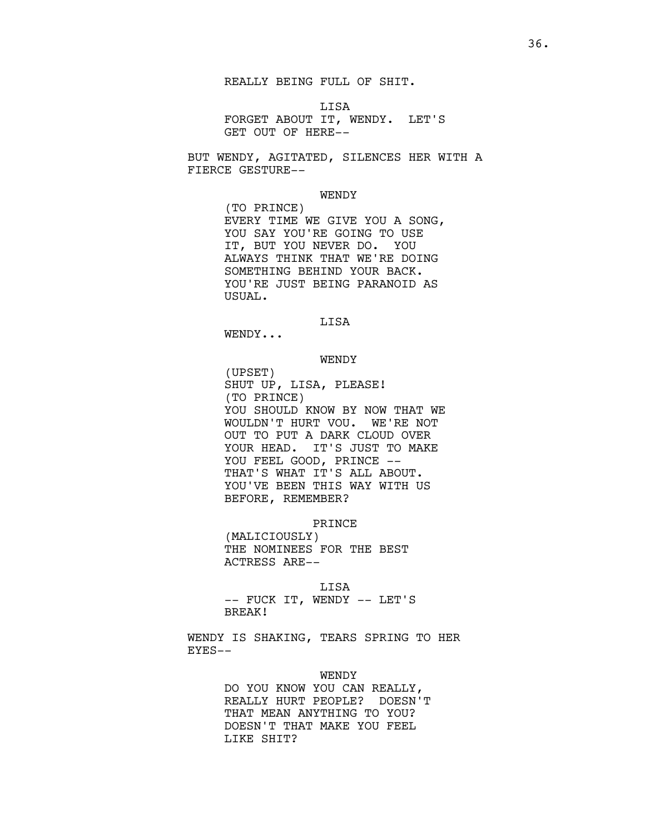REALLY BEING FULL OF SHIT.

 LISA FORGET ABOUT IT, WENDY. LET'S GET OUT OF HERE--

 BUT WENDY, AGITATED, SILENCES HER WITH A FIERCE GESTURE--

WENDY

 (TO PRINCE) EVERY TIME WE GIVE YOU A SONG, YOU SAY YOU'RE GOING TO USE IT, BUT YOU NEVER DO. YOU ALWAYS THINK THAT WE'RE DOING SOMETHING BEHIND YOUR BACK. YOU'RE JUST BEING PARANOID AS USUAL.

LISA

WENDY...

WENDY

 (UPSET) SHUT UP, LISA, PLEASE! (TO PRINCE) YOU SHOULD KNOW BY NOW THAT WE WOULDN'T HURT VOU. WE'RE NOT OUT TO PUT A DARK CLOUD OVER YOUR HEAD. IT'S JUST TO MAKE YOU FEEL GOOD, PRINCE -- THAT'S WHAT IT'S ALL ABOUT. YOU'VE BEEN THIS WAY WITH US BEFORE, REMEMBER?

PRINCE

 (MALICIOUSLY) THE NOMINEES FOR THE BEST ACTRESS ARE--

LISA

-- FUCK IT, WENDY -- LET'S BREAK!

 WENDY IS SHAKING, TEARS SPRING TO HER EYES--

WENDY

 DO YOU KNOW YOU CAN REALLY, REALLY HURT PEOPLE? DOESN'T THAT MEAN ANYTHING TO YOU? DOESN'T THAT MAKE YOU FEEL LIKE SHIT?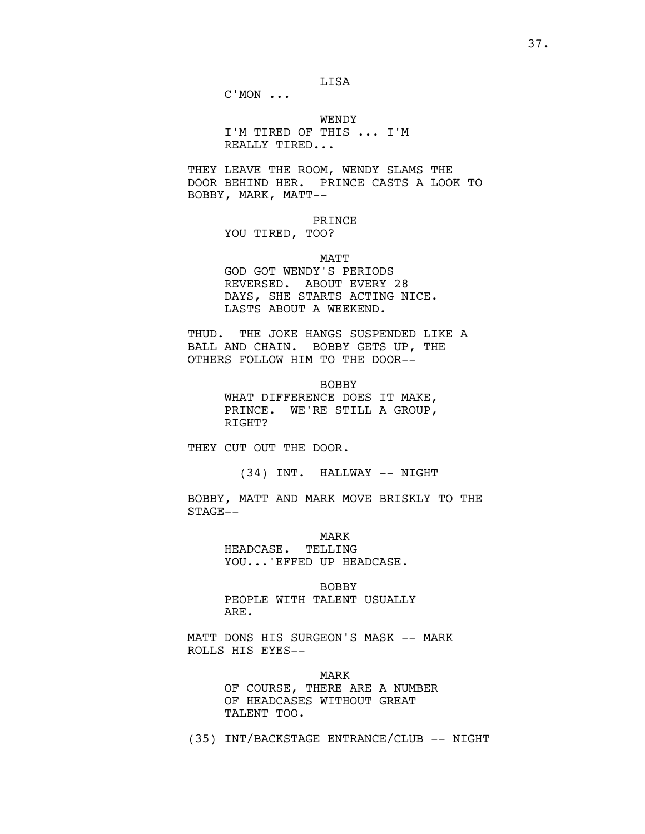LISA

C'MON ...

 WENDY I'M TIRED OF THIS ... I'M REALLY TIRED...

 THEY LEAVE THE ROOM, WENDY SLAMS THE DOOR BEHIND HER. PRINCE CASTS A LOOK TO BOBBY, MARK, MATT--

PRINCE

YOU TIRED, TOO?

MATT

 GOD GOT WENDY'S PERIODS REVERSED. ABOUT EVERY 28 DAYS, SHE STARTS ACTING NICE. LASTS ABOUT A WEEKEND.

 THUD. THE JOKE HANGS SUSPENDED LIKE A BALL AND CHAIN. BOBBY GETS UP, THE OTHERS FOLLOW HIM TO THE DOOR--

> BOBBY WHAT DIFFERENCE DOES IT MAKE, PRINCE. WE'RE STILL A GROUP, RIGHT?

THEY CUT OUT THE DOOR.

(34) INT. HALLWAY -- NIGHT

 BOBBY, MATT AND MARK MOVE BRISKLY TO THE STAGE--

**MARK**  HEADCASE. TELLING YOU...'EFFED UP HEADCASE.

> BOBBY PEOPLE WITH TALENT USUALLY ARE.

 MATT DONS HIS SURGEON'S MASK -- MARK ROLLS HIS EYES--

**MARK**  OF COURSE, THERE ARE A NUMBER OF HEADCASES WITHOUT GREAT TALENT TOO.

(35) INT/BACKSTAGE ENTRANCE/CLUB -- NIGHT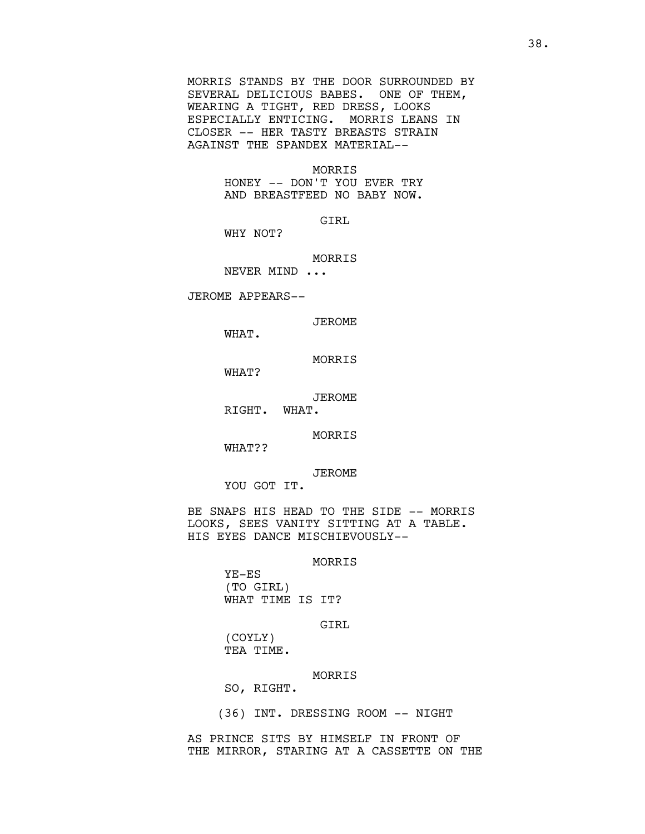MORRIS STANDS BY THE DOOR SURROUNDED BY SEVERAL DELICIOUS BABES. ONE OF THEM, WEARING A TIGHT, RED DRESS, LOOKS ESPECIALLY ENTICING. MORRIS LEANS IN CLOSER -- HER TASTY BREASTS STRAIN AGAINST THE SPANDEX MATERIAL--

#### MORRIS

 HONEY -- DON'T YOU EVER TRY AND BREASTFEED NO BABY NOW.

GIRL

WHY NOT?

MORRIS

NEVER MIND ...

JEROME APPEARS--

JEROME

WHAT.

MORRIS

WHAT?

 JEROME RIGHT. WHAT.

MORRIS

WHAT??

JEROME

YOU GOT IT.

 BE SNAPS HIS HEAD TO THE SIDE -- MORRIS LOOKS, SEES VANITY SITTING AT A TABLE. HIS EYES DANCE MISCHIEVOUSLY--

### MORRIS

 YE-ES (TO GIRL) WHAT TIME IS IT?

GIRL

 (COYLY) TEA TIME.

#### MORRIS

SO, RIGHT.

(36) INT. DRESSING ROOM -- NIGHT

 AS PRINCE SITS BY HIMSELF IN FRONT OF THE MIRROR, STARING AT A CASSETTE ON THE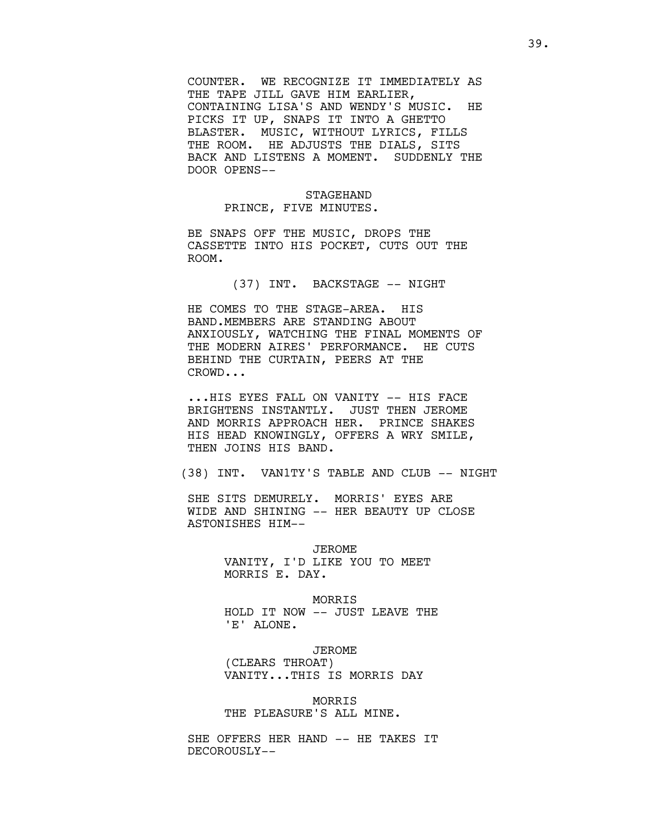COUNTER. WE RECOGNIZE IT IMMEDIATELY AS THE TAPE JILL GAVE HIM EARLIER, CONTAINING LISA'S AND WENDY'S MUSIC. HE PICKS IT UP, SNAPS IT INTO A GHETTO BLASTER. MUSIC, WITHOUT LYRICS, FILLS THE ROOM. HE ADJUSTS THE DIALS, SITS BACK AND LISTENS A MOMENT. SUDDENLY THE DOOR OPENS--

## STAGEHAND PRINCE, FIVE MINUTES.

 BE SNAPS OFF THE MUSIC, DROPS THE CASSETTE INTO HIS POCKET, CUTS OUT THE ROOM.

(37) INT. BACKSTAGE -- NIGHT

 HE COMES TO THE STAGE-AREA. HIS BAND.MEMBERS ARE STANDING ABOUT ANXIOUSLY, WATCHING THE FINAL MOMENTS OF THE MODERN AIRES' PERFORMANCE. HE CUTS BEHIND THE CURTAIN, PEERS AT THE CROWD...

 ...HIS EYES FALL ON VANITY -- HIS FACE BRIGHTENS INSTANTLY. JUST THEN JEROME AND MORRIS APPROACH HER. PRINCE SHAKES HIS HEAD KNOWINGLY, OFFERS A WRY SMILE, THEN JOINS HIS BAND.

(38) INT. VAN1TY'S TABLE AND CLUB -- NIGHT

 SHE SITS DEMURELY. MORRIS' EYES ARE WIDE AND SHINING -- HER BEAUTY UP CLOSE ASTONISHES HIM--

> JEROME VANITY, I'D LIKE YOU TO MEET MORRIS E. DAY.

 MORRIS HOLD IT NOW -- JUST LEAVE THE 'E' ALONE.

 JEROME (CLEARS THROAT) VANITY...THIS IS MORRIS DAY

 MORRIS THE PLEASURE'S ALL MINE.

 SHE OFFERS HER HAND -- HE TAKES IT DECOROUSLY--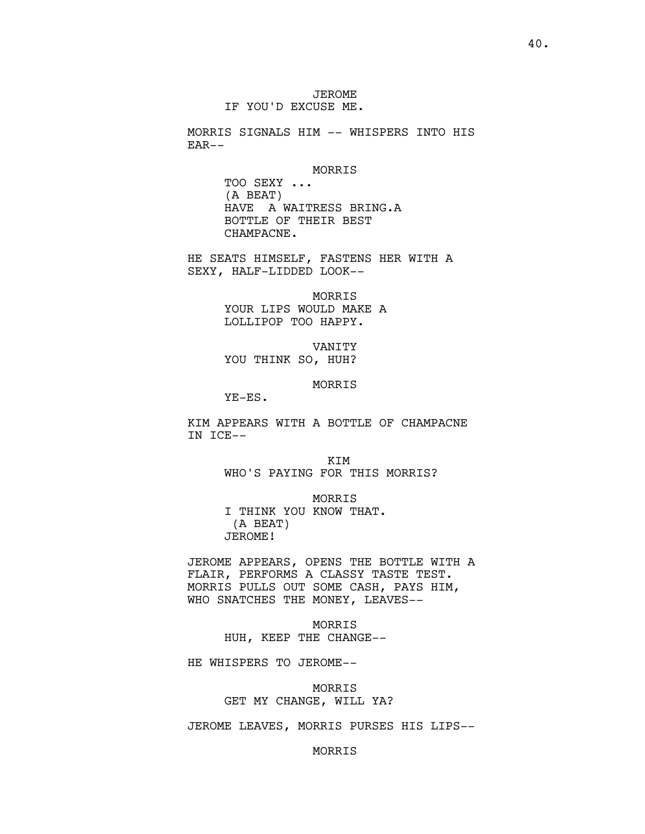JEROME IF YOU'D EXCUSE ME.

 MORRIS SIGNALS HIM -- WHISPERS INTO HIS EAR--

MORRIS

 TOO SEXY ... (A BEAT) HAVE A WAITRESS BRING.A BOTTLE OF THEIR BEST CHAMPACNE.

 HE SEATS HIMSELF, FASTENS HER WITH A SEXY, HALF-LIDDED LOOK--

> MORRIS YOUR LIPS WOULD MAKE A LOLLIPOP TOO HAPPY.

 VANITY YOU THINK SO, HUH?

MORRIS

YE-ES.

 KIM APPEARS WITH A BOTTLE OF CHAMPACNE IN ICE--

**KIM** WHO'S PAYING FOR THIS MORRIS?

> MORRIS I THINK YOU KNOW THAT. (A BEAT) JEROME!

 JEROME APPEARS, OPENS THE BOTTLE WITH A FLAIR, PERFORMS A CLASSY TASTE TEST. MORRIS PULLS OUT SOME CASH, PAYS HIM, WHO SNATCHES THE MONEY, LEAVES--

> MORRIS HUH, KEEP THE CHANGE--

HE WHISPERS TO JEROME--

 MORRIS GET MY CHANGE, WILL YA?

JEROME LEAVES, MORRIS PURSES HIS LIPS--

MORRIS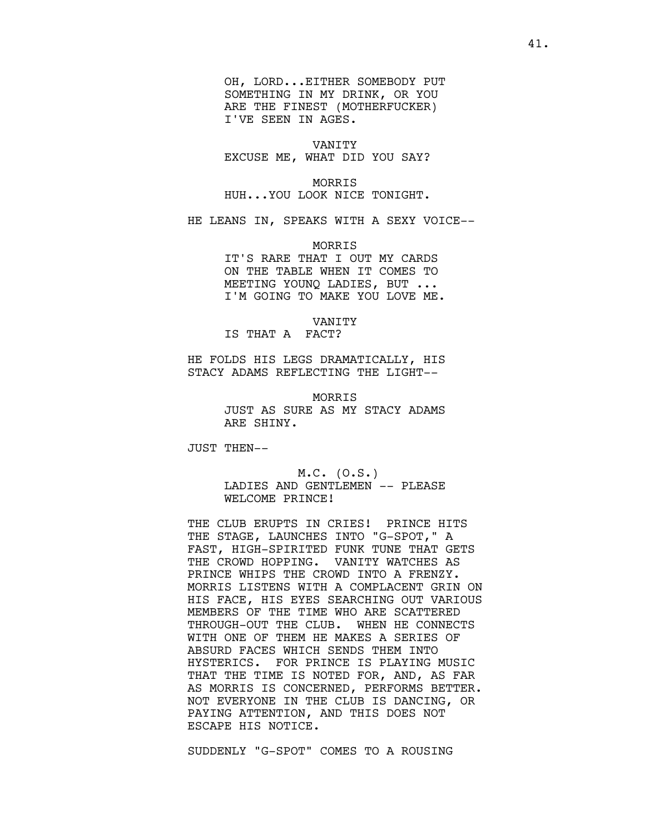OH, LORD...EITHER SOMEBODY PUT SOMETHING IN MY DRINK, OR YOU ARE THE FINEST (MOTHERFUCKER) I'VE SEEN IN AGES.

VANITY

EXCUSE ME, WHAT DID YOU SAY?

MORRIS

HUH...YOU LOOK NICE TONIGHT.

HE LEANS IN, SPEAKS WITH A SEXY VOICE--

MORRIS

 IT'S RARE THAT I OUT MY CARDS ON THE TABLE WHEN IT COMES TO MEETING YOUNQ LADIES, BUT ... I'M GOING TO MAKE YOU LOVE ME.

VANITY

### IS THAT A FACT?

 HE FOLDS HIS LEGS DRAMATICALLY, HIS STACY ADAMS REFLECTING THE LIGHT--

> MORRIS JUST AS SURE AS MY STACY ADAMS ARE SHINY.

JUST THEN--

 M.C. (O.S.) LADIES AND GENTLEMEN -- PLEASE WELCOME PRINCE!

 THE CLUB ERUPTS IN CRIES! PRINCE HITS THE STAGE, LAUNCHES INTO "G-SPOT," A FAST, HIGH-SPIRITED FUNK TUNE THAT GETS THE CROWD HOPPING. VANITY WATCHES AS PRINCE WHIPS THE CROWD INTO A FRENZY. MORRIS LISTENS WITH A COMPLACENT GRIN ON HIS FACE, HIS EYES SEARCHING OUT VARIOUS MEMBERS OF THE TIME WHO ARE SCATTERED THROUGH-OUT THE CLUB. WHEN HE CONNECTS WITH ONE OF THEM HE MAKES A SERIES OF ABSURD FACES WHICH SENDS THEM INTO HYSTERICS. FOR PRINCE IS PLAYING MUSIC THAT THE TIME IS NOTED FOR, AND, AS FAR AS MORRIS IS CONCERNED, PERFORMS BETTER. NOT EVERYONE IN THE CLUB IS DANCING, OR PAYING ATTENTION, AND THIS DOES NOT ESCAPE HIS NOTICE.

SUDDENLY "G-SPOT" COMES TO A ROUSING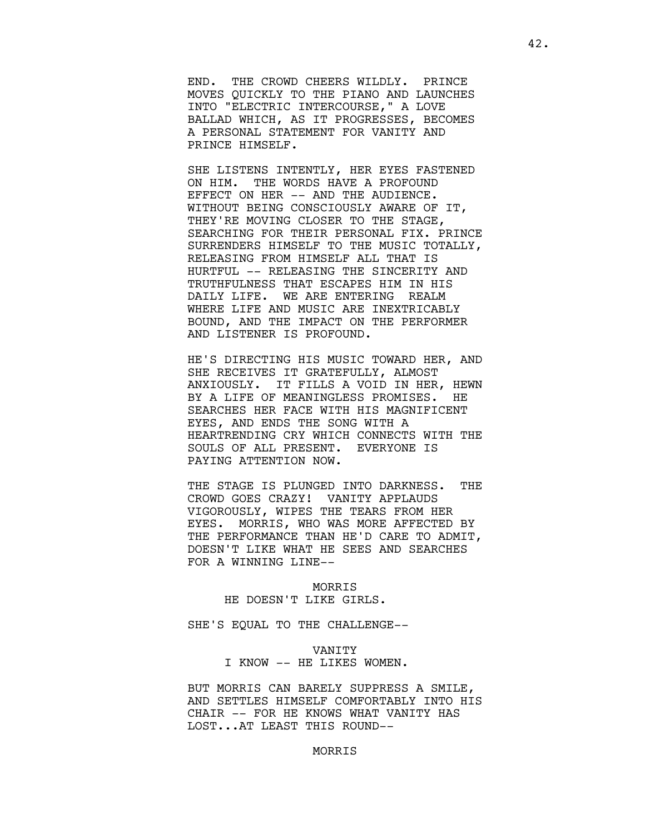END. THE CROWD CHEERS WILDLY. PRINCE MOVES QUICKLY TO THE PIANO AND LAUNCHES INTO "ELECTRIC INTERCOURSE," A LOVE BALLAD WHICH, AS IT PROGRESSES, BECOMES A PERSONAL STATEMENT FOR VANITY AND PRINCE HIMSELF.

 SHE LISTENS INTENTLY, HER EYES FASTENED ON HIM. THE WORDS HAVE A PROFOUND EFFECT ON HER -- AND THE AUDIENCE. WITHOUT BEING CONSCIOUSLY AWARE OF IT, THEY'RE MOVING CLOSER TO THE STAGE, SEARCHING FOR THEIR PERSONAL FIX. PRINCE SURRENDERS HIMSELF TO THE MUSIC TOTALLY, RELEASING FROM HIMSELF ALL THAT IS HURTFUL -- RELEASING THE SINCERITY AND TRUTHFULNESS THAT ESCAPES HIM IN HIS DAILY LIFE. WE ARE ENTERING REALM WHERE LIFE AND MUSIC ARE INEXTRICABLY BOUND, AND THE IMPACT ON THE PERFORMER AND LISTENER IS PROFOUND.

 HE'S DIRECTING HIS MUSIC TOWARD HER, AND SHE RECEIVES IT GRATEFULLY, ALMOST ANXIOUSLY. IT FILLS A VOID IN HER, HEWN BY A LIFE OF MEANINGLESS PROMISES. HE SEARCHES HER FACE WITH HIS MAGNIFICENT EYES, AND ENDS THE SONG WITH A HEARTRENDING CRY WHICH CONNECTS WITH THE SOULS OF ALL PRESENT. EVERYONE IS PAYING ATTENTION NOW.

 THE STAGE IS PLUNGED INTO DARKNESS. THE CROWD GOES CRAZY! VANITY APPLAUDS VIGOROUSLY, WIPES THE TEARS FROM HER EYES. MORRIS, WHO WAS MORE AFFECTED BY THE PERFORMANCE THAN HE'D CARE TO ADMIT, DOESN'T LIKE WHAT HE SEES AND SEARCHES FOR A WINNING LINE--

## MORRIS HE DOESN'T LIKE GIRLS.

SHE'S EQUAL TO THE CHALLENGE--

## VANITY I KNOW -- HE LIKES WOMEN.

 BUT MORRIS CAN BARELY SUPPRESS A SMILE, AND SETTLES HIMSELF COMFORTABLY INTO HIS CHAIR -- FOR HE KNOWS WHAT VANITY HAS LOST...AT LEAST THIS ROUND--

### MORRIS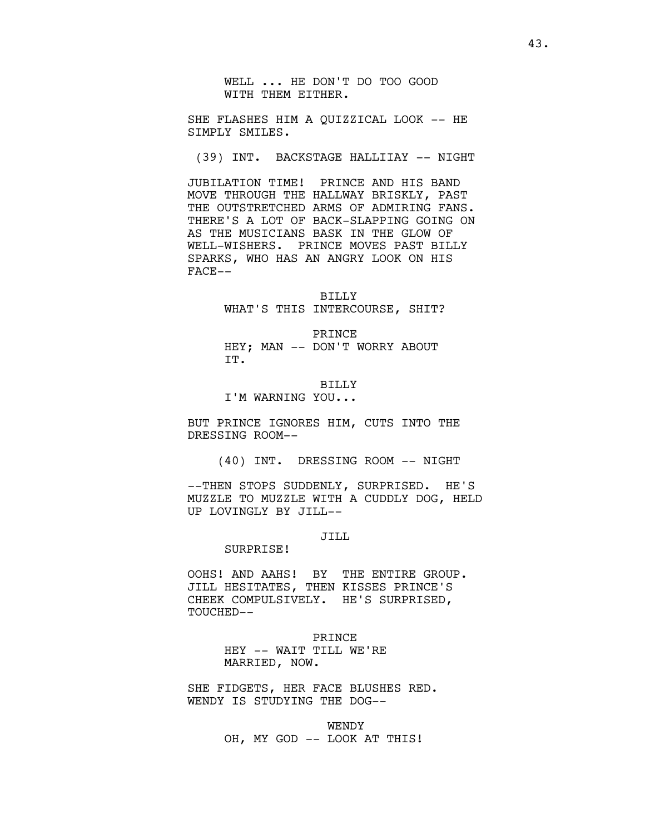WELL ... HE DON'T DO TOO GOOD WITH THEM EITHER.

 SHE FLASHES HIM A QUIZZICAL LOOK -- HE SIMPLY SMILES.

(39) INT. BACKSTAGE HALLIIAY -- NIGHT

 JUBILATION TIME! PRINCE AND HIS BAND MOVE THROUGH THE HALLWAY BRISKLY, PAST THE OUTSTRETCHED ARMS OF ADMIRING FANS. THERE'S A LOT OF BACK-SLAPPING GOING ON AS THE MUSICIANS BASK IN THE GLOW OF WELL-WISHERS. PRINCE MOVES PAST BILLY SPARKS, WHO HAS AN ANGRY LOOK ON HIS FACE--

> BILLY WHAT'S THIS INTERCOURSE, SHIT?

 PRINCE HEY; MAN -- DON'T WORRY ABOUT IT.

BILLY

I'M WARNING YOU...

 BUT PRINCE IGNORES HIM, CUTS INTO THE DRESSING ROOM--

(40) INT. DRESSING ROOM -- NIGHT

 --THEN STOPS SUDDENLY, SURPRISED. HE'S MUZZLE TO MUZZLE WITH A CUDDLY DOG, HELD UP LOVINGLY BY JILL--

JILL

SURPRISE!

 OOHS! AND AAHS! BY THE ENTIRE GROUP. JILL HESITATES, THEN KISSES PRINCE'S CHEEK COMPULSIVELY. HE'S SURPRISED, TOUCHED--

> PRINCE HEY -- WAIT TILL WE'RE MARRIED, NOW.

 SHE FIDGETS, HER FACE BLUSHES RED. WENDY IS STUDYING THE DOG--

> WENDY OH, MY GOD -- LOOK AT THIS!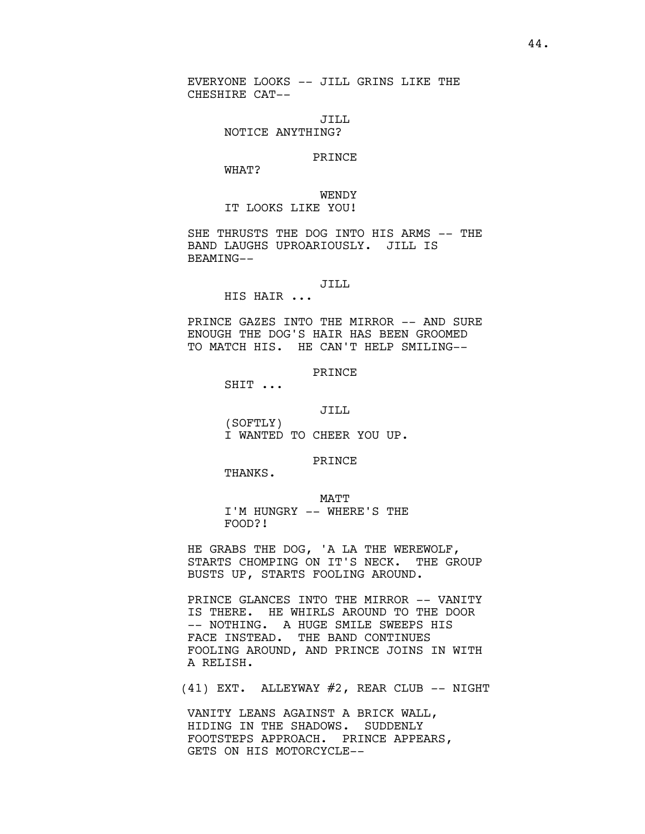EVERYONE LOOKS -- JILL GRINS LIKE THE CHESHIRE CAT--

 JILL NOTICE ANYTHING?

## PRINCE

WHAT?

# WENDY IT LOOKS LIKE YOU!

 SHE THRUSTS THE DOG INTO HIS ARMS -- THE BAND LAUGHS UPROARIOUSLY. JILL IS BEAMING--

## JILL

HIS HAIR ...

 PRINCE GAZES INTO THE MIRROR -- AND SURE ENOUGH THE DOG'S HAIR HAS BEEN GROOMED TO MATCH HIS. HE CAN'T HELP SMILING--

PRINCE

SHIT ...

JILL

 (SOFTLY) I WANTED TO CHEER YOU UP.

PRINCE

THANKS.

 MATT I'M HUNGRY -- WHERE'S THE FOOD?!

 HE GRABS THE DOG, 'A LA THE WEREWOLF, STARTS CHOMPING ON IT'S NECK. THE GROUP BUSTS UP, STARTS FOOLING AROUND.

PRINCE GLANCES INTO THE MIRROR -- VANITY IS THERE. HE WHIRLS AROUND TO THE DOOR -- NOTHING. A HUGE SMILE SWEEPS HIS FACE INSTEAD. THE BAND CONTINUES FOOLING AROUND, AND PRINCE JOINS IN WITH A RELISH.

(41) EXT. ALLEYWAY #2, REAR CLUB -- NIGHT

 VANITY LEANS AGAINST A BRICK WALL, HIDING IN THE SHADOWS. SUDDENLY FOOTSTEPS APPROACH. PRINCE APPEARS, GETS ON HIS MOTORCYCLE--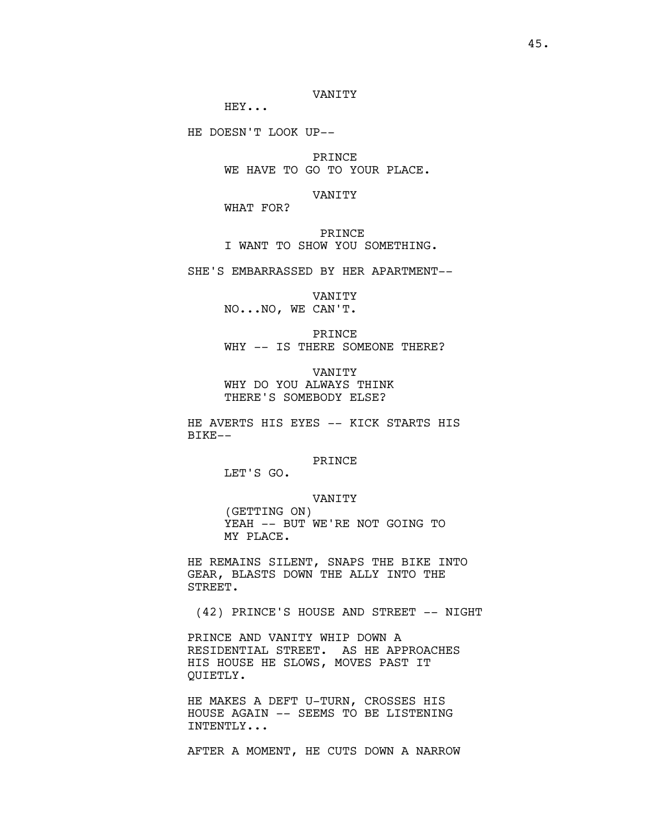HEY...

HE DOESN'T LOOK UP--

 PRINCE WE HAVE TO GO TO YOUR PLACE.

VANITY

WHAT FOR?

 PRINCE I WANT TO SHOW YOU SOMETHING.

SHE'S EMBARRASSED BY HER APARTMENT--

 VANITY NO...NO, WE CAN'T.

 PRINCE WHY -- IS THERE SOMEONE THERE?

 VANITY WHY DO YOU ALWAYS THINK THERE'S SOMEBODY ELSE?

 HE AVERTS HIS EYES -- KICK STARTS HIS BIKE--

PRINCE

LET'S GO.

VANITY

 (GETTING ON) YEAH -- BUT WE'RE NOT GOING TO MY PLACE.

 HE REMAINS SILENT, SNAPS THE BIKE INTO GEAR, BLASTS DOWN THE ALLY INTO THE STREET.

(42) PRINCE'S HOUSE AND STREET -- NIGHT

 PRINCE AND VANITY WHIP DOWN A RESIDENTIAL STREET. AS HE APPROACHES HIS HOUSE HE SLOWS, MOVES PAST IT QUIETLY.

 HE MAKES A DEFT U-TURN, CROSSES HIS HOUSE AGAIN -- SEEMS TO BE LISTENING INTENTLY...

AFTER A MOMENT, HE CUTS DOWN A NARROW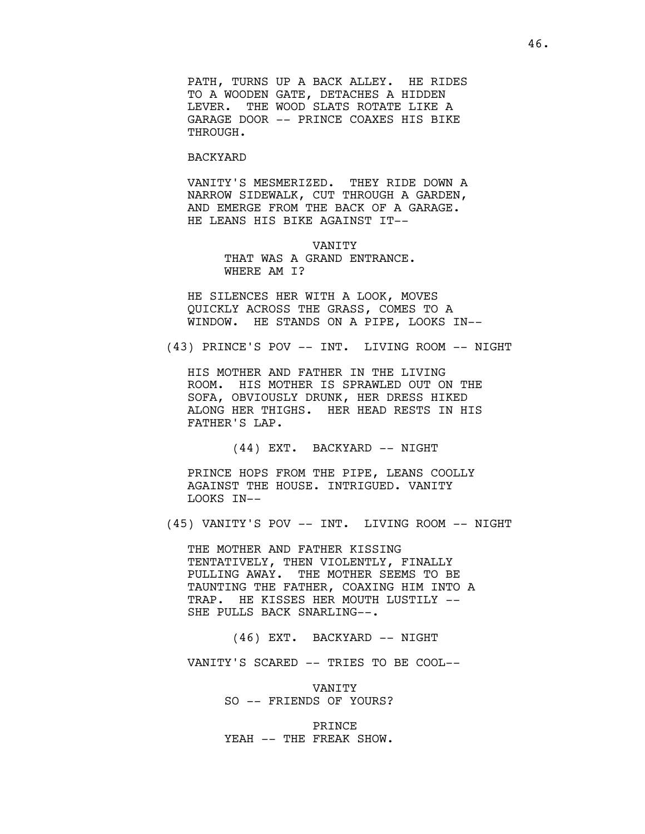PATH, TURNS UP A BACK ALLEY. HE RIDES TO A WOODEN GATE, DETACHES A HIDDEN LEVER. THE WOOD SLATS ROTATE LIKE A GARAGE DOOR -- PRINCE COAXES HIS BIKE THROUGH.

### BACKYARD

 VANITY'S MESMERIZED. THEY RIDE DOWN A NARROW SIDEWALK, CUT THROUGH A GARDEN, AND EMERGE FROM THE BACK OF A GARAGE. HE LEANS HIS BIKE AGAINST IT--

> VANITY THAT WAS A GRAND ENTRANCE. WHERE AM I?

 HE SILENCES HER WITH A LOOK, MOVES QUICKLY ACROSS THE GRASS, COMES TO A WINDOW. HE STANDS ON A PIPE, LOOKS IN--

(43) PRINCE'S POV -- INT. LIVING ROOM -- NIGHT

 HIS MOTHER AND FATHER IN THE LIVING ROOM. HIS MOTHER IS SPRAWLED OUT ON THE SOFA, OBVIOUSLY DRUNK, HER DRESS HIKED ALONG HER THIGHS. HER HEAD RESTS IN HIS FATHER'S LAP.

(44) EXT. BACKYARD -- NIGHT

 PRINCE HOPS FROM THE PIPE, LEANS COOLLY AGAINST THE HOUSE. INTRIGUED. VANITY LOOKS IN--

(45) VANITY'S POV -- INT. LIVING ROOM -- NIGHT

 THE MOTHER AND FATHER KISSING TENTATIVELY, THEN VIOLENTLY, FINALLY PULLING AWAY. THE MOTHER SEEMS TO BE TAUNTING THE FATHER, COAXING HIM INTO A TRAP. HE KISSES HER MOUTH LUSTILY -- SHE PULLS BACK SNARLING--.

(46) EXT. BACKYARD -- NIGHT

VANITY'S SCARED -- TRIES TO BE COOL--

 VANITY SO -- FRIENDS OF YOURS?

 PRINCE YEAH -- THE FREAK SHOW.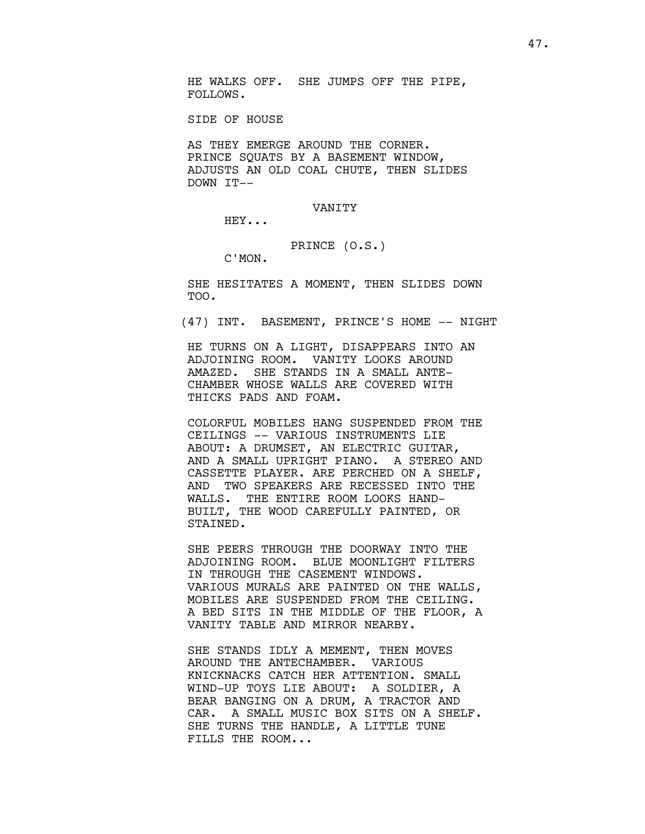SIDE OF HOUSE

 AS THEY EMERGE AROUND THE CORNER. PRINCE SQUATS BY A BASEMENT WINDOW, ADJUSTS AN OLD COAL CHUTE, THEN SLIDES DOWN IT--

VANITY

HEY...

PRINCE (O.S.)

C'MON.

 SHE HESITATES A MOMENT, THEN SLIDES DOWN TOO.

(47) INT. BASEMENT, PRINCE'S HOME -- NIGHT

 HE TURNS ON A LIGHT, DISAPPEARS INTO AN ADJOINING ROOM. VANITY LOOKS AROUND AMAZED. SHE STANDS IN A SMALL ANTE- CHAMBER WHOSE WALLS ARE COVERED WITH THICKS PADS AND FOAM.

 COLORFUL MOBILES HANG SUSPENDED FROM THE CEILINGS -- VARIOUS INSTRUMENTS LIE ABOUT: A DRUMSET, AN ELECTRIC GUITAR, AND A SMALL UPRIGHT PIANO. A STEREO AND CASSETTE PLAYER. ARE PERCHED ON A SHELF, AND TWO SPEAKERS ARE RECESSED INTO THE WALLS. THE ENTIRE ROOM LOOKS HAND- BUILT, THE WOOD CAREFULLY PAINTED, OR STAINED.

 SHE PEERS THROUGH THE DOORWAY INTO THE ADJOINING ROOM. BLUE MOONLIGHT FILTERS IN THROUGH THE CASEMENT WINDOWS. VARIOUS MURALS ARE PAINTED ON THE WALLS, MOBILES ARE SUSPENDED FROM THE CEILING. A BED SITS IN THE MIDDLE OF THE FLOOR, A VANITY TABLE AND MIRROR NEARBY.

 SHE STANDS IDLY A MEMENT, THEN MOVES AROUND THE ANTECHAMBER. VARIOUS KNICKNACKS CATCH HER ATTENTION. SMALL WIND-UP TOYS LIE ABOUT: A SOLDIER, A BEAR BANGING ON A DRUM, A TRACTOR AND CAR. A SMALL MUSIC BOX SITS ON A SHELF. SHE TURNS THE HANDLE, A LITTLE TUNE FILLS THE ROOM...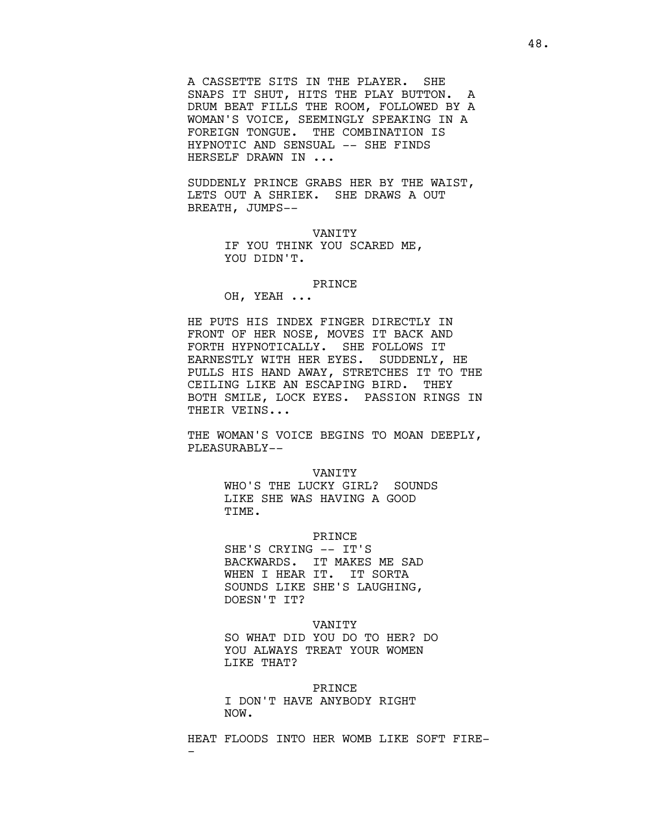A CASSETTE SITS IN THE PLAYER. SHE SNAPS IT SHUT, HITS THE PLAY BUTTON. A DRUM BEAT FILLS THE ROOM, FOLLOWED BY A WOMAN'S VOICE, SEEMINGLY SPEAKING IN A FOREIGN TONGUE. THE COMBINATION IS HYPNOTIC AND SENSUAL -- SHE FINDS HERSELF DRAWN IN ...

 SUDDENLY PRINCE GRABS HER BY THE WAIST, LETS OUT A SHRIEK. SHE DRAWS A OUT BREATH, JUMPS--

> VANITY IF YOU THINK YOU SCARED ME, YOU DIDN'T.

### PRINCE

OH, YEAH ...

 HE PUTS HIS INDEX FINGER DIRECTLY IN FRONT OF HER NOSE, MOVES IT BACK AND FORTH HYPNOTICALLY. SHE FOLLOWS IT EARNESTLY WITH HER EYES. SUDDENLY, HE PULLS HIS HAND AWAY, STRETCHES IT TO THE CEILING LIKE AN ESCAPING BIRD. THEY BOTH SMILE, LOCK EYES. PASSION RINGS IN THEIR VEINS...

 THE WOMAN'S VOICE BEGINS TO MOAN DEEPLY, PLEASURABLY--

> VANITY WHO'S THE LUCKY GIRL? SOUNDS LIKE SHE WAS HAVING A GOOD TIME.

#### PRINCE

 SHE'S CRYING -- IT'S BACKWARDS. IT MAKES ME SAD WHEN I HEAR IT. IT SORTA SOUNDS LIKE SHE'S LAUGHING, DOESN'T IT?

VANITY

 SO WHAT DID YOU DO TO HER? DO YOU ALWAYS TREAT YOUR WOMEN LIKE THAT?

 PRINCE I DON'T HAVE ANYBODY RIGHT NOW.

- 1990 - 1990 - 1990 -

HEAT FLOODS INTO HER WOMB LIKE SOFT FIRE-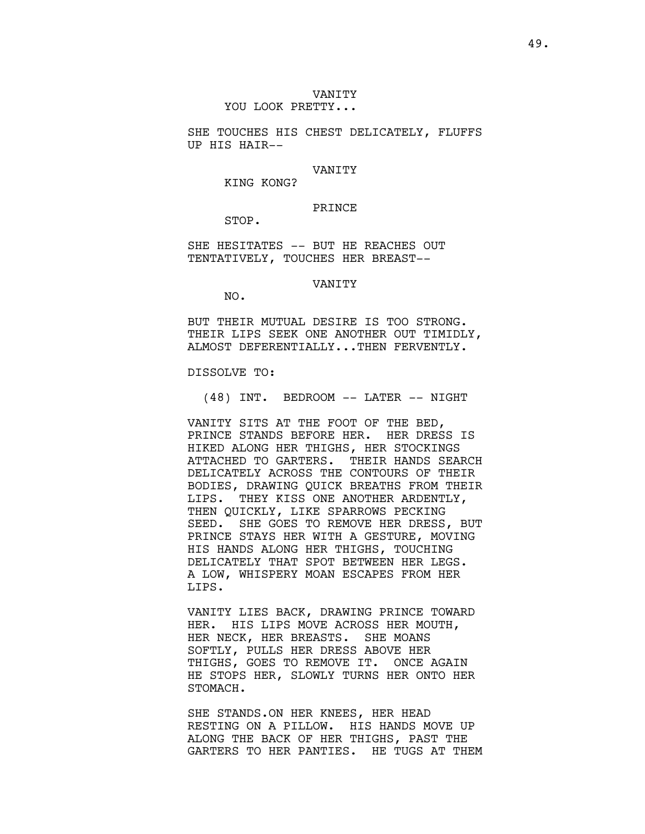YOU LOOK PRETTY...

 SHE TOUCHES HIS CHEST DELICATELY, FLUFFS UP HIS HAIR--

#### VANITY

KING KONG?

## PRINCE

STOP.

 SHE HESITATES -- BUT HE REACHES OUT TENTATIVELY, TOUCHES HER BREAST--

### VANITY

NO.

 BUT THEIR MUTUAL DESIRE IS TOO STRONG. THEIR LIPS SEEK ONE ANOTHER OUT TIMIDLY, ALMOST DEFERENTIALLY...THEN FERVENTLY.

DISSOLVE TO:

(48) INT. BEDROOM -- LATER -- NIGHT

 VANITY SITS AT THE FOOT OF THE BED, PRINCE STANDS BEFORE HER. HER DRESS IS HIKED ALONG HER THIGHS, HER STOCKINGS ATTACHED TO GARTERS. THEIR HANDS SEARCH DELICATELY ACROSS THE CONTOURS OF THEIR BODIES, DRAWING QUICK BREATHS FROM THEIR LIPS. THEY KISS ONE ANOTHER ARDENTLY, THEN QUICKLY, LIKE SPARROWS PECKING SEED. SHE GOES TO REMOVE HER DRESS, BUT PRINCE STAYS HER WITH A GESTURE, MOVING HIS HANDS ALONG HER THIGHS, TOUCHING DELICATELY THAT SPOT BETWEEN HER LEGS. A LOW, WHISPERY MOAN ESCAPES FROM HER LIPS.

 VANITY LIES BACK, DRAWING PRINCE TOWARD HER. HIS LIPS MOVE ACROSS HER MOUTH, HER NECK, HER BREASTS. SHE MOANS SOFTLY, PULLS HER DRESS ABOVE HER THIGHS, GOES TO REMOVE IT. ONCE AGAIN HE STOPS HER, SLOWLY TURNS HER ONTO HER STOMACH.

 SHE STANDS.ON HER KNEES, HER HEAD RESTING ON A PILLOW. HIS HANDS MOVE UP ALONG THE BACK OF HER THIGHS, PAST THE GARTERS TO HER PANTIES. HE TUGS AT THEM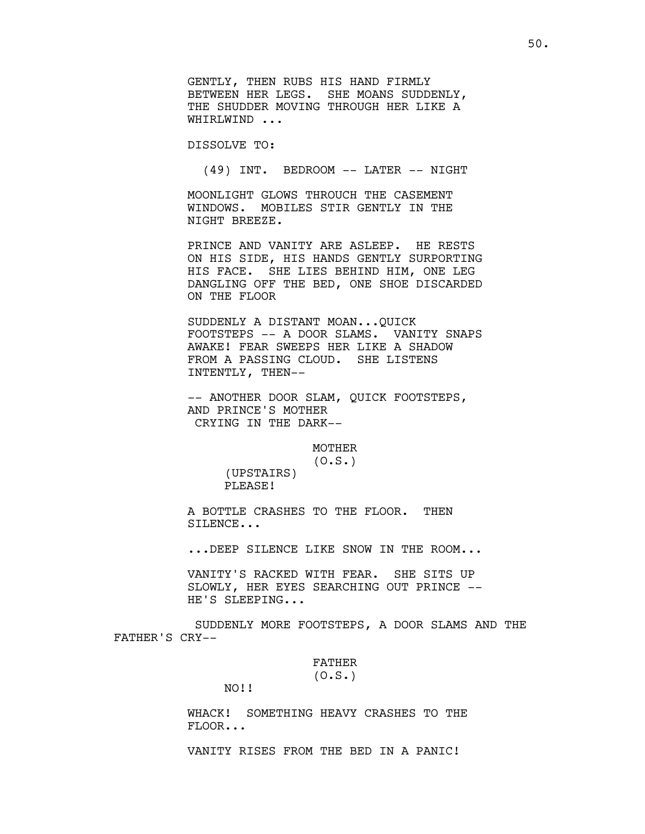GENTLY, THEN RUBS HIS HAND FIRMLY BETWEEN HER LEGS. SHE MOANS SUDDENLY, THE SHUDDER MOVING THROUGH HER LIKE A WHIRLWIND ...

DISSOLVE TO:

(49) INT. BEDROOM -- LATER -- NIGHT

 MOONLIGHT GLOWS THROUCH THE CASEMENT WINDOWS. MOBILES STIR GENTLY IN THE NIGHT BREEZE.

 PRINCE AND VANITY ARE ASLEEP. HE RESTS ON HIS SIDE, HIS HANDS GENTLY SURPORTING HIS FACE. SHE LIES BEHIND HIM, ONE LEG DANGLING OFF THE BED, ONE SHOE DISCARDED ON THE FLOOR

 SUDDENLY A DISTANT MOAN...QUICK FOOTSTEPS -- A DOOR SLAMS. VANITY SNAPS AWAKE! FEAR SWEEPS HER LIKE A SHADOW FROM A PASSING CLOUD. SHE LISTENS INTENTLY, THEN--

-- ANOTHER DOOR SLAM, QUICK FOOTSTEPS, AND PRINCE'S MOTHER CRYING IN THE DARK--

MOTHER

 $(0.S.)$  (UPSTAIRS) PLEASE!

 A BOTTLE CRASHES TO THE FLOOR. THEN SILENCE...

...DEEP SILENCE LIKE SNOW IN THE ROOM...

 VANITY'S RACKED WITH FEAR. SHE SITS UP SLOWLY, HER EYES SEARCHING OUT PRINCE -- HE'S SLEEPING...

 SUDDENLY MORE FOOTSTEPS, A DOOR SLAMS AND THE FATHER'S CRY--

# FATHER  $(0.S.)$

NO!!

 WHACK! SOMETHING HEAVY CRASHES TO THE FLOOR...

VANITY RISES FROM THE BED IN A PANIC!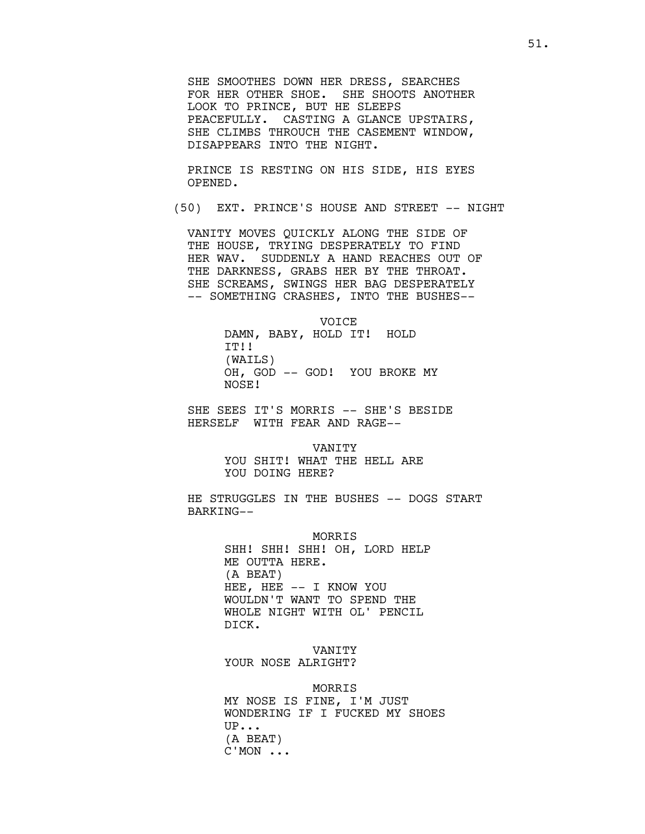SHE SMOOTHES DOWN HER DRESS, SEARCHES FOR HER OTHER SHOE. SHE SHOOTS ANOTHER LOOK TO PRINCE, BUT HE SLEEPS PEACEFULLY. CASTING A GLANCE UPSTAIRS, SHE CLIMBS THROUCH THE CASEMENT WINDOW, DISAPPEARS INTO THE NIGHT.

 PRINCE IS RESTING ON HIS SIDE, HIS EYES OPENED.

(50) EXT. PRINCE'S HOUSE AND STREET -- NIGHT

 VANITY MOVES QUICKLY ALONG THE SIDE OF THE HOUSE, TRYING DESPERATELY TO FIND HER WAV. SUDDENLY A HAND REACHES OUT OF THE DARKNESS, GRABS HER BY THE THROAT. SHE SCREAMS, SWINGS HER BAG DESPERATELY -- SOMETHING CRASHES, INTO THE BUSHES--

> VOICE DAMN, BABY, HOLD IT! HOLD IT!! (WAILS) OH, GOD -- GOD! YOU BROKE MY NOSE!

 SHE SEES IT'S MORRIS -- SHE'S BESIDE HERSELF WITH FEAR AND RAGE--

> VANITY YOU SHIT! WHAT THE HELL ARE YOU DOING HERE?

HE STRUGGLES IN THE BUSHES -- DOGS START BARKING--

> MORRIS SHH! SHH! SHH! OH, LORD HELP ME OUTTA HERE. (A BEAT) HEE, HEE -- I KNOW YOU WOULDN'T WANT TO SPEND THE WHOLE NIGHT WITH OL' PENCIL DICK.

 VANITY YOUR NOSE ALRIGHT?

 MORRIS MY NOSE IS FINE, I'M JUST WONDERING IF I FUCKED MY SHOES UP... (A BEAT) C'MON ...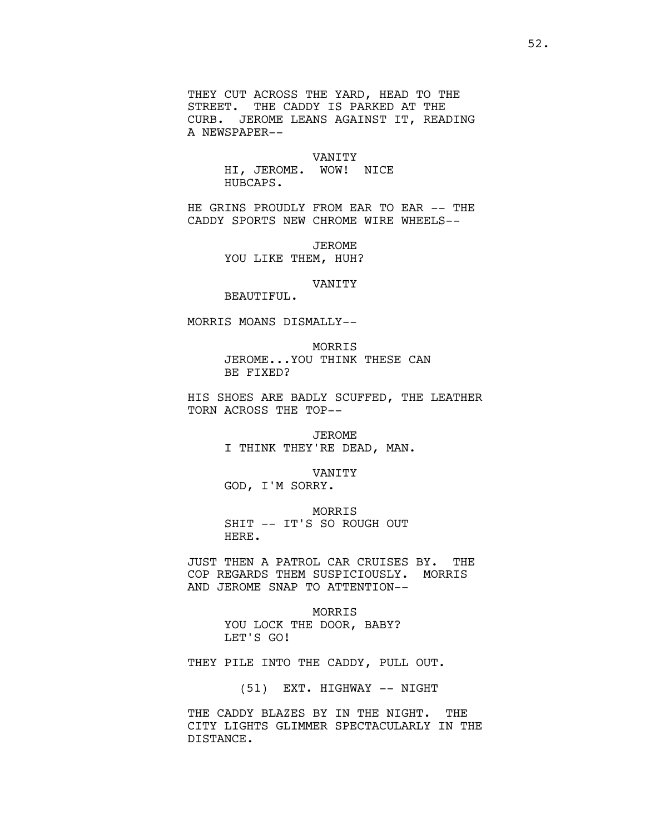THEY CUT ACROSS THE YARD, HEAD TO THE STREET. THE CADDY IS PARKED AT THE CURB. JEROME LEANS AGAINST IT, READING A NEWSPAPER--

### VANITY

 HI, JEROME. WOW! NICE HUBCAPS.

 HE GRINS PROUDLY FROM EAR TO EAR -- THE CADDY SPORTS NEW CHROME WIRE WHEELS--

> JEROME YOU LIKE THEM, HUH?

### VANITY

BEAUTIFUL.

MORRIS MOANS DISMALLY--

 MORRIS JEROME...YOU THINK THESE CAN BE FIXED?

 HIS SHOES ARE BADLY SCUFFED, THE LEATHER TORN ACROSS THE TOP--

> JEROME I THINK THEY'RE DEAD, MAN.

 VANITY GOD, I'M SORRY.

 MORRIS SHIT -- IT'S SO ROUGH OUT HERE.

 JUST THEN A PATROL CAR CRUISES BY. THE COP REGARDS THEM SUSPICIOUSLY. MORRIS AND JEROME SNAP TO ATTENTION--

> MORRIS YOU LOCK THE DOOR, BABY? LET'S GO!

THEY PILE INTO THE CADDY, PULL OUT.

(51) EXT. HIGHWAY -- NIGHT

 THE CADDY BLAZES BY IN THE NIGHT. THE CITY LIGHTS GLIMMER SPECTACULARLY IN THE DISTANCE.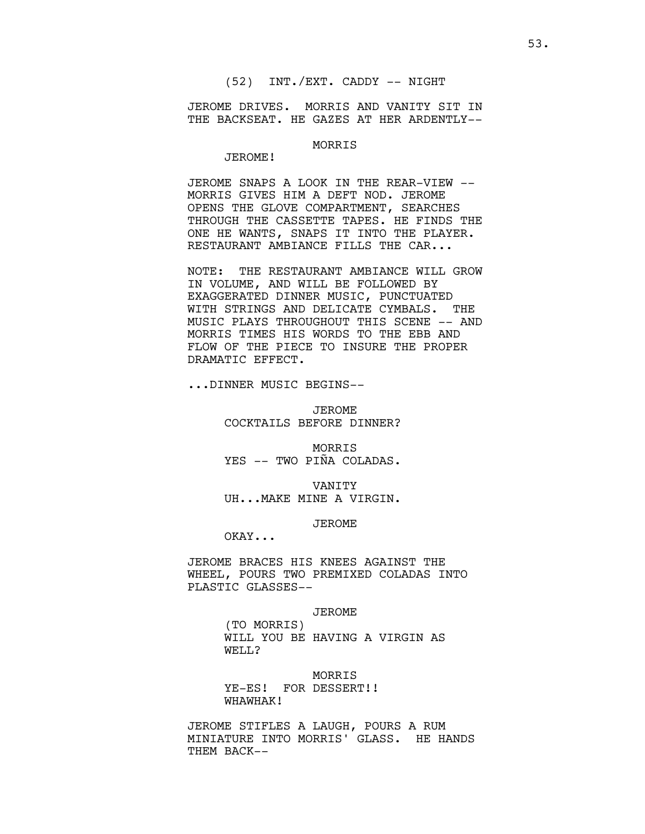## (52) INT./EXT. CADDY -- NIGHT

 JEROME DRIVES. MORRIS AND VANITY SIT IN THE BACKSEAT. HE GAZES AT HER ARDENTLY--

## MORRIS

## JEROME!

 JEROME SNAPS A LOOK IN THE REAR-VIEW -- MORRIS GIVES HIM A DEFT NOD. JEROME OPENS THE GLOVE COMPARTMENT, SEARCHES THROUGH THE CASSETTE TAPES. HE FINDS THE ONE HE WANTS, SNAPS IT INTO THE PLAYER. RESTAURANT AMBIANCE FILLS THE CAR...

 NOTE: THE RESTAURANT AMBIANCE WILL GROW IN VOLUME, AND WILL BE FOLLOWED BY EXAGGERATED DINNER MUSIC, PUNCTUATED WITH STRINGS AND DELICATE CYMBALS. THE MUSIC PLAYS THROUGHOUT THIS SCENE -- AND MORRIS TIMES HIS WORDS TO THE EBB AND FLOW OF THE PIECE TO INSURE THE PROPER DRAMATIC EFFECT.

...DINNER MUSIC BEGINS--

 JEROME COCKTAILS BEFORE DINNER?

 MORRIS YES -- TWO PIÑA COLADAS.

 VANITY UH...MAKE MINE A VIRGIN.

## JEROME

OKAY...

 JEROME BRACES HIS KNEES AGAINST THE WHEEL, POURS TWO PREMIXED COLADAS INTO PLASTIC GLASSES--

### JEROME

 (TO MORRIS) WILL YOU BE HAVING A VIRGIN AS WELL?

 MORRIS YE-ES! FOR DESSERT!! WHAWHAK!

 JEROME STIFLES A LAUGH, POURS A RUM MINIATURE INTO MORRIS' GLASS. HE HANDS THEM BACK--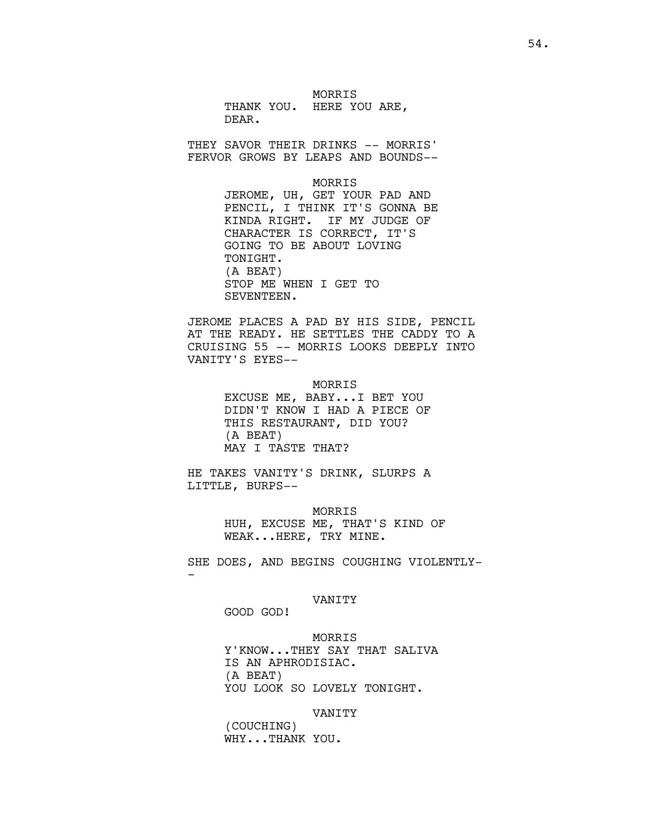MORRIS THANK YOU. HERE YOU ARE, DEAR.

THEY SAVOR THEIR DRINKS -- MORRIS' FERVOR GROWS BY LEAPS AND BOUNDS--

MORRIS

 JEROME, UH, GET YOUR PAD AND PENCIL, I THINK IT'S GONNA BE KINDA RIGHT. IF MY JUDGE OF CHARACTER IS CORRECT, IT'S GOING TO BE ABOUT LOVING TONIGHT. (A BEAT) STOP ME WHEN I GET TO SEVENTEEN.

 JEROME PLACES A PAD BY HIS SIDE, PENCIL AT THE READY. HE SETTLES THE CADDY TO A CRUISING 55 -- MORRIS LOOKS DEEPLY INTO VANITY'S EYES--

> MORRIS EXCUSE ME, BABY...I BET YOU DIDN'T KNOW I HAD A PIECE OF THIS RESTAURANT, DID YOU? (A BEAT) MAY I TASTE THAT?

 HE TAKES VANITY'S DRINK, SLURPS A LITTLE, BURPS--

> MORRIS HUH, EXCUSE ME, THAT'S KIND OF WEAK...HERE, TRY MINE.

 SHE DOES, AND BEGINS COUGHING VIOLENTLY- - 1990 - 1990 - 1990 -

## VANITY

GOOD GOD!

 MORRIS Y'KNOW...THEY SAY THAT SALIVA IS AN APHRODISIAC. (A BEAT) YOU LOOK SO LOVELY TONIGHT.

VANITY

 (COUCHING) WHY...THANK YOU.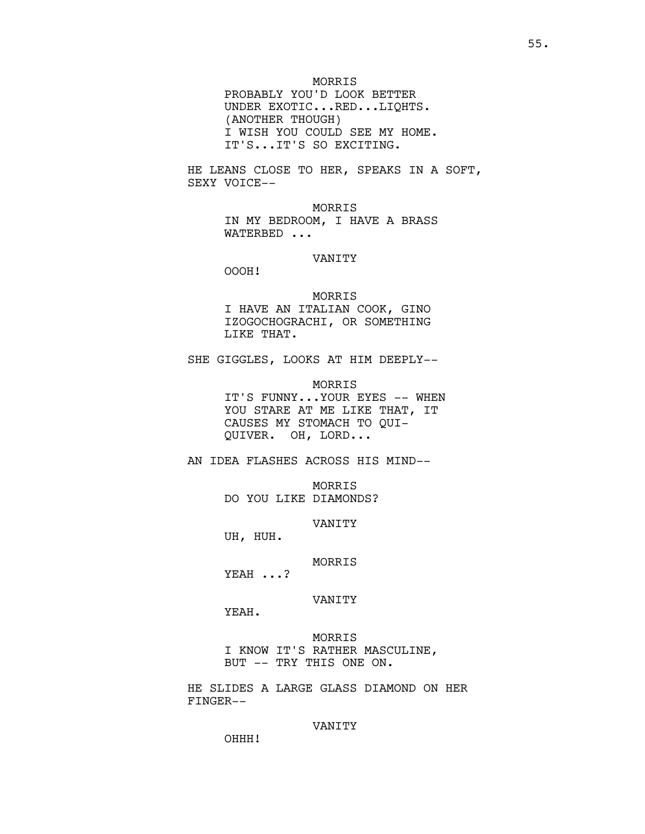PROBABLY YOU'D LOOK BETTER UNDER EXOTIC...RED...LIQHTS. (ANOTHER THOUGH) I WISH YOU COULD SEE MY HOME. IT'S...IT'S SO EXCITING.

 HE LEANS CLOSE TO HER, SPEAKS IN A SOFT, SEXY VOICE--

> MORRIS IN MY BEDROOM, I HAVE A BRASS WATERBED ...

## VANITY

OOOH!

 MORRIS I HAVE AN ITALIAN COOK, GINO IZOGOCHOGRACHI, OR SOMETHING LIKE THAT.

SHE GIGGLES, LOOKS AT HIM DEEPLY--

 MORRIS IT'S FUNNY...YOUR EYES -- WHEN YOU STARE AT ME LIKE THAT, IT CAUSES MY STOMACH TO QUI- QUIVER. OH, LORD...

AN IDEA FLASHES ACROSS HIS MIND--

 MORRIS DO YOU LIKE DIAMONDS?

VANITY

UH, HUH.

MORRIS

YEAH ...?

VANITY

YEAH.

 MORRIS I KNOW IT'S RATHER MASCULINE, BUT -- TRY THIS ONE ON.

 HE SLIDES A LARGE GLASS DIAMOND ON HER FINGER--

### VANITY

OHHH!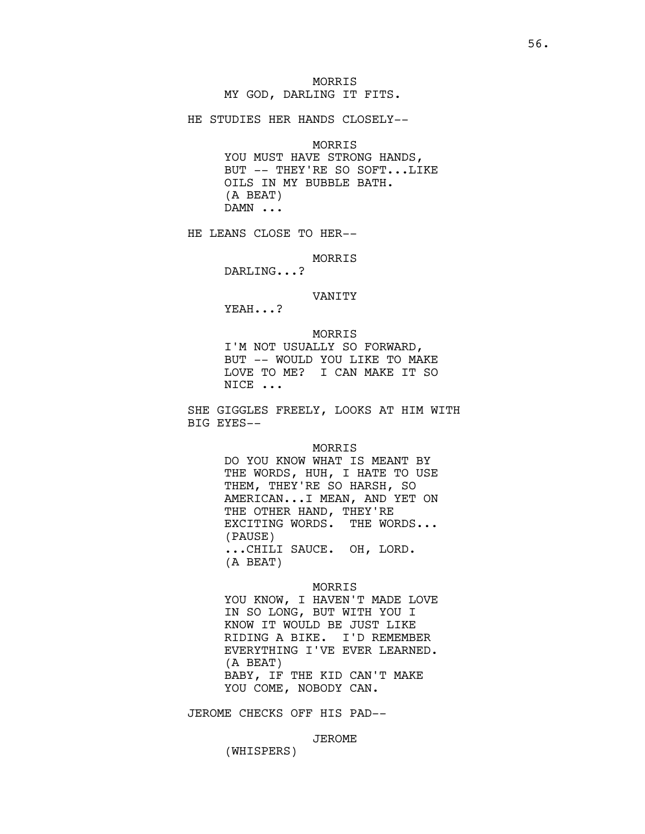56.

## MORRIS MY GOD, DARLING IT FITS.

HE STUDIES HER HANDS CLOSELY--

MORRIS

YOU MUST HAVE STRONG HANDS, BUT -- THEY'RE SO SOFT...LIKE OILS IN MY BUBBLE BATH. (A BEAT) DAMN ...

HE LEANS CLOSE TO HER--

MORRIS

DARLING...?

## VANITY

YEAH...?

MORRIS

 I'M NOT USUALLY SO FORWARD, BUT -- WOULD YOU LIKE TO MAKE LOVE TO ME? I CAN MAKE IT SO NICE ...

 SHE GIGGLES FREELY, LOOKS AT HIM WITH BIG EYES--

#### MORRIS

 DO YOU KNOW WHAT IS MEANT BY THE WORDS, HUH, I HATE TO USE THEM, THEY'RE SO HARSH, SO AMERICAN...I MEAN, AND YET ON THE OTHER HAND, THEY'RE EXCITING WORDS. THE WORDS... (PAUSE) ...CHILI SAUCE. OH, LORD. (A BEAT)

#### MORRIS

 YOU KNOW, I HAVEN'T MADE LOVE IN SO LONG, BUT WITH YOU I KNOW IT WOULD BE JUST LIKE RIDING A BIKE. I'D REMEMBER EVERYTHING I'VE EVER LEARNED. (A BEAT) BABY, IF THE KID CAN'T MAKE YOU COME, NOBODY CAN.

JEROME CHECKS OFF HIS PAD--

#### JEROME

(WHISPERS)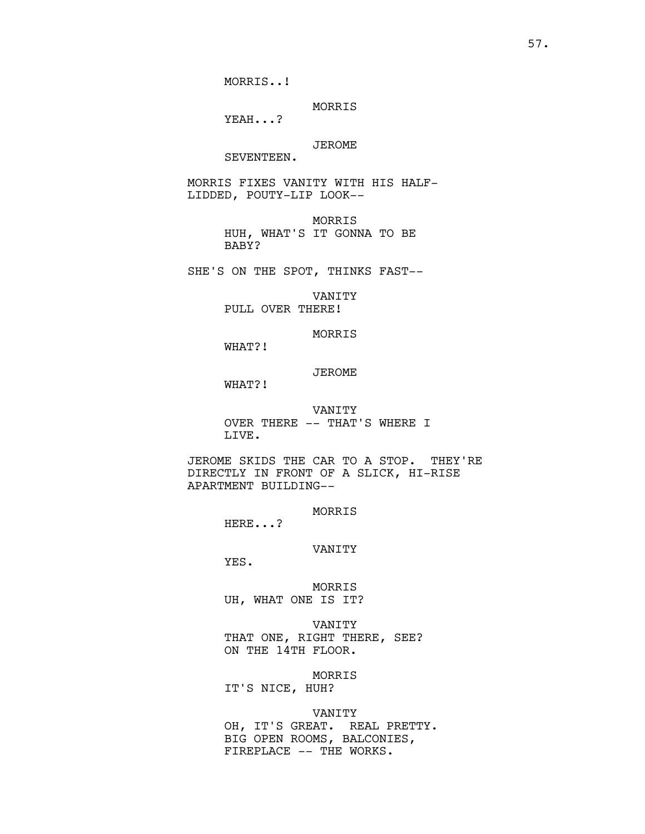MORRIS..!

MORRIS

YEAH...?

JEROME

SEVENTEEN.

 MORRIS FIXES VANITY WITH HIS HALF- LIDDED, POUTY-LIP LOOK--

> MORRIS HUH, WHAT'S IT GONNA TO BE BABY?

SHE'S ON THE SPOT, THINKS FAST--

 VANITY PULL OVER THERE!

MORRIS

WHAT?!

## JEROME

WHAT?!

## VANITY

 OVER THERE -- THAT'S WHERE I LIVE.

 JEROME SKIDS THE CAR TO A STOP. THEY'RE DIRECTLY IN FRONT OF A SLICK, HI-RISE APARTMENT BUILDING--

MORRIS

HERE...?

### VANITY

YES.

 MORRIS UH, WHAT ONE IS IT?

 VANITY THAT ONE, RIGHT THERE, SEE? ON THE 14TH FLOOR.

 MORRIS IT'S NICE, HUH?

 VANITY OH, IT'S GREAT. REAL PRETTY. BIG OPEN ROOMS, BALCONIES, FIREPLACE -- THE WORKS.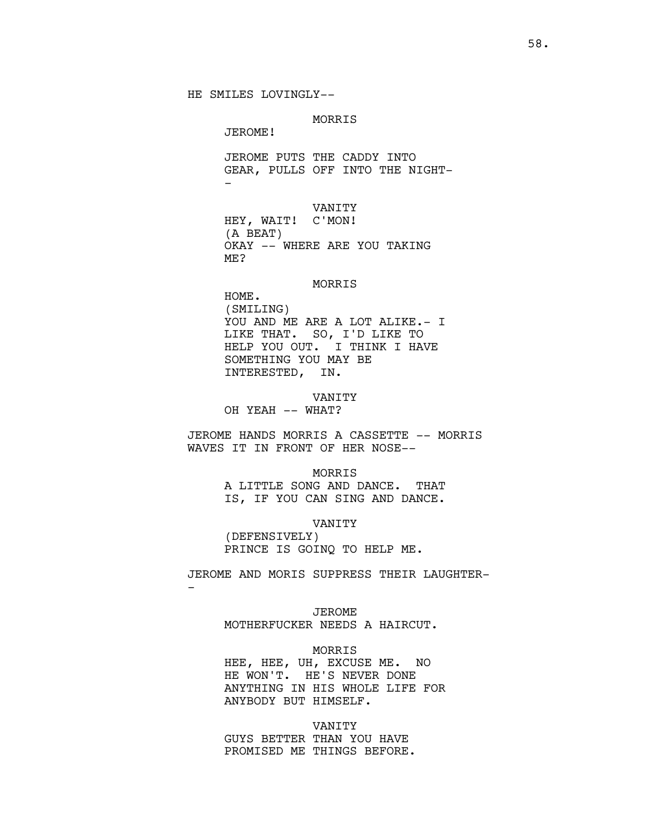HE SMILES LOVINGLY--

### MORRIS

JEROME!

 JEROME PUTS THE CADDY INTO GEAR, PULLS OFF INTO THE NIGHT- - 1990 - 1990 - 1990 - 1990 - 1990 - 1990 - 1990 - 1990 - 1990 - 1990 - 1990 - 1990 - 1990 - 1990 - 1990 - 199

VANITY

 HEY, WAIT! C'MON! (A BEAT) OKAY -- WHERE ARE YOU TAKING ME?

### MORRIS

 HOME. (SMILING) YOU AND ME ARE A LOT ALIKE.- I LIKE THAT. SO, I'D LIKE TO HELP YOU OUT. I THINK I HAVE SOMETHING YOU MAY BE INTERESTED, IN.

VANITY

OH YEAH -- WHAT?

 JEROME HANDS MORRIS A CASSETTE -- MORRIS WAVES IT IN FRONT OF HER NOSE--

> MORRIS A LITTLE SONG AND DANCE. THAT IS, IF YOU CAN SING AND DANCE.

 VANITY (DEFENSIVELY) PRINCE IS GOINQ TO HELP ME.

 JEROME AND MORIS SUPPRESS THEIR LAUGHTER- - 1990 - 1990 - 1990 -

> JEROME MOTHERFUCKER NEEDS A HAIRCUT.

 MORRIS HEE, HEE, UH, EXCUSE ME. NO HE WON'T. HE'S NEVER DONE ANYTHING IN HIS WHOLE LIFE FOR ANYBODY BUT HIMSELF.

 VANITY GUYS BETTER THAN YOU HAVE PROMISED ME THINGS BEFORE.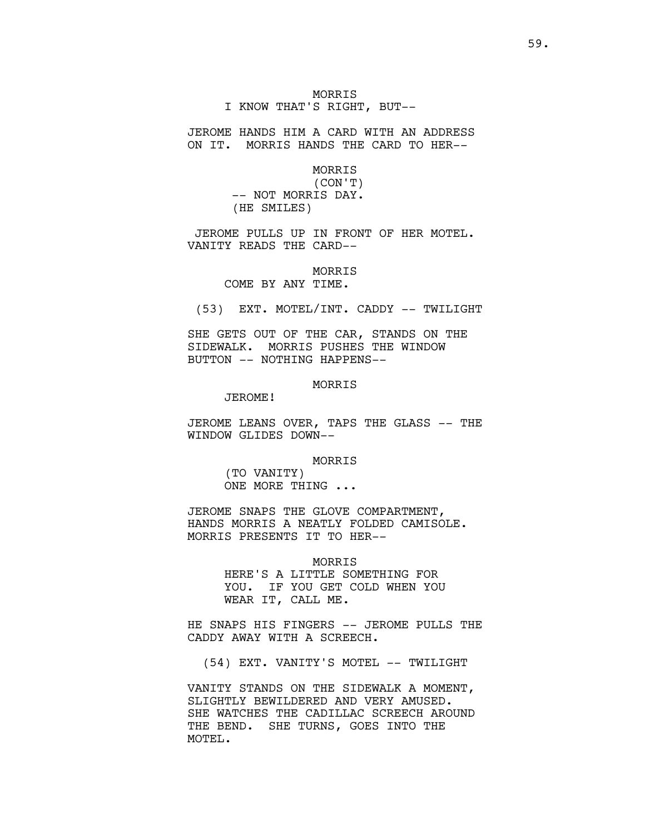MORRIS I KNOW THAT'S RIGHT, BUT--

 JEROME HANDS HIM A CARD WITH AN ADDRESS ON IT. MORRIS HANDS THE CARD TO HER--

> MORRIS (CON'T) -- NOT MORRIS DAY. (HE SMILES)

 JEROME PULLS UP IN FRONT OF HER MOTEL. VANITY READS THE CARD--

MORRIS

COME BY ANY TIME.

(53) EXT. MOTEL/INT. CADDY -- TWILIGHT

 SHE GETS OUT OF THE CAR, STANDS ON THE SIDEWALK. MORRIS PUSHES THE WINDOW BUTTON -- NOTHING HAPPENS--

MORRIS

JEROME!

JEROME LEANS OVER, TAPS THE GLASS -- THE WINDOW GLIDES DOWN--

MORRIS

 (TO VANITY) ONE MORE THING ...

 JEROME SNAPS THE GLOVE COMPARTMENT, HANDS MORRIS A NEATLY FOLDED CAMISOLE. MORRIS PRESENTS IT TO HER--

> MORRIS HERE'S A LITTLE SOMETHING FOR YOU. IF YOU GET COLD WHEN YOU WEAR IT, CALL ME.

 HE SNAPS HIS FINGERS -- JEROME PULLS THE CADDY AWAY WITH A SCREECH.

(54) EXT. VANITY'S MOTEL -- TWILIGHT

 VANITY STANDS ON THE SIDEWALK A MOMENT, SLIGHTLY BEWILDERED AND VERY AMUSED. SHE WATCHES THE CADILLAC SCREECH AROUND THE BEND. SHE TURNS, GOES INTO THE MOTEL.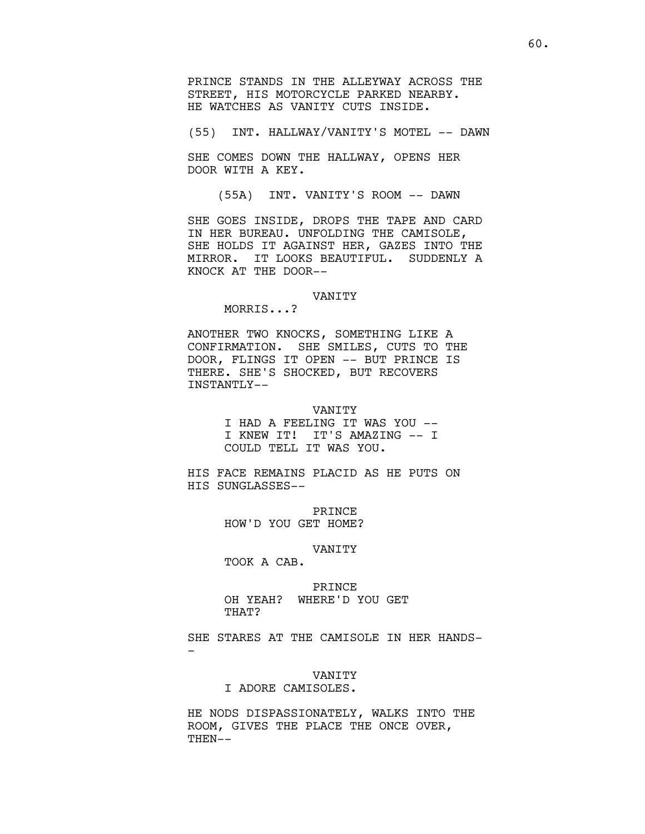PRINCE STANDS IN THE ALLEYWAY ACROSS THE STREET, HIS MOTORCYCLE PARKED NEARBY. HE WATCHES AS VANITY CUTS INSIDE.

(55) INT. HALLWAY/VANITY'S MOTEL -- DAWN

 SHE COMES DOWN THE HALLWAY, OPENS HER DOOR WITH A KEY.

(55A) INT. VANITY'S ROOM -- DAWN

 SHE GOES INSIDE, DROPS THE TAPE AND CARD IN HER BUREAU. UNFOLDING THE CAMISOLE, SHE HOLDS IT AGAINST HER, GAZES INTO THE MIRROR. IT LOOKS BEAUTIFUL. SUDDENLY A KNOCK AT THE DOOR--

### VANITY

MORRIS...?

 ANOTHER TWO KNOCKS, SOMETHING LIKE A CONFIRMATION. SHE SMILES, CUTS TO THE DOOR, FLINGS IT OPEN -- BUT PRINCE IS THERE. SHE'S SHOCKED, BUT RECOVERS INSTANTLY--

### VANITY

 I HAD A FEELING IT WAS YOU -- I KNEW IT! IT'S AMAZING -- I COULD TELL IT WAS YOU.

 HIS FACE REMAINS PLACID AS HE PUTS ON HIS SUNGLASSES--

> PRINCE HOW'D YOU GET HOME?

#### VANITY

TOOK A CAB.

- 1990 - 1990 - 1990 -

 PRINCE OH YEAH? WHERE'D YOU GET THAT?

SHE STARES AT THE CAMISOLE IN HER HANDS-

## VANITY

I ADORE CAMISOLES.

 HE NODS DISPASSIONATELY, WALKS INTO THE ROOM, GIVES THE PLACE THE ONCE OVER, THEN--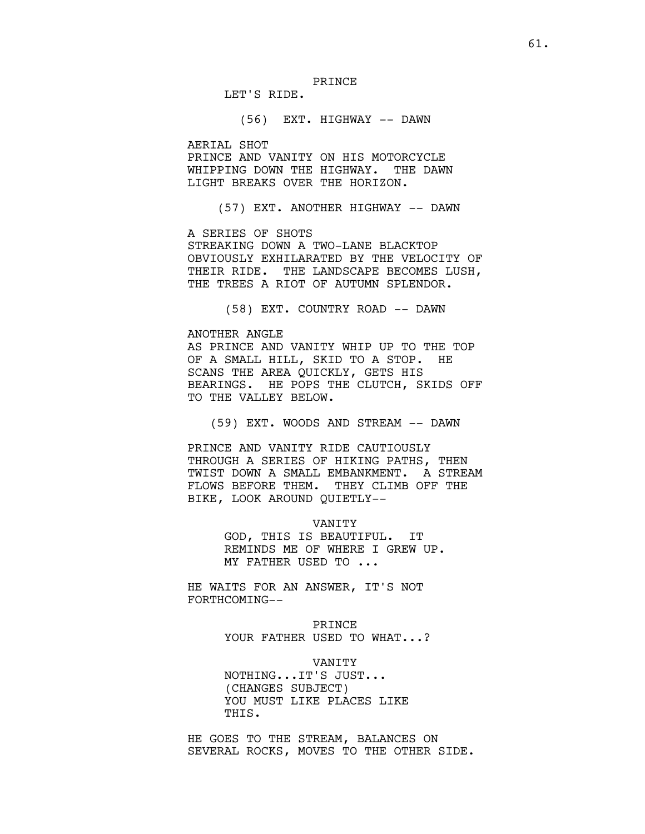PRINCE

LET'S RIDE.

(56) EXT. HIGHWAY -- DAWN

 AERIAL SHOT PRINCE AND VANITY ON HIS MOTORCYCLE WHIPPING DOWN THE HIGHWAY. THE DAWN LIGHT BREAKS OVER THE HORIZON.

(57) EXT. ANOTHER HIGHWAY -- DAWN

 A SERIES OF SHOTS STREAKING DOWN A TWO-LANE BLACKTOP OBVIOUSLY EXHILARATED BY THE VELOCITY OF THEIR RIDE. THE LANDSCAPE BECOMES LUSH, THE TREES A RIOT OF AUTUMN SPLENDOR.

(58) EXT. COUNTRY ROAD -- DAWN

 ANOTHER ANGLE AS PRINCE AND VANITY WHIP UP TO THE TOP OF A SMALL HILL, SKID TO A STOP. HE SCANS THE AREA QUICKLY, GETS HIS BEARINGS. HE POPS THE CLUTCH, SKIDS OFF

TO THE VALLEY BELOW.

(59) EXT. WOODS AND STREAM -- DAWN

 PRINCE AND VANITY RIDE CAUTIOUSLY THROUGH A SERIES OF HIKING PATHS, THEN TWIST DOWN A SMALL EMBANKMENT. A STREAM FLOWS BEFORE THEM. THEY CLIMB OFF THE BIKE, LOOK AROUND QUIETLY--

> VANITY GOD, THIS IS BEAUTIFUL. IT REMINDS ME OF WHERE I GREW UP. MY FATHER USED TO ...

 HE WAITS FOR AN ANSWER, IT'S NOT FORTHCOMING--

> PRINCE YOUR FATHER USED TO WHAT...?

 VANITY NOTHING...IT'S JUST... (CHANGES SUBJECT) YOU MUST LIKE PLACES LIKE THIS.

 HE GOES TO THE STREAM, BALANCES ON SEVERAL ROCKS, MOVES TO THE OTHER SIDE.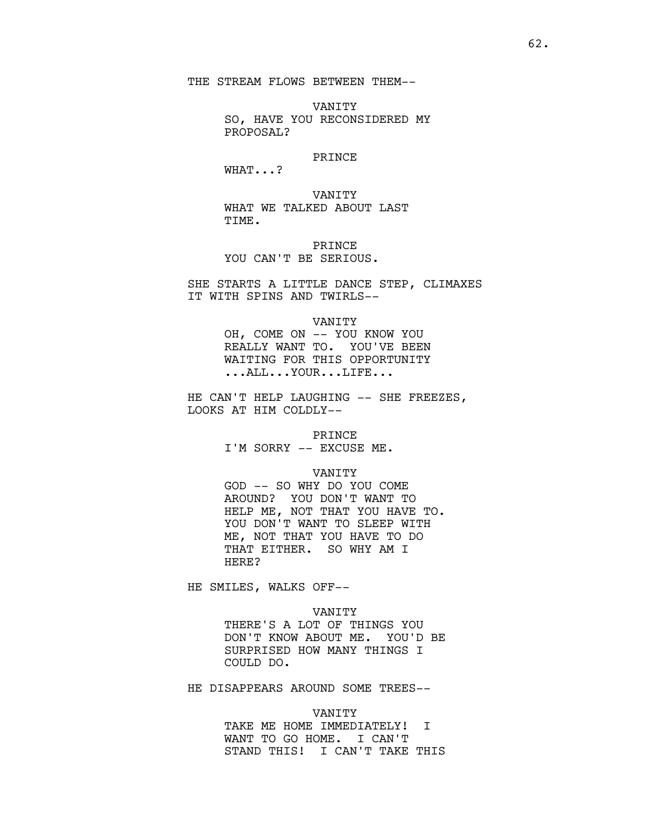VANITY SO, HAVE YOU RECONSIDERED MY PROPOSAL?

# PRINCE

WHAT...?

 VANITY WHAT WE TALKED ABOUT LAST TIME.

 PRINCE YOU CAN'T BE SERIOUS.

 SHE STARTS A LITTLE DANCE STEP, CLIMAXES IT WITH SPINS AND TWIRLS--

#### VANITY

 OH, COME ON -- YOU KNOW YOU REALLY WANT TO. YOU'VE BEEN WAITING FOR THIS OPPORTUNITY ...ALL...YOUR...LIFE...

HE CAN'T HELP LAUGHING -- SHE FREEZES, LOOKS AT HIM COLDLY--

> PRINCE I'M SORRY -- EXCUSE ME.

> > VANITY

 GOD -- SO WHY DO YOU COME AROUND? YOU DON'T WANT TO HELP ME, NOT THAT YOU HAVE TO. YOU DON'T WANT TO SLEEP WITH ME, NOT THAT YOU HAVE TO DO THAT EITHER. SO WHY AM I HERE?

HE SMILES, WALKS OFF--

 VANITY THERE'S A LOT OF THINGS YOU DON'T KNOW ABOUT ME. YOU'D BE SURPRISED HOW MANY THINGS I COULD DO.

HE DISAPPEARS AROUND SOME TREES--

 VANITY TAKE ME HOME IMMEDIATELY! I WANT TO GO HOME. I CAN'T STAND THIS! I CAN'T TAKE THIS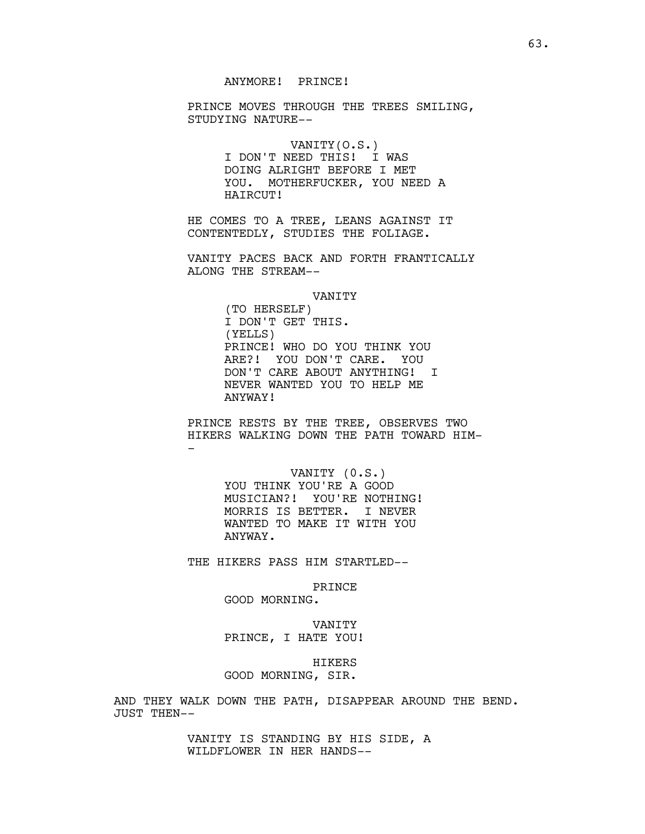# ANYMORE! PRINCE!

 PRINCE MOVES THROUGH THE TREES SMILING, STUDYING NATURE--

> VANITY(O.S.) I DON'T NEED THIS! I WAS DOING ALRIGHT BEFORE I MET YOU. MOTHERFUCKER, YOU NEED A HAIRCUT!

 HE COMES TO A TREE, LEANS AGAINST IT CONTENTEDLY, STUDIES THE FOLIAGE.

 VANITY PACES BACK AND FORTH FRANTICALLY ALONG THE STREAM--

VANITY

 (TO HERSELF) I DON'T GET THIS. (YELLS) PRINCE! WHO DO YOU THINK YOU ARE?! YOU DON'T CARE. YOU DON'T CARE ABOUT ANYTHING! I NEVER WANTED YOU TO HELP ME ANYWAY!

 PRINCE RESTS BY THE TREE, OBSERVES TWO HIKERS WALKING DOWN THE PATH TOWARD HIM- - 1990 - 1990 - 1990 -

> VANITY (0.S.) YOU THINK YOU'RE A GOOD MUSICIAN?! YOU'RE NOTHING! MORRIS IS BETTER. I NEVER WANTED TO MAKE IT WITH YOU ANYWAY.

THE HIKERS PASS HIM STARTLED--

PRINCE

GOOD MORNING.

 VANITY PRINCE, I HATE YOU!

 HIKERS GOOD MORNING, SIR.

AND THEY WALK DOWN THE PATH, DISAPPEAR AROUND THE BEND. JUST THEN--

> VANITY IS STANDING BY HIS SIDE, A WILDFLOWER IN HER HANDS--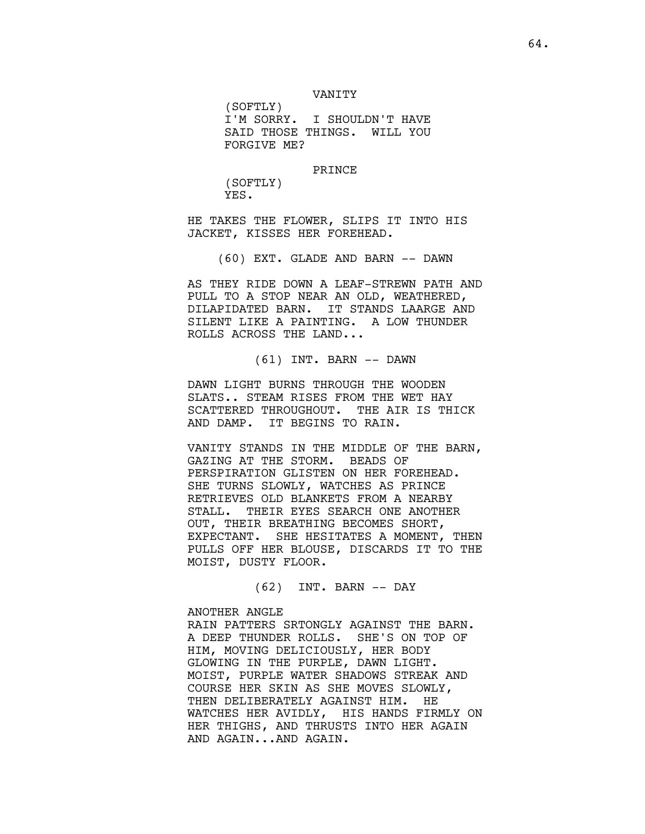#### VANITY

 (SOFTLY) I'M SORRY. I SHOULDN'T HAVE SAID THOSE THINGS. WILL YOU FORGIVE ME?

#### PRINCE

 (SOFTLY) YES.

 HE TAKES THE FLOWER, SLIPS IT INTO HIS JACKET, KISSES HER FOREHEAD.

(60) EXT. GLADE AND BARN -- DAWN

 AS THEY RIDE DOWN A LEAF-STREWN PATH AND PULL TO A STOP NEAR AN OLD, WEATHERED, DILAPIDATED BARN. IT STANDS LAARGE AND SILENT LIKE A PAINTING. A LOW THUNDER ROLLS ACROSS THE LAND...

(61) INT. BARN -- DAWN

 DAWN LIGHT BURNS THROUGH THE WOODEN SLATS.. STEAM RISES FROM THE WET HAY SCATTERED THROUGHOUT. THE AIR IS THICK AND DAMP. IT BEGINS TO RAIN.

 VANITY STANDS IN THE MIDDLE OF THE BARN, GAZING AT THE STORM. BEADS OF PERSPIRATION GLISTEN ON HER FOREHEAD. SHE TURNS SLOWLY, WATCHES AS PRINCE RETRIEVES OLD BLANKETS FROM A NEARBY STALL. THEIR EYES SEARCH ONE ANOTHER OUT, THEIR BREATHING BECOMES SHORT, EXPECTANT. SHE HESITATES A MOMENT, THEN PULLS OFF HER BLOUSE, DISCARDS IT TO THE MOIST, DUSTY FLOOR.

(62) INT. BARN -- DAY

ANOTHER ANGLE

 RAIN PATTERS SRTONGLY AGAINST THE BARN. A DEEP THUNDER ROLLS. SHE'S ON TOP OF HIM, MOVING DELICIOUSLY, HER BODY GLOWING IN THE PURPLE, DAWN LIGHT. MOIST, PURPLE WATER SHADOWS STREAK AND COURSE HER SKIN AS SHE MOVES SLOWLY, THEN DELIBERATELY AGAINST HIM. HE WATCHES HER AVIDLY, HIS HANDS FIRMLY ON HER THIGHS, AND THRUSTS INTO HER AGAIN AND AGAIN...AND AGAIN.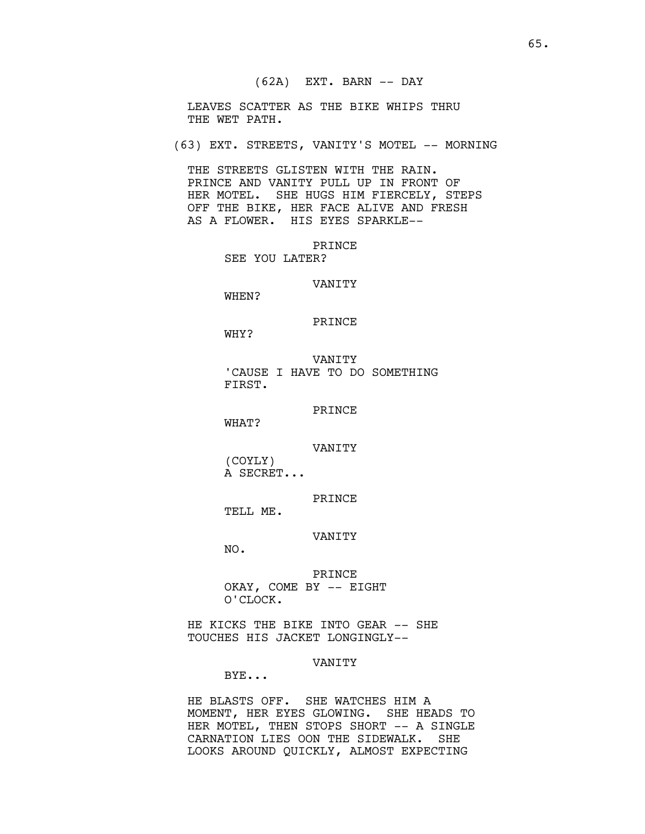(62A) EXT. BARN -- DAY

 LEAVES SCATTER AS THE BIKE WHIPS THRU THE WET PATH.

(63) EXT. STREETS, VANITY'S MOTEL -- MORNING

 THE STREETS GLISTEN WITH THE RAIN. PRINCE AND VANITY PULL UP IN FRONT OF HER MOTEL. SHE HUGS HIM FIERCELY, STEPS OFF THE BIKE, HER FACE ALIVE AND FRESH AS A FLOWER. HIS EYES SPARKLE--

> PRINCE SEE YOU LATER?

> > VANITY

WHEN?

PRINCE

WHY?

 VANITY 'CAUSE I HAVE TO DO SOMETHING FIRST.

PRINCE

WHAT?

VANITY

 (COYLY) A SECRET...

PRINCE

TELL ME.

VANITY

NO.

 PRINCE OKAY, COME BY -- EIGHT O'CLOCK.

 HE KICKS THE BIKE INTO GEAR -- SHE TOUCHES HIS JACKET LONGINGLY--

## VANITY

BYE...

 HE BLASTS OFF. SHE WATCHES HIM A MOMENT, HER EYES GLOWING. SHE HEADS TO HER MOTEL, THEN STOPS SHORT -- A SINGLE CARNATION LIES OON THE SIDEWALK. SHE LOOKS AROUND QUICKLY, ALMOST EXPECTING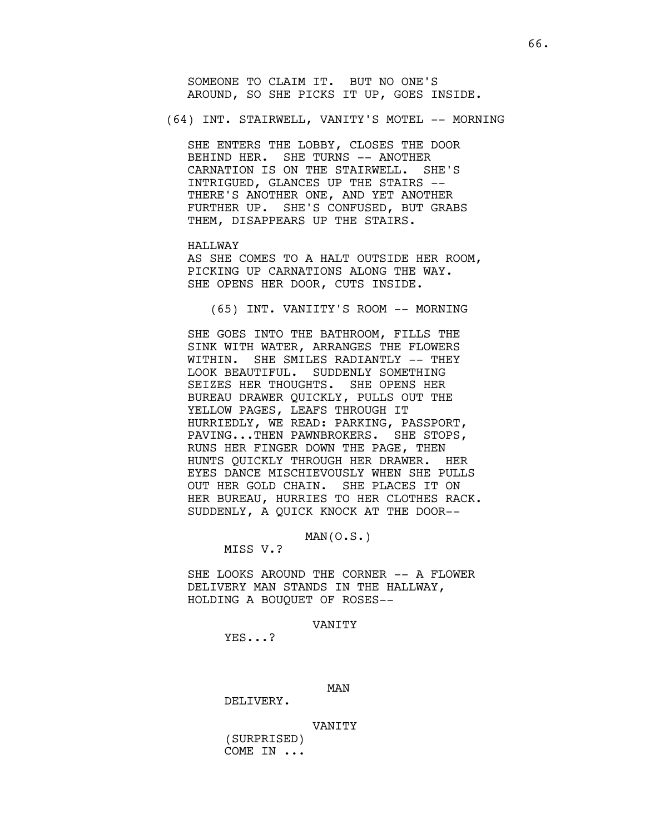SOMEONE TO CLAIM IT. BUT NO ONE'S AROUND, SO SHE PICKS IT UP, GOES INSIDE.

(64) INT. STAIRWELL, VANITY'S MOTEL -- MORNING

 SHE ENTERS THE LOBBY, CLOSES THE DOOR BEHIND HER. SHE TURNS -- ANOTHER CARNATION IS ON THE STAIRWELL. SHE'S INTRIGUED, GLANCES UP THE STAIRS -- THERE'S ANOTHER ONE, AND YET ANOTHER FURTHER UP. SHE'S CONFUSED, BUT GRABS THEM, DISAPPEARS UP THE STAIRS.

HALLWAY

 AS SHE COMES TO A HALT OUTSIDE HER ROOM, PICKING UP CARNATIONS ALONG THE WAY. SHE OPENS HER DOOR, CUTS INSIDE.

(65) INT. VANIITY'S ROOM -- MORNING

 SHE GOES INTO THE BATHROOM, FILLS THE SINK WITH WATER, ARRANGES THE FLOWERS WITHIN. SHE SMILES RADIANTLY -- THEY LOOK BEAUTIFUL. SUDDENLY SOMETHING SEIZES HER THOUGHTS. SHE OPENS HER BUREAU DRAWER QUICKLY, PULLS OUT THE YELLOW PAGES, LEAFS THROUGH IT HURRIEDLY, WE READ: PARKING, PASSPORT, PAVING...THEN PAWNBROKERS. SHE STOPS, RUNS HER FINGER DOWN THE PAGE, THEN HUNTS QUICKLY THROUGH HER DRAWER. HER EYES DANCE MISCHIEVOUSLY WHEN SHE PULLS OUT HER GOLD CHAIN. SHE PLACES IT ON HER BUREAU, HURRIES TO HER CLOTHES RACK. SUDDENLY, A QUICK KNOCK AT THE DOOR--

 $MAN(O.S.)$ 

MISS V.?

 SHE LOOKS AROUND THE CORNER -- A FLOWER DELIVERY MAN STANDS IN THE HALLWAY, HOLDING A BOUQUET OF ROSES--

VANITY

YES...?

**MAN** 

DELIVERY.

VANITY

 (SURPRISED) COME IN ...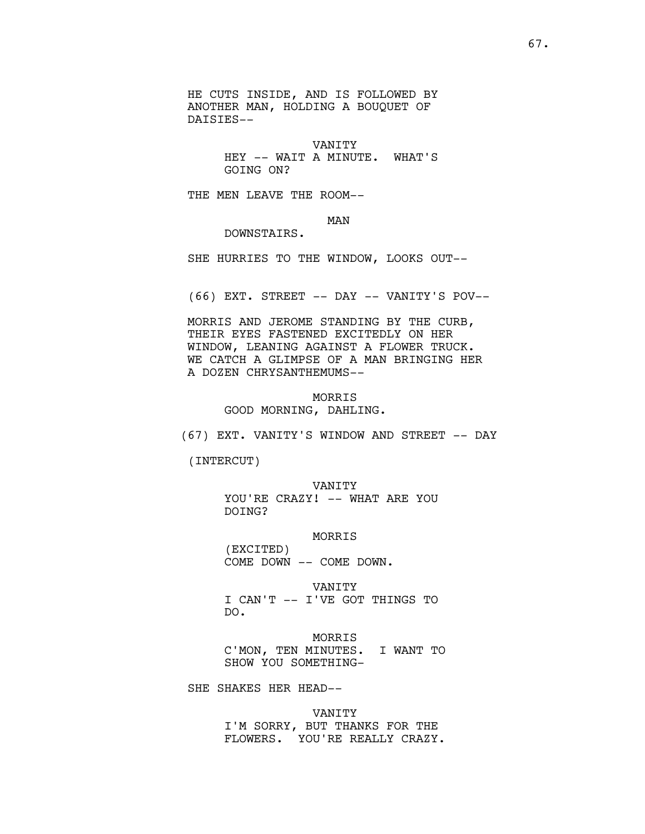HE CUTS INSIDE, AND IS FOLLOWED BY ANOTHER MAN, HOLDING A BOUQUET OF DAISIES--

> VANITY HEY -- WAIT A MINUTE. WHAT'S GOING ON?

THE MEN LEAVE THE ROOM--

**MAN** 

DOWNSTAIRS.

SHE HURRIES TO THE WINDOW, LOOKS OUT--

(66) EXT. STREET -- DAY -- VANITY'S POV--

 MORRIS AND JEROME STANDING BY THE CURB, THEIR EYES FASTENED EXCITEDLY ON HER WINDOW, LEANING AGAINST A FLOWER TRUCK. WE CATCH A GLIMPSE OF A MAN BRINGING HER A DOZEN CHRYSANTHEMUMS--

## MORRIS GOOD MORNING, DAHLING.

(67) EXT. VANITY'S WINDOW AND STREET -- DAY

(INTERCUT)

#### VANITY

YOU'RE CRAZY! -- WHAT ARE YOU DOING?

#### MORRIS

 (EXCITED) COME DOWN -- COME DOWN.

 VANITY I CAN'T -- I'VE GOT THINGS TO DO.

 MORRIS C'MON, TEN MINUTES. I WANT TO SHOW YOU SOMETHING-

SHE SHAKES HER HEAD--

 VANITY I'M SORRY, BUT THANKS FOR THE FLOWERS. YOU'RE REALLY CRAZY.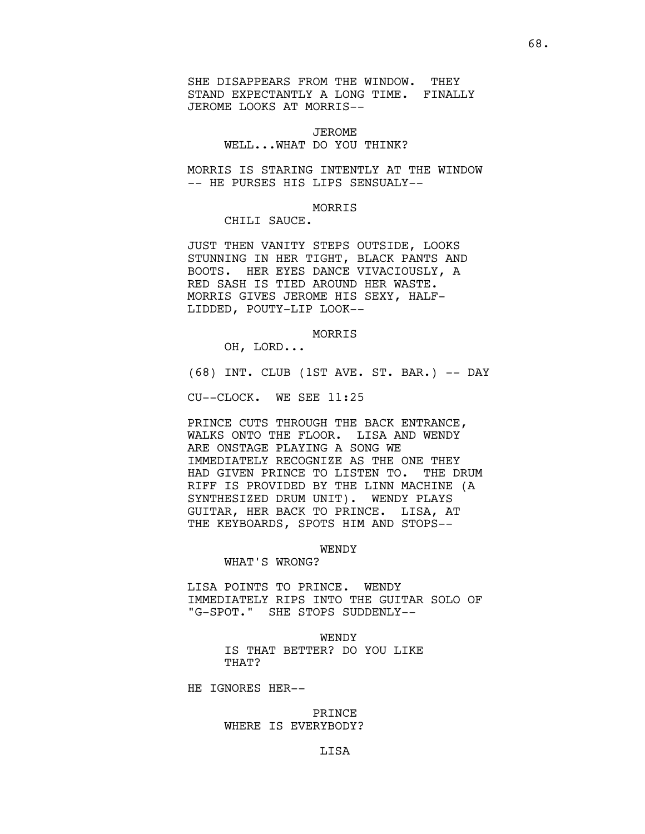SHE DISAPPEARS FROM THE WINDOW. THEY STAND EXPECTANTLY A LONG TIME. FINALLY JEROME LOOKS AT MORRIS--

## JEROME WELL...WHAT DO YOU THINK?

 MORRIS IS STARING INTENTLY AT THE WINDOW -- HE PURSES HIS LIPS SENSUALY--

## MORRIS

CHILI SAUCE.

 JUST THEN VANITY STEPS OUTSIDE, LOOKS STUNNING IN HER TIGHT, BLACK PANTS AND BOOTS. HER EYES DANCE VIVACIOUSLY, A RED SASH IS TIED AROUND HER WASTE. MORRIS GIVES JEROME HIS SEXY, HALF- LIDDED, POUTY-LIP LOOK--

### MORRIS

OH, LORD...

(68) INT. CLUB (1ST AVE. ST. BAR.) -- DAY

CU--CLOCK. WE SEE 11:25

 PRINCE CUTS THROUGH THE BACK ENTRANCE, WALKS ONTO THE FLOOR. LISA AND WENDY ARE ONSTAGE PLAYING A SONG WE IMMEDIATELY RECOGNIZE AS THE ONE THEY HAD GIVEN PRINCE TO LISTEN TO. THE DRUM RIFF IS PROVIDED BY THE LINN MACHINE (A SYNTHESIZED DRUM UNIT). WENDY PLAYS GUITAR, HER BACK TO PRINCE. LISA, AT THE KEYBOARDS, SPOTS HIM AND STOPS--

### WENDY

WHAT'S WRONG?

 LISA POINTS TO PRINCE. WENDY IMMEDIATELY RIPS INTO THE GUITAR SOLO OF "G-SPOT." SHE STOPS SUDDENLY--

> WENDY IS THAT BETTER? DO YOU LIKE THAT?

HE IGNORES HER--

## PRINCE WHERE IS EVERYBODY?

## LISA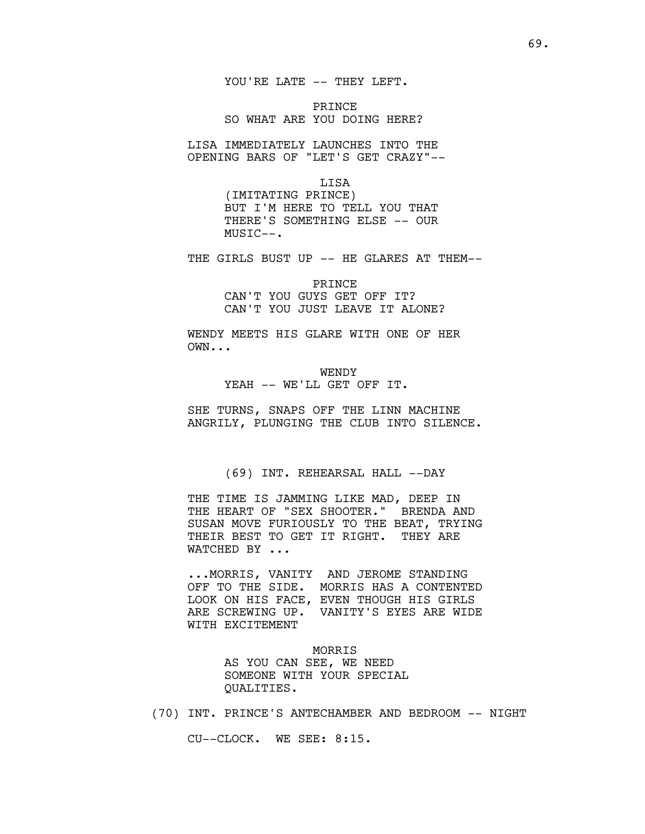YOU'RE LATE -- THEY LEFT.

 PRINCE SO WHAT ARE YOU DOING HERE?

 LISA IMMEDIATELY LAUNCHES INTO THE OPENING BARS OF "LET'S GET CRAZY"--

LISA

 (IMITATING PRINCE) BUT I'M HERE TO TELL YOU THAT THERE'S SOMETHING ELSE -- OUR MUSIC--.

THE GIRLS BUST UP -- HE GLARES AT THEM--

 PRINCE CAN'T YOU GUYS GET OFF IT? CAN'T YOU JUST LEAVE IT ALONE?

 WENDY MEETS HIS GLARE WITH ONE OF HER OWN...

> WENDY YEAH -- WE'LL GET OFF IT.

 SHE TURNS, SNAPS OFF THE LINN MACHINE ANGRILY, PLUNGING THE CLUB INTO SILENCE.

(69) INT. REHEARSAL HALL --DAY

THE TIME IS JAMMING LIKE MAD, DEEP IN THE HEART OF "SEX SHOOTER." BRENDA AND SUSAN MOVE FURIOUSLY TO THE BEAT, TRYING THEIR BEST TO GET IT RIGHT. THEY ARE WATCHED BY ...

 ...MORRIS, VANITY AND JEROME STANDING OFF TO THE SIDE. MORRIS HAS A CONTENTED LOOK ON HIS FACE, EVEN THOUGH HIS GIRLS ARE SCREWING UP. VANITY'S EYES ARE WIDE WITH EXCITEMENT

> MORRIS AS YOU CAN SEE, WE NEED SOMEONE WITH YOUR SPECIAL QUALITIES.

 (70) INT. PRINCE'S ANTECHAMBER AND BEDROOM -- NIGHT CU--CLOCK. WE SEE: 8:15.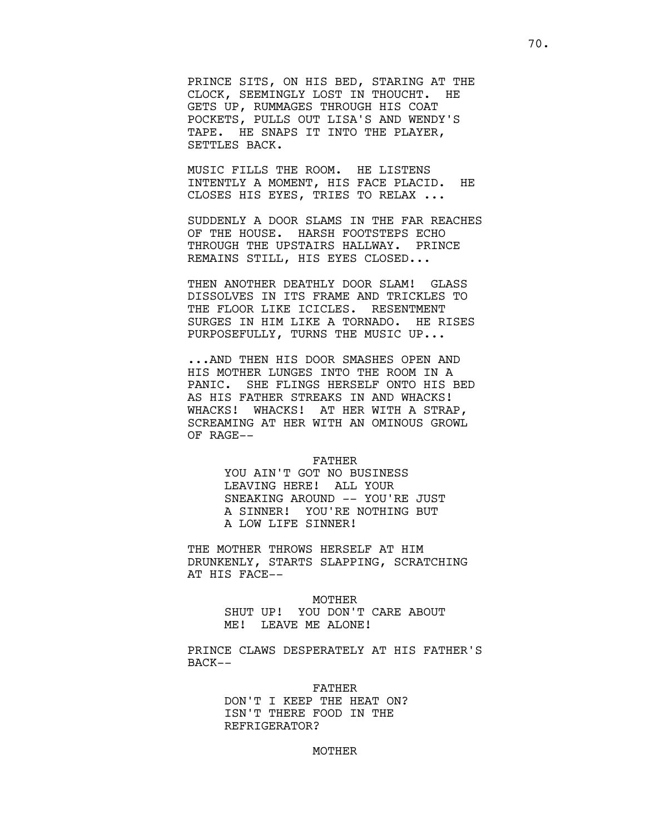PRINCE SITS, ON HIS BED, STARING AT THE CLOCK, SEEMINGLY LOST IN THOUCHT. HE GETS UP, RUMMAGES THROUGH HIS COAT POCKETS, PULLS OUT LISA'S AND WENDY'S TAPE. HE SNAPS IT INTO THE PLAYER, SETTLES BACK.

 MUSIC FILLS THE ROOM. HE LISTENS INTENTLY A MOMENT, HIS FACE PLACID. HE CLOSES HIS EYES, TRIES TO RELAX ...

 SUDDENLY A DOOR SLAMS IN THE FAR REACHES OF THE HOUSE. HARSH FOOTSTEPS ECHO THROUGH THE UPSTAIRS HALLWAY. PRINCE REMAINS STILL, HIS EYES CLOSED...

 THEN ANOTHER DEATHLY DOOR SLAM! GLASS DISSOLVES IN ITS FRAME AND TRICKLES TO THE FLOOR LIKE ICICLES. RESENTMENT SURGES IN HIM LIKE A TORNADO. HE RISES PURPOSEFULLY, TURNS THE MUSIC UP...

 ...AND THEN HIS DOOR SMASHES OPEN AND HIS MOTHER LUNGES INTO THE ROOM IN A PANIC. SHE FLINGS HERSELF ONTO HIS BED AS HIS FATHER STREAKS IN AND WHACKS! WHACKS! WHACKS! AT HER WITH A STRAP, SCREAMING AT HER WITH AN OMINOUS GROWL OF RAGE--

#### FATHER

 YOU AIN'T GOT NO BUSINESS LEAVING HERE! ALL YOUR SNEAKING AROUND -- YOU'RE JUST A SINNER! YOU'RE NOTHING BUT A LOW LIFE SINNER!

 THE MOTHER THROWS HERSELF AT HIM DRUNKENLY, STARTS SLAPPING, SCRATCHING AT HIS FACE--

#### MOTHER

 SHUT UP! YOU DON'T CARE ABOUT ME! LEAVE ME ALONE!

 PRINCE CLAWS DESPERATELY AT HIS FATHER'S BACK--

> FATHER DON'T I KEEP THE HEAT ON? ISN'T THERE FOOD IN THE REFRIGERATOR?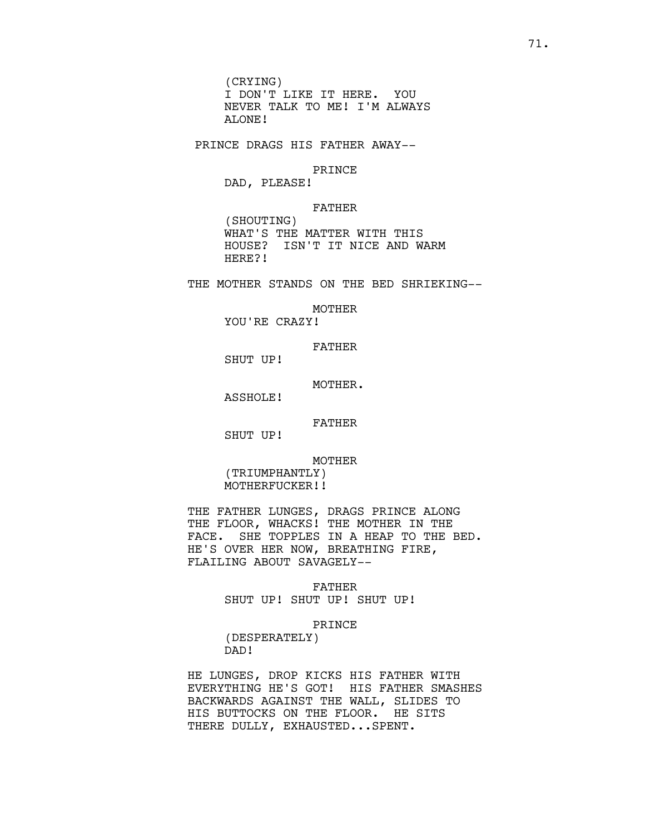(CRYING) I DON'T LIKE IT HERE. YOU NEVER TALK TO ME! I'M ALWAYS ALONE!

PRINCE DRAGS HIS FATHER AWAY--

PRINCE

DAD, PLEASE!

FATHER

 (SHOUTING) WHAT'S THE MATTER WITH THIS HOUSE? ISN'T IT NICE AND WARM HERE?!

THE MOTHER STANDS ON THE BED SHRIEKING--

MOTHER

YOU'RE CRAZY!

FATHER

SHUT UP!

MOTHER.

ASSHOLE!

FATHER

SHUT UP!

MOTHER

 (TRIUMPHANTLY) MOTHERFUCKER!!

 THE FATHER LUNGES, DRAGS PRINCE ALONG THE FLOOR, WHACKS! THE MOTHER IN THE FACE. SHE TOPPLES IN A HEAP TO THE BED. HE'S OVER HER NOW, BREATHING FIRE, FLAILING ABOUT SAVAGELY--

> FATHER SHUT UP! SHUT UP! SHUT UP!

> > PRINCE

 (DESPERATELY) DAD!

 HE LUNGES, DROP KICKS HIS FATHER WITH EVERYTHING HE'S GOT! HIS FATHER SMASHES BACKWARDS AGAINST THE WALL, SLIDES TO HIS BUTTOCKS ON THE FLOOR. HE SITS THERE DULLY, EXHAUSTED...SPENT.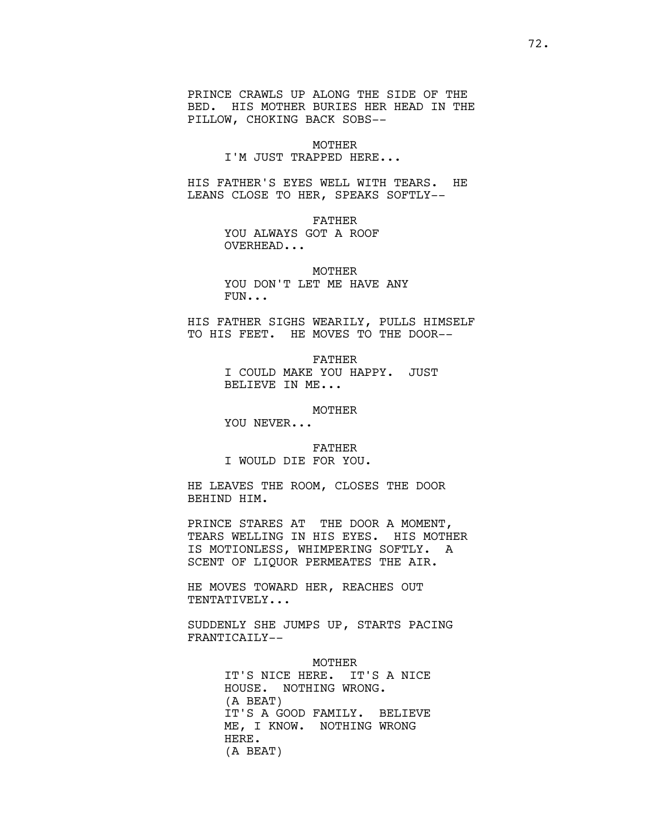PRINCE CRAWLS UP ALONG THE SIDE OF THE BED. HIS MOTHER BURIES HER HEAD IN THE PILLOW, CHOKING BACK SOBS--

MOTHER

### I'M JUST TRAPPED HERE...

 HIS FATHER'S EYES WELL WITH TEARS. HE LEANS CLOSE TO HER, SPEAKS SOFTLY--

FATHER

 YOU ALWAYS GOT A ROOF OVERHEAD...

MOTHER

 YOU DON'T LET ME HAVE ANY FUN...

 HIS FATHER SIGHS WEARILY, PULLS HIMSELF TO HIS FEET. HE MOVES TO THE DOOR--

> FATHER I COULD MAKE YOU HAPPY. JUST BELIEVE IN ME...

> > MOTHER

YOU NEVER...

 FATHER I WOULD DIE FOR YOU.

 HE LEAVES THE ROOM, CLOSES THE DOOR BEHIND HIM.

PRINCE STARES AT THE DOOR A MOMENT, TEARS WELLING IN HIS EYES. HIS MOTHER IS MOTIONLESS, WHIMPERING SOFTLY. A SCENT OF LIQUOR PERMEATES THE AIR.

 HE MOVES TOWARD HER, REACHES OUT TENTATIVELY...

 SUDDENLY SHE JUMPS UP, STARTS PACING FRANTICAILY--

> MOTHER IT'S NICE HERE. IT'S A NICE HOUSE. NOTHING WRONG. (A BEAT) IT'S A GOOD FAMILY. BELIEVE ME, I KNOW. NOTHING WRONG HERE. (A BEAT)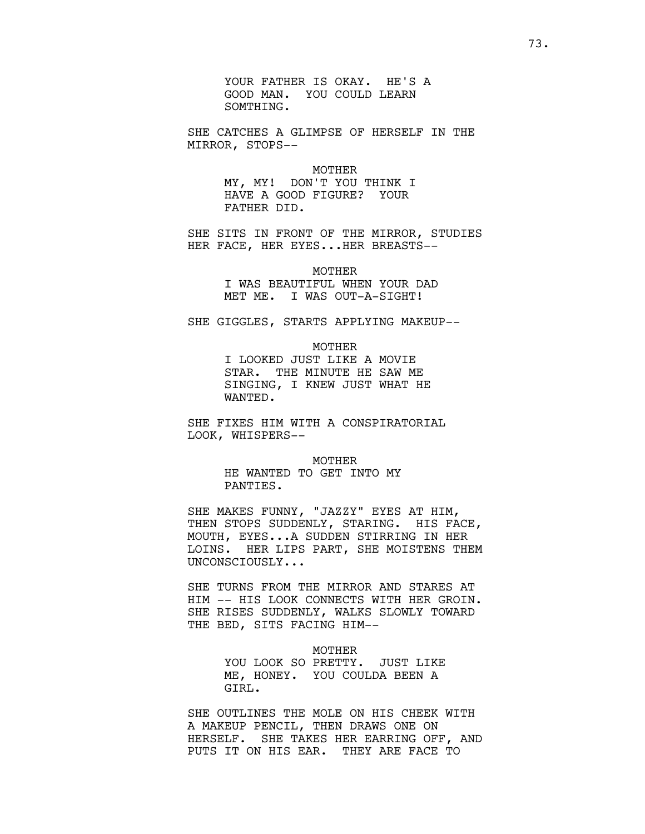YOUR FATHER IS OKAY. HE'S A GOOD MAN. YOU COULD LEARN SOMTHING.

 SHE CATCHES A GLIMPSE OF HERSELF IN THE MIRROR, STOPS--

MOTHER

 MY, MY! DON'T YOU THINK I HAVE A GOOD FIGURE? YOUR FATHER DID.

 SHE SITS IN FRONT OF THE MIRROR, STUDIES HER FACE, HER EYES...HER BREASTS--

MOTHER

 I WAS BEAUTIFUL WHEN YOUR DAD MET ME. I WAS OUT-A-SIGHT!

SHE GIGGLES, STARTS APPLYING MAKEUP--

MOTHER

 I LOOKED JUST LIKE A MOVIE STAR. THE MINUTE HE SAW ME SINGING, I KNEW JUST WHAT HE WANTED.

 SHE FIXES HIM WITH A CONSPIRATORIAL LOOK, WHISPERS--

MOTHER

 HE WANTED TO GET INTO MY PANTIES.

 SHE MAKES FUNNY, "JAZZY" EYES AT HIM, THEN STOPS SUDDENLY, STARING. HIS FACE, MOUTH, EYES...A SUDDEN STIRRING IN HER LOINS. HER LIPS PART, SHE MOISTENS THEM UNCONSCIOUSLY...

 SHE TURNS FROM THE MIRROR AND STARES AT HIM -- HIS LOOK CONNECTS WITH HER GROIN. SHE RISES SUDDENLY, WALKS SLOWLY TOWARD THE BED, SITS FACING HIM--

> MOTHER YOU LOOK SO PRETTY. JUST LIKE ME, HONEY. YOU COULDA BEEN A GIRL.

 SHE OUTLINES THE MOLE ON HIS CHEEK WITH A MAKEUP PENCIL, THEN DRAWS ONE ON HERSELF. SHE TAKES HER EARRING OFF, AND PUTS IT ON HIS EAR. THEY ARE FACE TO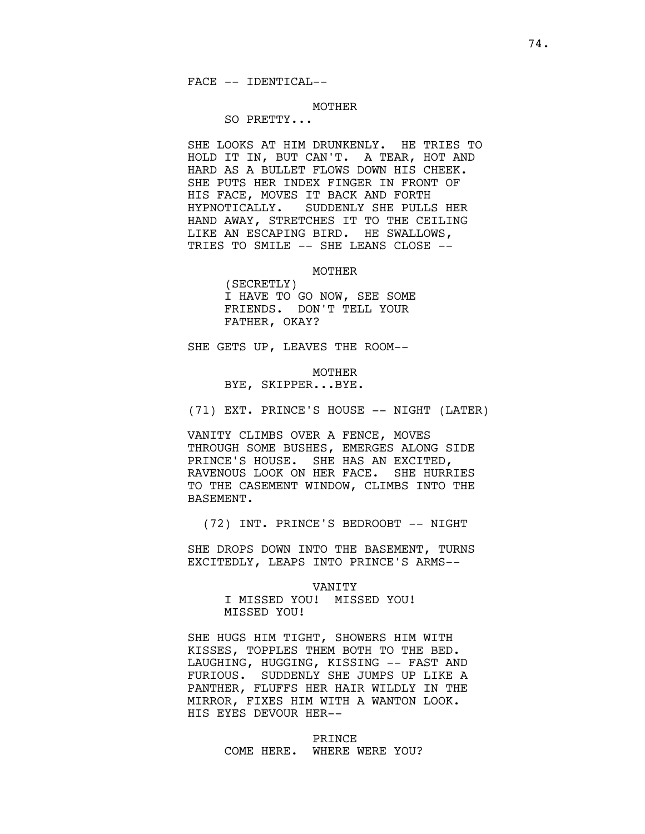#### MOTHER

SO PRETTY...

 SHE LOOKS AT HIM DRUNKENLY. HE TRIES TO HOLD IT IN, BUT CAN'T. A TEAR, HOT AND HARD AS A BULLET FLOWS DOWN HIS CHEEK. SHE PUTS HER INDEX FINGER IN FRONT OF HIS FACE, MOVES IT BACK AND FORTH HYPNOTICALLY. SUDDENLY SHE PULLS HER HAND AWAY, STRETCHES IT TO THE CEILING LIKE AN ESCAPING BIRD. HE SWALLOWS, TRIES TO SMILE -- SHE LEANS CLOSE --

MOTHER

 (SECRETLY) I HAVE TO GO NOW, SEE SOME FRIENDS. DON'T TELL YOUR FATHER, OKAY?

SHE GETS UP, LEAVES THE ROOM--

 MOTHER BYE, SKIPPER...BYE.

(71) EXT. PRINCE'S HOUSE -- NIGHT (LATER)

 VANITY CLIMBS OVER A FENCE, MOVES THROUGH SOME BUSHES, EMERGES ALONG SIDE PRINCE'S HOUSE. SHE HAS AN EXCITED, RAVENOUS LOOK ON HER FACE. SHE HURRIES TO THE CASEMENT WINDOW, CLIMBS INTO THE BASEMENT.

(72) INT. PRINCE'S BEDROOBT -- NIGHT

 SHE DROPS DOWN INTO THE BASEMENT, TURNS EXCITEDLY, LEAPS INTO PRINCE'S ARMS--

> VANITY I MISSED YOU! MISSED YOU! MISSED YOU!

 SHE HUGS HIM TIGHT, SHOWERS HIM WITH KISSES, TOPPLES THEM BOTH TO THE BED. LAUGHING, HUGGING, KISSING -- FAST AND FURIOUS. SUDDENLY SHE JUMPS UP LIKE A PANTHER, FLUFFS HER HAIR WILDLY IN THE MIRROR, FIXES HIM WITH A WANTON LOOK. HIS EYES DEVOUR HER--

> PRINCE COME HERE. WHERE WERE YOU?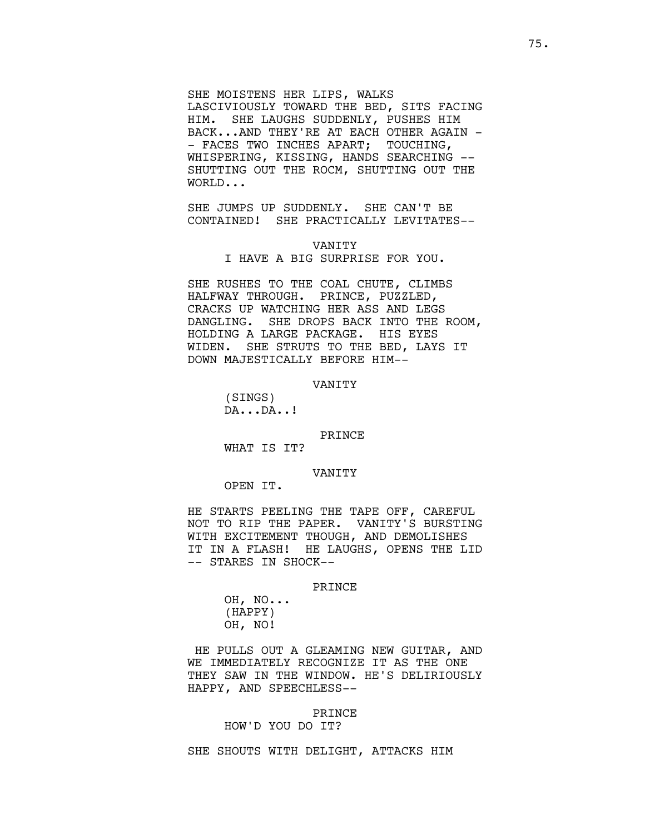SHE MOISTENS HER LIPS, WALKS LASCIVIOUSLY TOWARD THE BED, SITS FACING HIM. SHE LAUGHS SUDDENLY, PUSHES HIM BACK...AND THEY'RE AT EACH OTHER AGAIN - - FACES TWO INCHES APART; TOUCHING, WHISPERING, KISSING, HANDS SEARCHING -- SHUTTING OUT THE ROCM, SHUTTING OUT THE WORLD...

 SHE JUMPS UP SUDDENLY. SHE CAN'T BE CONTAINED! SHE PRACTICALLY LEVITATES--

> VANITY I HAVE A BIG SURPRISE FOR YOU.

 SHE RUSHES TO THE COAL CHUTE, CLIMBS HALFWAY THROUGH. PRINCE, PUZZLED, CRACKS UP WATCHING HER ASS AND LEGS DANGLING. SHE DROPS BACK INTO THE ROOM, HOLDING A LARGE PACKAGE. HIS EYES WIDEN. SHE STRUTS TO THE BED, LAYS IT DOWN MAJESTICALLY BEFORE HIM--

VANITY

 (SINGS) DA...DA..!

PRINCE

WHAT IS IT?

### VANITY

OPEN IT.

 HE STARTS PEELING THE TAPE OFF, CAREFUL NOT TO RIP THE PAPER. VANITY'S BURSTING WITH EXCITEMENT THOUGH, AND DEMOLISHES IT IN A FLASH! HE LAUGHS, OPENS THE LID -- STARES IN SHOCK--

PRINCE

 OH, NO... (HAPPY) OH, NO!

 HE PULLS OUT A GLEAMING NEW GUITAR, AND WE IMMEDIATELY RECOGNIZE IT AS THE ONE THEY SAW IN THE WINDOW. HE'S DELIRIOUSLY HAPPY, AND SPEECHLESS--

#### PRINCE

#### HOW'D YOU DO IT?

SHE SHOUTS WITH DELIGHT, ATTACKS HIM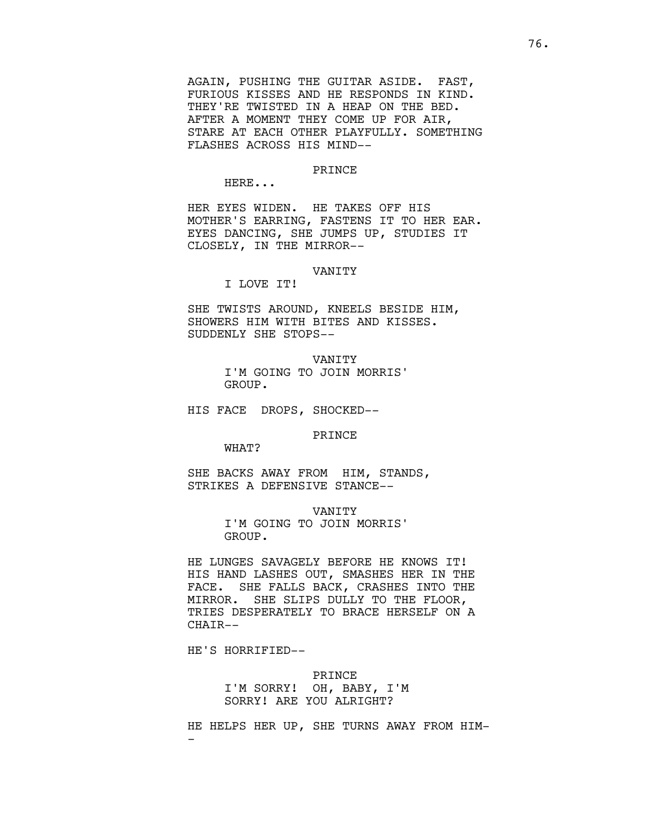AGAIN, PUSHING THE GUITAR ASIDE. FAST, FURIOUS KISSES AND HE RESPONDS IN KIND. THEY'RE TWISTED IN A HEAP ON THE BED. AFTER A MOMENT THEY COME UP FOR AIR, STARE AT EACH OTHER PLAYFULLY. SOMETHING FLASHES ACROSS HIS MIND--

### PRINCE

HERE...

 HER EYES WIDEN. HE TAKES OFF HIS MOTHER'S EARRING, FASTENS IT TO HER EAR. EYES DANCING, SHE JUMPS UP, STUDIES IT CLOSELY, IN THE MIRROR--

#### VANITY

I LOVE IT!

 SHE TWISTS AROUND, KNEELS BESIDE HIM, SHOWERS HIM WITH BITES AND KISSES. SUDDENLY SHE STOPS--

> VANITY I'M GOING TO JOIN MORRIS' GROUP.

HIS FACE DROPS, SHOCKED--

PRINCE

WHAT?

 SHE BACKS AWAY FROM HIM, STANDS, STRIKES A DEFENSIVE STANCE--

> VANITY I'M GOING TO JOIN MORRIS' GROUP.

 HE LUNGES SAVAGELY BEFORE HE KNOWS IT! HIS HAND LASHES OUT, SMASHES HER IN THE FACE. SHE FALLS BACK, CRASHES INTO THE MIRROR. SHE SLIPS DULLY TO THE FLOOR, TRIES DESPERATELY TO BRACE HERSELF ON A CHAIR--

HE'S HORRIFIED--

 PRINCE I'M SORRY! OH, BABY, I'M SORRY! ARE YOU ALRIGHT?

HE HELPS HER UP, SHE TURNS AWAY FROM HIM-

- 1990 - 1990 - 1990 -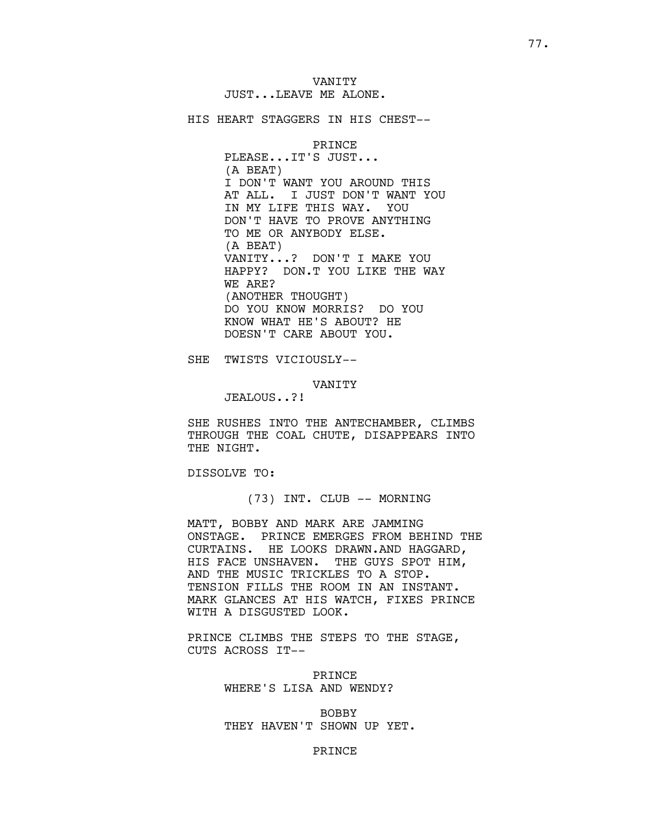VANITY JUST...LEAVE ME ALONE.

HIS HEART STAGGERS IN HIS CHEST--

PRINCE

 PLEASE...IT'S JUST... (A BEAT) I DON'T WANT YOU AROUND THIS AT ALL. I JUST DON'T WANT YOU IN MY LIFE THIS WAY. YOU DON'T HAVE TO PROVE ANYTHING TO ME OR ANYBODY ELSE. (A BEAT) VANITY...? DON'T I MAKE YOU HAPPY? DON.T YOU LIKE THE WAY WE ARE? (ANOTHER THOUGHT) DO YOU KNOW MORRIS? DO YOU KNOW WHAT HE'S ABOUT? HE DOESN'T CARE ABOUT YOU.

SHE TWISTS VICIOUSLY--

VANITY

JEALOUS..?!

 SHE RUSHES INTO THE ANTECHAMBER, CLIMBS THROUGH THE COAL CHUTE, DISAPPEARS INTO THE NIGHT.

DISSOLVE TO:

(73) INT. CLUB -- MORNING

 MATT, BOBBY AND MARK ARE JAMMING ONSTAGE. PRINCE EMERGES FROM BEHIND THE CURTAINS. HE LOOKS DRAWN.AND HAGGARD, HIS FACE UNSHAVEN. THE GUYS SPOT HIM, AND THE MUSIC TRICKLES TO A STOP. TENSION FILLS THE ROOM IN AN INSTANT. MARK GLANCES AT HIS WATCH, FIXES PRINCE WITH A DISGUSTED LOOK.

 PRINCE CLIMBS THE STEPS TO THE STAGE, CUTS ACROSS IT--

> PRINCE WHERE'S LISA AND WENDY?

 BOBBY THEY HAVEN'T SHOWN UP YET.

PRINCE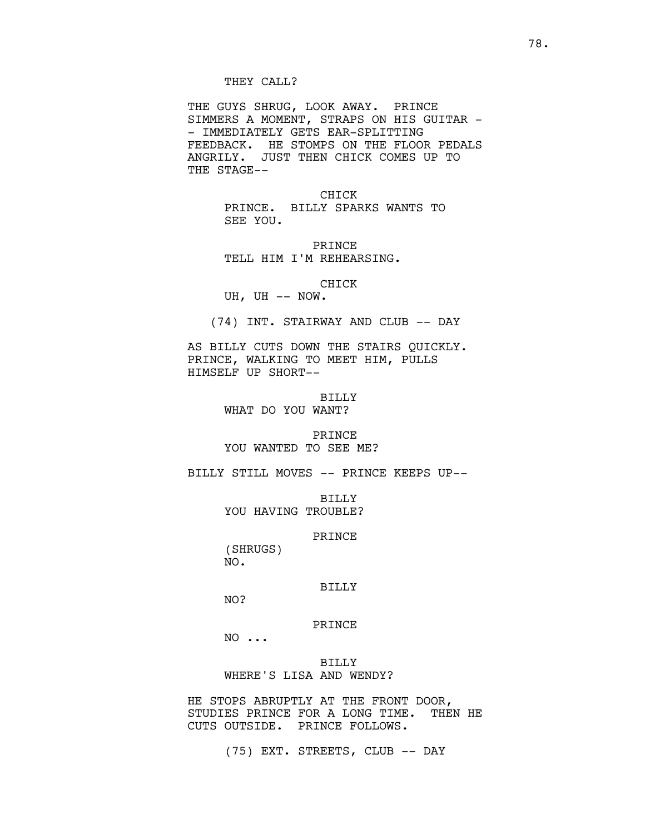THE GUYS SHRUG, LOOK AWAY. PRINCE SIMMERS A MOMENT, STRAPS ON HIS GUITAR - - IMMEDIATELY GETS EAR-SPLITTING FEEDBACK. HE STOMPS ON THE FLOOR PEDALS ANGRILY. JUST THEN CHICK COMES UP TO THE STAGE--

> CHICK PRINCE. BILLY SPARKS WANTS TO SEE YOU.

 PRINCE TELL HIM I'M REHEARSING.

# CHICK

UH, UH -- NOW.

(74) INT. STAIRWAY AND CLUB -- DAY

 AS BILLY CUTS DOWN THE STAIRS QUICKLY. PRINCE, WALKING TO MEET HIM, PULLS HIMSELF UP SHORT--

BILLY

WHAT DO YOU WANT?

 PRINCE YOU WANTED TO SEE ME?

BILLY STILL MOVES -- PRINCE KEEPS UP--

 BILLY YOU HAVING TROUBLE?

PRINCE

 (SHRUGS) NO.

### BILLY

NO?

# PRINCE

NO ...

# BILLY WHERE'S LISA AND WENDY?

 HE STOPS ABRUPTLY AT THE FRONT DOOR, STUDIES PRINCE FOR A LONG TIME. THEN HE CUTS OUTSIDE. PRINCE FOLLOWS.

(75) EXT. STREETS, CLUB -- DAY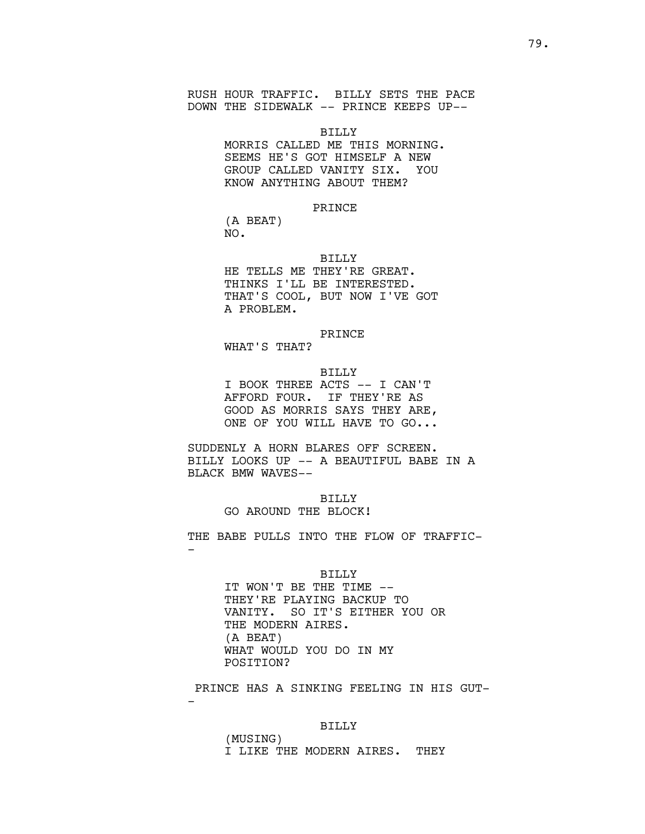RUSH HOUR TRAFFIC. BILLY SETS THE PACE DOWN THE SIDEWALK -- PRINCE KEEPS UP--

BILLY

 MORRIS CALLED ME THIS MORNING. SEEMS HE'S GOT HIMSELF A NEW GROUP CALLED VANITY SIX. YOU KNOW ANYTHING ABOUT THEM?

#### PRINCE

 (A BEAT) NO.

 BILLY HE TELLS ME THEY'RE GREAT. THINKS I'LL BE INTERESTED. THAT'S COOL, BUT NOW I'VE GOT A PROBLEM.

PRINCE

WHAT'S THAT?

 BILLY I BOOK THREE ACTS -- I CAN'T AFFORD FOUR. IF THEY'RE AS GOOD AS MORRIS SAYS THEY ARE, ONE OF YOU WILL HAVE TO GO...

 SUDDENLY A HORN BLARES OFF SCREEN. BILLY LOOKS UP -- A BEAUTIFUL BABE IN A BLACK BMW WAVES--

> BILLY GO AROUND THE BLOCK!

 THE BABE PULLS INTO THE FLOW OF TRAFFIC- - 1990 - 1990 - 1990 -

### BILLY

 IT WON'T BE THE TIME -- THEY'RE PLAYING BACKUP TO VANITY. SO IT'S EITHER YOU OR THE MODERN AIRES. (A BEAT) WHAT WOULD YOU DO IN MY POSITION?

 PRINCE HAS A SINKING FEELING IN HIS GUT- - 1990 - 1990 - 1990 -

#### BILLY

 (MUSING) I LIKE THE MODERN AIRES. THEY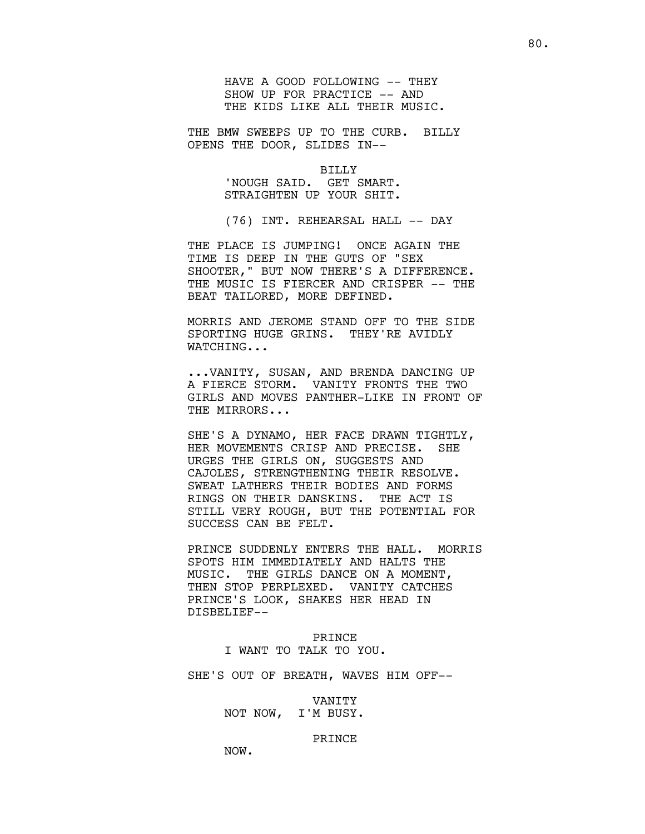HAVE A GOOD FOLLOWING -- THEY SHOW UP FOR PRACTICE -- AND THE KIDS LIKE ALL THEIR MUSIC.

THE BMW SWEEPS UP TO THE CURB. BILLY OPENS THE DOOR, SLIDES IN--

> BILLY 'NOUGH SAID. GET SMART. STRAIGHTEN UP YOUR SHIT.

(76) INT. REHEARSAL HALL -- DAY

 THE PLACE IS JUMPING! ONCE AGAIN THE TIME IS DEEP IN THE GUTS OF "SEX SHOOTER," BUT NOW THERE'S A DIFFERENCE. THE MUSIC IS FIERCER AND CRISPER -- THE BEAT TAILORED, MORE DEFINED.

 MORRIS AND JEROME STAND OFF TO THE SIDE SPORTING HUGE GRINS. THEY'RE AVIDLY WATCHING...

 ...VANITY, SUSAN, AND BRENDA DANCING UP A FIERCE STORM. VANITY FRONTS THE TWO GIRLS AND MOVES PANTHER-LIKE IN FRONT OF THE MIRRORS...

 SHE'S A DYNAMO, HER FACE DRAWN TIGHTLY, HER MOVEMENTS CRISP AND PRECISE. SHE URGES THE GIRLS ON, SUGGESTS AND CAJOLES, STRENGTHENING THEIR RESOLVE. SWEAT LATHERS THEIR BODIES AND FORMS RINGS ON THEIR DANSKINS. THE ACT IS STILL VERY ROUGH, BUT THE POTENTIAL FOR SUCCESS CAN BE FELT.

 PRINCE SUDDENLY ENTERS THE HALL. MORRIS SPOTS HIM IMMEDIATELY AND HALTS THE MUSIC. THE GIRLS DANCE ON A MOMENT, THEN STOP PERPLEXED. VANITY CATCHES PRINCE'S LOOK, SHAKES HER HEAD IN DISBELIEF--

# PRINCE I WANT TO TALK TO YOU.

SHE'S OUT OF BREATH, WAVES HIM OFF--

 VANITY NOT NOW, I'M BUSY.

#### PRINCE

NOW.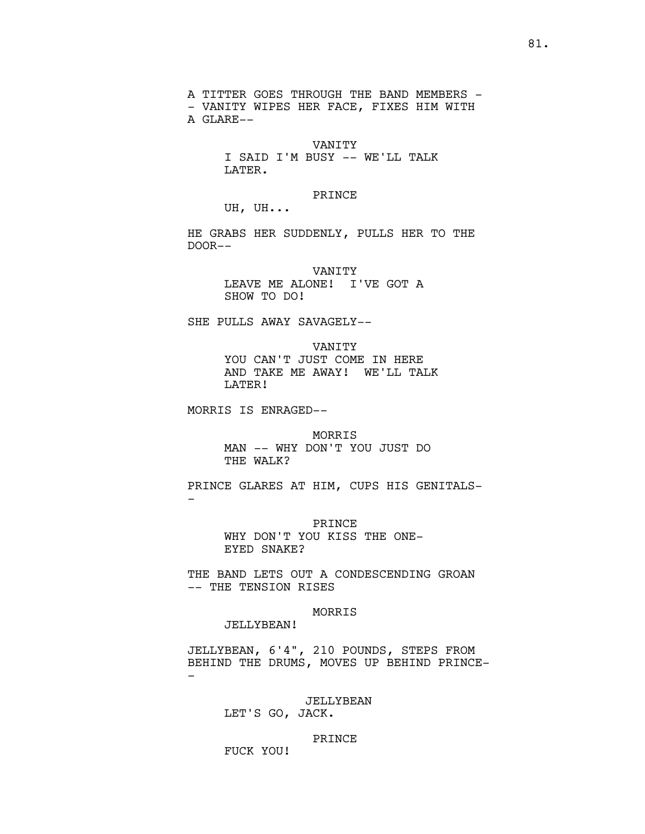A TITTER GOES THROUGH THE BAND MEMBERS - - VANITY WIPES HER FACE, FIXES HIM WITH A GLARE--

> VANITY I SAID I'M BUSY -- WE'LL TALK LATER.

### PRINCE

UH, UH...

 HE GRABS HER SUDDENLY, PULLS HER TO THE DOOR--

> VANITY LEAVE ME ALONE! I'VE GOT A SHOW TO DO!

SHE PULLS AWAY SAVAGELY--

 VANITY YOU CAN'T JUST COME IN HERE AND TAKE ME AWAY! WE'LL TALK LATER!

MORRIS IS ENRAGED--

 MORRIS MAN -- WHY DON'T YOU JUST DO THE WALK?

 PRINCE GLARES AT HIM, CUPS HIS GENITALS- - 1990 - 1990 - 1990 -

> PRINCE WHY DON'T YOU KISS THE ONE- EYED SNAKE?

 THE BAND LETS OUT A CONDESCENDING GROAN -- THE TENSION RISES

## MORRIS

# JELLYBEAN!

 JELLYBEAN, 6'4", 210 POUNDS, STEPS FROM BEHIND THE DRUMS, MOVES UP BEHIND PRINCE- - 1990 - 1990 - 1990 -

> JELLYBEAN LET'S GO, JACK.

### PRINCE

FUCK YOU!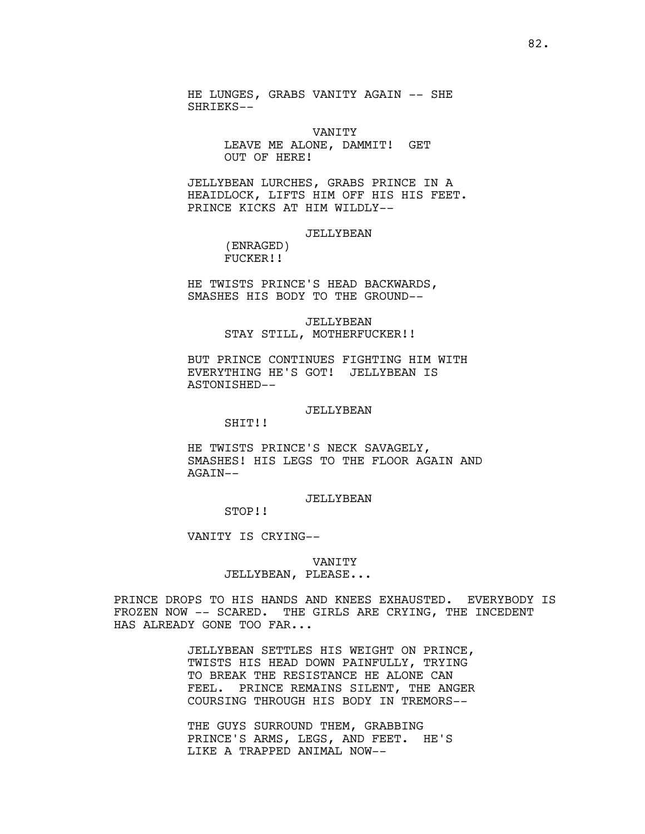HE LUNGES, GRABS VANITY AGAIN -- SHE SHRIEKS--

> VANITY LEAVE ME ALONE, DAMMIT! GET OUT OF HERE!

 JELLYBEAN LURCHES, GRABS PRINCE IN A HEAIDLOCK, LIFTS HIM OFF HIS HIS FEET. PRINCE KICKS AT HIM WILDLY--

JELLYBEAN

 (ENRAGED) FUCKER!!

 HE TWISTS PRINCE'S HEAD BACKWARDS, SMASHES HIS BODY TO THE GROUND--

> JELLYBEAN STAY STILL, MOTHERFUCKER!!

 BUT PRINCE CONTINUES FIGHTING HIM WITH EVERYTHING HE'S GOT! JELLYBEAN IS ASTONISHED--

### JELLYBEAN

SHIT!!

 HE TWISTS PRINCE'S NECK SAVAGELY, SMASHES! HIS LEGS TO THE FLOOR AGAIN AND AGATN--

### JELLYBEAN

STOP!!

VANITY IS CRYING--

 VANITY JELLYBEAN, PLEASE...

PRINCE DROPS TO HIS HANDS AND KNEES EXHAUSTED. EVERYBODY IS FROZEN NOW -- SCARED. THE GIRLS ARE CRYING, THE INCEDENT HAS ALREADY GONE TOO FAR...

> JELLYBEAN SETTLES HIS WEIGHT ON PRINCE, TWISTS HIS HEAD DOWN PAINFULLY, TRYING TO BREAK THE RESISTANCE HE ALONE CAN FEEL. PRINCE REMAINS SILENT, THE ANGER COURSING THROUGH HIS BODY IN TREMORS--

 THE GUYS SURROUND THEM, GRABBING PRINCE'S ARMS, LEGS, AND FEET. HE'S LIKE A TRAPPED ANIMAL NOW--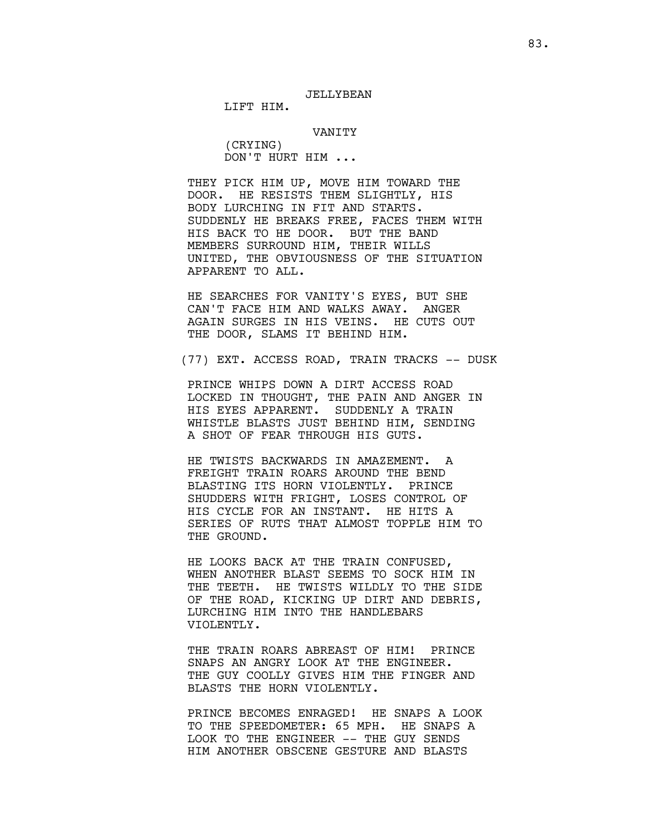JELLYBEAN

LIFT HIM.

### VANITY

 (CRYING) DON'T HURT HIM ...

 THEY PICK HIM UP, MOVE HIM TOWARD THE DOOR. HE RESISTS THEM SLIGHTLY, HIS BODY LURCHING IN FIT AND STARTS. SUDDENLY HE BREAKS FREE, FACES THEM WITH HIS BACK TO HE DOOR. BUT THE BAND MEMBERS SURROUND HIM, THEIR WILLS UNITED, THE OBVIOUSNESS OF THE SITUATION APPARENT TO ALL.

 HE SEARCHES FOR VANITY'S EYES, BUT SHE CAN'T FACE HIM AND WALKS AWAY. ANGER AGAIN SURGES IN HIS VEINS. HE CUTS OUT THE DOOR, SLAMS IT BEHIND HIM.

(77) EXT. ACCESS ROAD, TRAIN TRACKS -- DUSK

 PRINCE WHIPS DOWN A DIRT ACCESS ROAD LOCKED IN THOUGHT, THE PAIN AND ANGER IN HIS EYES APPARENT. SUDDENLY A TRAIN WHISTLE BLASTS JUST BEHIND HIM, SENDING A SHOT OF FEAR THROUGH HIS GUTS.

 HE TWISTS BACKWARDS IN AMAZEMENT. A FREIGHT TRAIN ROARS AROUND THE BEND BLASTING ITS HORN VIOLENTLY. PRINCE SHUDDERS WITH FRIGHT, LOSES CONTROL OF HIS CYCLE FOR AN INSTANT. HE HITS A SERIES OF RUTS THAT ALMOST TOPPLE HIM TO THE GROUND.

 HE LOOKS BACK AT THE TRAIN CONFUSED, WHEN ANOTHER BLAST SEEMS TO SOCK HIM IN THE TEETH. HE TWISTS WILDLY TO THE SIDE OF THE ROAD, KICKING UP DIRT AND DEBRIS, LURCHING HIM INTO THE HANDLEBARS VIOLENTLY.

 THE TRAIN ROARS ABREAST OF HIM! PRINCE SNAPS AN ANGRY LOOK AT THE ENGINEER. THE GUY COOLLY GIVES HIM THE FINGER AND BLASTS THE HORN VIOLENTLY.

 PRINCE BECOMES ENRAGED! HE SNAPS A LOOK TO THE SPEEDOMETER: 65 MPH. HE SNAPS A LOOK TO THE ENGINEER -- THE GUY SENDS HIM ANOTHER OBSCENE GESTURE AND BLASTS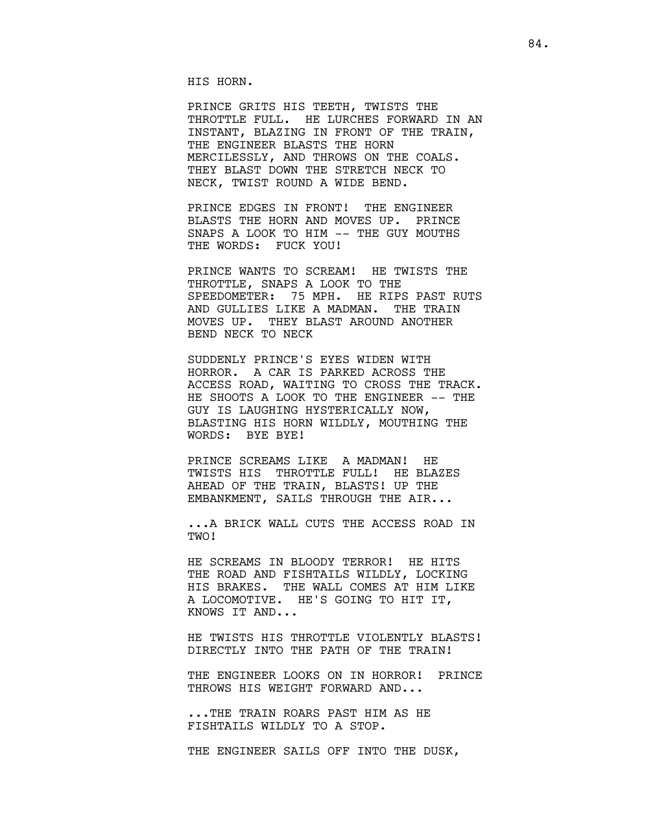HIS HORN.

 PRINCE GRITS HIS TEETH, TWISTS THE THROTTLE FULL. HE LURCHES FORWARD IN AN INSTANT, BLAZING IN FRONT OF THE TRAIN, THE ENGINEER BLASTS THE HORN MERCILESSLY, AND THROWS ON THE COALS. THEY BLAST DOWN THE STRETCH NECK TO NECK, TWIST ROUND A WIDE BEND.

 PRINCE EDGES IN FRONT! THE ENGINEER BLASTS THE HORN AND MOVES UP. PRINCE SNAPS A LOOK TO HIM -- THE GUY MOUTHS THE WORDS: FUCK YOU!

 PRINCE WANTS TO SCREAM! HE TWISTS THE THROTTLE, SNAPS A LOOK TO THE SPEEDOMETER: 75 MPH. HE RIPS PAST RUTS AND GULLIES LIKE A MADMAN. THE TRAIN MOVES UP. THEY BLAST AROUND ANOTHER BEND NECK TO NECK

 SUDDENLY PRINCE'S EYES WIDEN WITH HORROR. A CAR IS PARKED ACROSS THE ACCESS ROAD, WAITING TO CROSS THE TRACK. HE SHOOTS A LOOK TO THE ENGINEER -- THE GUY IS LAUGHING HYSTERICALLY NOW, BLASTING HIS HORN WILDLY, MOUTHING THE WORDS: BYE BYE!

 PRINCE SCREAMS LIKE A MADMAN! HE TWISTS HIS THROTTLE FULL! HE BLAZES AHEAD OF THE TRAIN, BLASTS! UP THE EMBANKMENT, SAILS THROUGH THE AIR...

 ...A BRICK WALL CUTS THE ACCESS ROAD IN TWO!

 HE SCREAMS IN BLOODY TERROR! HE HITS THE ROAD AND FISHTAILS WILDLY, LOCKING HIS BRAKES. THE WALL COMES AT HIM LIKE A LOCOMOTIVE. HE'S GOING TO HIT IT, KNOWS IT AND...

 HE TWISTS HIS THROTTLE VIOLENTLY BLASTS! DIRECTLY INTO THE PATH OF THE TRAIN!

 THE ENGINEER LOOKS ON IN HORROR! PRINCE THROWS HIS WEIGHT FORWARD AND...

 ...THE TRAIN ROARS PAST HIM AS HE FISHTAILS WILDLY TO A STOP.

THE ENGINEER SAILS OFF INTO THE DUSK,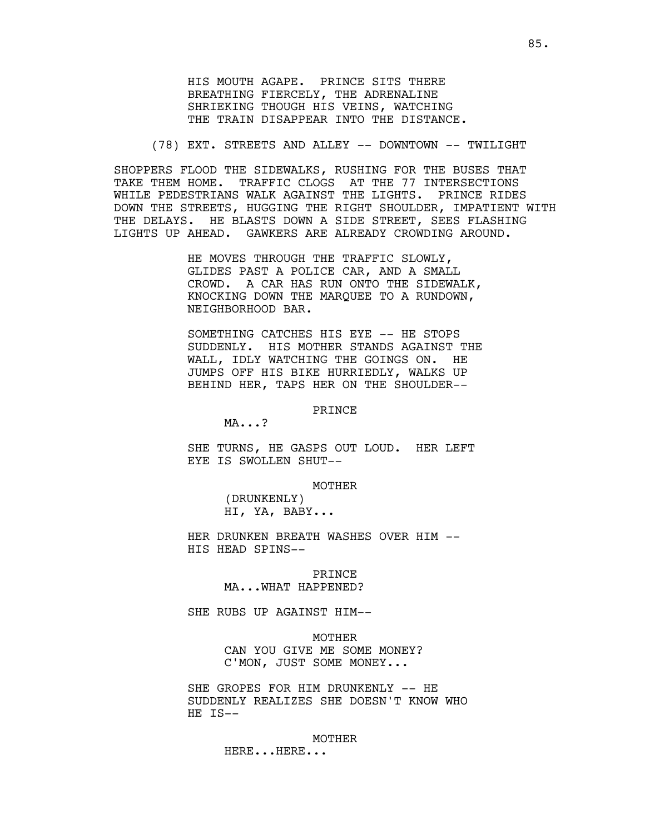HIS MOUTH AGAPE. PRINCE SITS THERE BREATHING FIERCELY, THE ADRENALINE SHRIEKING THOUGH HIS VEINS, WATCHING THE TRAIN DISAPPEAR INTO THE DISTANCE.

(78) EXT. STREETS AND ALLEY -- DOWNTOWN -- TWILIGHT

SHOPPERS FLOOD THE SIDEWALKS, RUSHING FOR THE BUSES THAT TAKE THEM HOME. TRAFFIC CLOGS AT THE 77 INTERSECTIONS WHILE PEDESTRIANS WALK AGAINST THE LIGHTS. PRINCE RIDES DOWN THE STREETS, HUGGING THE RIGHT SHOULDER, IMPATIENT WITH THE DELAYS. HE BLASTS DOWN A SIDE STREET, SEES FLASHING LIGHTS UP AHEAD. GAWKERS ARE ALREADY CROWDING AROUND.

> HE MOVES THROUGH THE TRAFFIC SLOWLY, GLIDES PAST A POLICE CAR, AND A SMALL CROWD. A CAR HAS RUN ONTO THE SIDEWALK, KNOCKING DOWN THE MARQUEE TO A RUNDOWN, NEIGHBORHOOD BAR.

> SOMETHING CATCHES HIS EYE -- HE STOPS SUDDENLY. HIS MOTHER STANDS AGAINST THE WALL, IDLY WATCHING THE GOINGS ON. HE JUMPS OFF HIS BIKE HURRIEDLY, WALKS UP BEHIND HER, TAPS HER ON THE SHOULDER--

> > PRINCE

MA...?

 SHE TURNS, HE GASPS OUT LOUD. HER LEFT EYE IS SWOLLEN SHUT--

MOTHER

 (DRUNKENLY) HI, YA, BABY...

 HER DRUNKEN BREATH WASHES OVER HIM -- HIS HEAD SPINS--

> PRINCE MA...WHAT HAPPENED?

SHE RUBS UP AGAINST HIM--

 MOTHER CAN YOU GIVE ME SOME MONEY? C'MON, JUST SOME MONEY...

SHE GROPES FOR HIM DRUNKENLY -- HE SUDDENLY REALIZES SHE DOESN'T KNOW WHO HE IS--

MOTHER

HERE...HERE...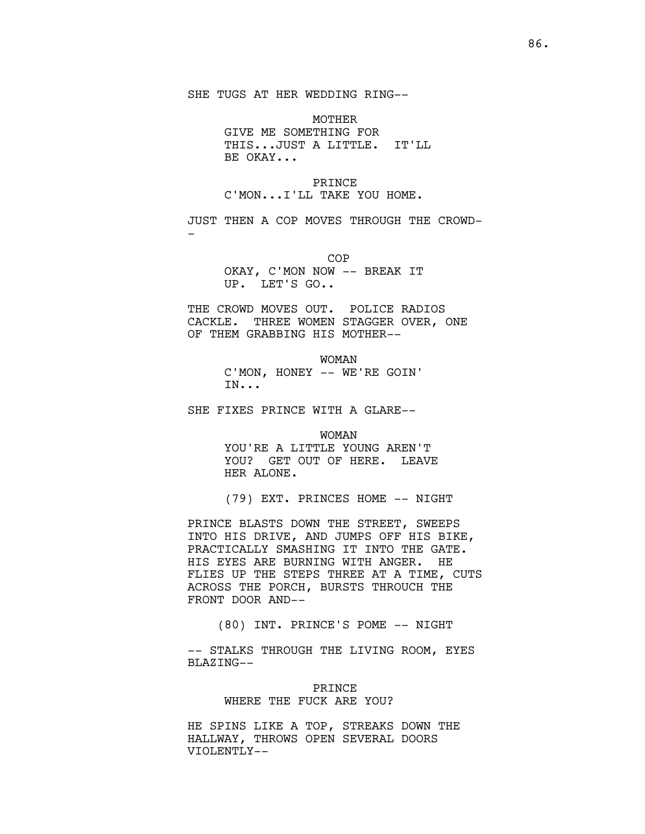- 1990 - 1990 - 1990 -

 MOTHER GIVE ME SOMETHING FOR THIS...JUST A LITTLE. IT'LL BE OKAY...

 PRINCE C'MON...I'LL TAKE YOU HOME.

JUST THEN A COP MOVES THROUGH THE CROWD-

**COP COP**  OKAY, C'MON NOW -- BREAK IT UP. LET'S GO..

> THE CROWD MOVES OUT. POLICE RADIOS CACKLE. THREE WOMEN STAGGER OVER, ONE OF THEM GRABBING HIS MOTHER--

> > WOMAN C'MON, HONEY -- WE'RE GOIN' IN...

SHE FIXES PRINCE WITH A GLARE--

 WOMAN YOU'RE A LITTLE YOUNG AREN'T YOU? GET OUT OF HERE. LEAVE HER ALONE.

(79) EXT. PRINCES HOME -- NIGHT

 PRINCE BLASTS DOWN THE STREET, SWEEPS INTO HIS DRIVE, AND JUMPS OFF HIS BIKE, PRACTICALLY SMASHING IT INTO THE GATE. HIS EYES ARE BURNING WITH ANGER. HE FLIES UP THE STEPS THREE AT A TIME, CUTS ACROSS THE PORCH, BURSTS THROUCH THE FRONT DOOR AND--

(80) INT. PRINCE'S POME -- NIGHT

 -- STALKS THROUGH THE LIVING ROOM, EYES BLAZING--

# PRINCE WHERE THE FUCK ARE YOU?

 HE SPINS LIKE A TOP, STREAKS DOWN THE HALLWAY, THROWS OPEN SEVERAL DOORS VIOLENTLY--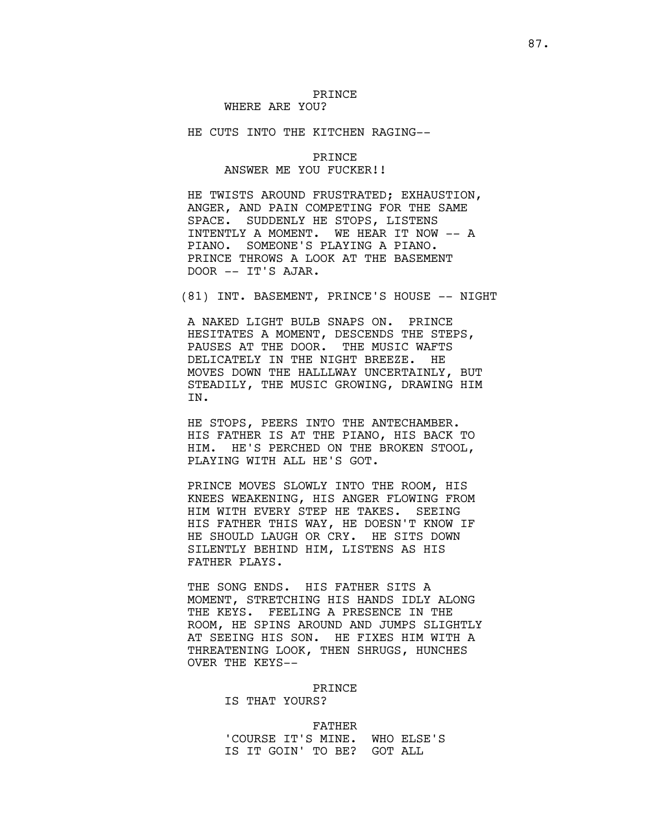# PRINCE

# WHERE ARE YOU?

HE CUTS INTO THE KITCHEN RAGING--

## PRINCE ANSWER ME YOU FUCKER!!

 HE TWISTS AROUND FRUSTRATED; EXHAUSTION, ANGER, AND PAIN COMPETING FOR THE SAME SPACE. SUDDENLY HE STOPS, LISTENS INTENTLY A MOMENT. WE HEAR IT NOW -- A PIANO. SOMEONE'S PLAYING A PIANO. PRINCE THROWS A LOOK AT THE BASEMENT DOOR -- IT'S AJAR.

(81) INT. BASEMENT, PRINCE'S HOUSE -- NIGHT

 A NAKED LIGHT BULB SNAPS ON. PRINCE HESITATES A MOMENT, DESCENDS THE STEPS, PAUSES AT THE DOOR. THE MUSIC WAFTS DELICATELY IN THE NIGHT BREEZE. HE MOVES DOWN THE HALLLWAY UNCERTAINLY, BUT STEADILY, THE MUSIC GROWING, DRAWING HIM IN.

 HE STOPS, PEERS INTO THE ANTECHAMBER. HIS FATHER IS AT THE PIANO, HIS BACK TO HIM. HE'S PERCHED ON THE BROKEN STOOL, PLAYING WITH ALL HE'S GOT.

 PRINCE MOVES SLOWLY INTO THE ROOM, HIS KNEES WEAKENING, HIS ANGER FLOWING FROM HIM WITH EVERY STEP HE TAKES. SEEING HIS FATHER THIS WAY, HE DOESN'T KNOW IF HE SHOULD LAUGH OR CRY. HE SITS DOWN SILENTLY BEHIND HIM, LISTENS AS HIS FATHER PLAYS.

 THE SONG ENDS. HIS FATHER SITS A MOMENT, STRETCHING HIS HANDS IDLY ALONG THE KEYS. FEELING A PRESENCE IN THE ROOM, HE SPINS AROUND AND JUMPS SLIGHTLY AT SEEING HIS SON. HE FIXES HIM WITH A THREATENING LOOK, THEN SHRUGS, HUNCHES OVER THE KEYS--

### PRINCE

# IS THAT YOURS?

 FATHER 'COURSE IT'S MINE. WHO ELSE'S IS IT GOIN' TO BE? GOT ALL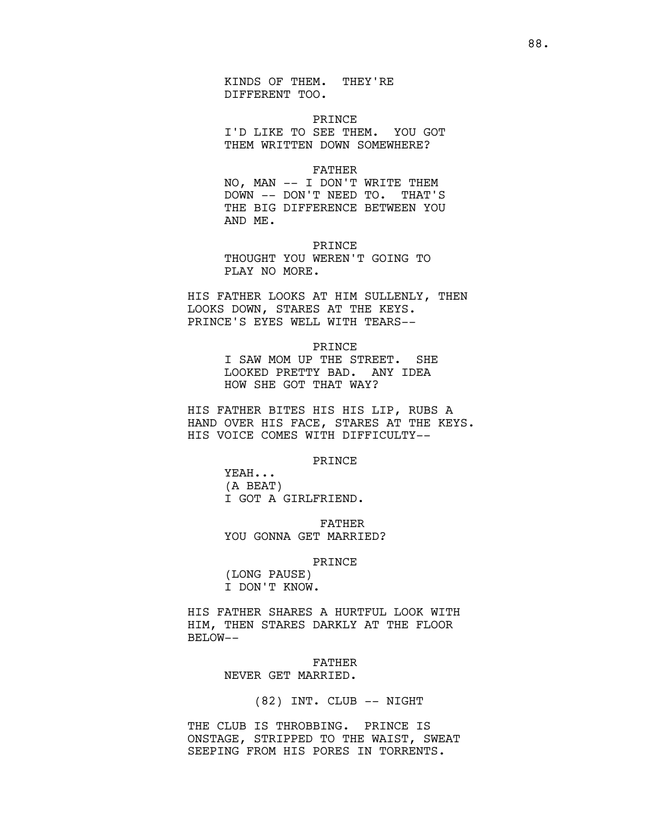KINDS OF THEM. THEY'RE DIFFERENT TOO.

PRINCE

 I'D LIKE TO SEE THEM. YOU GOT THEM WRITTEN DOWN SOMEWHERE?

FATHER

 NO, MAN -- I DON'T WRITE THEM DOWN -- DON'T NEED TO. THAT'S THE BIG DIFFERENCE BETWEEN YOU AND ME.

**PRINCE**  THOUGHT YOU WEREN'T GOING TO PLAY NO MORE.

 HIS FATHER LOOKS AT HIM SULLENLY, THEN LOOKS DOWN, STARES AT THE KEYS. PRINCE'S EYES WELL WITH TEARS--

> PRINCE I SAW MOM UP THE STREET. SHE

 LOOKED PRETTY BAD. ANY IDEA HOW SHE GOT THAT WAY?

 HIS FATHER BITES HIS HIS LIP, RUBS A HAND OVER HIS FACE, STARES AT THE KEYS. HIS VOICE COMES WITH DIFFICULTY--

PRINCE

 YEAH... (A BEAT) I GOT A GIRLFRIEND.

 FATHER YOU GONNA GET MARRIED?

PRINCE

 (LONG PAUSE) I DON'T KNOW.

 HIS FATHER SHARES A HURTFUL LOOK WITH HIM, THEN STARES DARKLY AT THE FLOOR BELOW--

FATHER

NEVER GET MARRIED.

(82) INT. CLUB -- NIGHT

 THE CLUB IS THROBBING. PRINCE IS ONSTAGE, STRIPPED TO THE WAIST, SWEAT SEEPING FROM HIS PORES IN TORRENTS.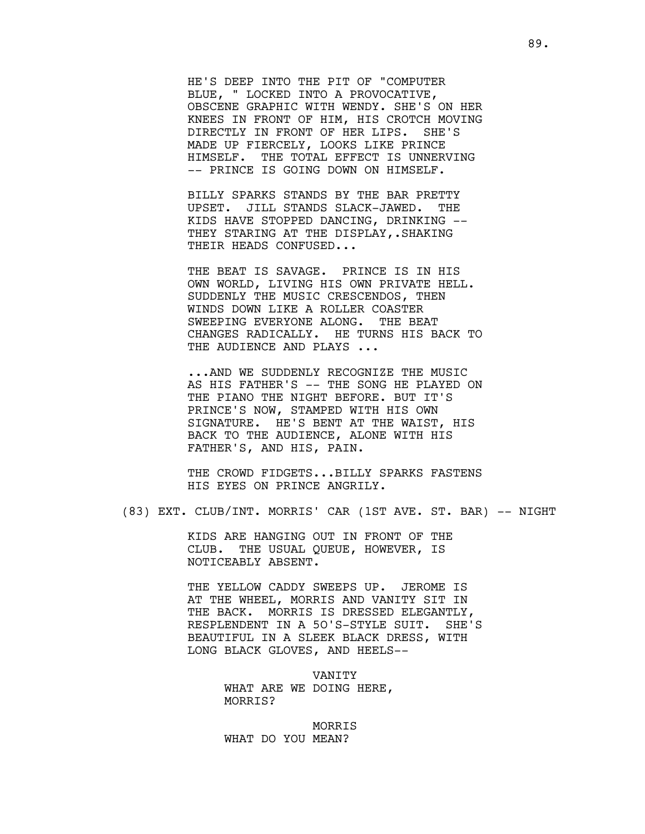HE'S DEEP INTO THE PIT OF "COMPUTER BLUE, " LOCKED INTO A PROVOCATIVE, OBSCENE GRAPHIC WITH WENDY. SHE'S ON HER KNEES IN FRONT OF HIM, HIS CROTCH MOVING DIRECTLY IN FRONT OF HER LIPS. SHE'S MADE UP FIERCELY, LOOKS LIKE PRINCE HIMSELF. THE TOTAL EFFECT IS UNNERVING -- PRINCE IS GOING DOWN ON HIMSELF.

 BILLY SPARKS STANDS BY THE BAR PRETTY UPSET. JILL STANDS SLACK-JAWED. THE KIDS HAVE STOPPED DANCING, DRINKING -- THEY STARING AT THE DISPLAY,.SHAKING THEIR HEADS CONFUSED...

 THE BEAT IS SAVAGE. PRINCE IS IN HIS OWN WORLD, LIVING HIS OWN PRIVATE HELL. SUDDENLY THE MUSIC CRESCENDOS, THEN WINDS DOWN LIKE A ROLLER COASTER SWEEPING EVERYONE ALONG. THE BEAT CHANGES RADICALLY. HE TURNS HIS BACK TO THE AUDIENCE AND PLAYS ...

 ...AND WE SUDDENLY RECOGNIZE THE MUSIC AS HIS FATHER'S -- THE SONG HE PLAYED ON THE PIANO THE NIGHT BEFORE. BUT IT'S PRINCE'S NOW, STAMPED WITH HIS OWN SIGNATURE. HE'S BENT AT THE WAIST, HIS BACK TO THE AUDIENCE, ALONE WITH HIS FATHER'S, AND HIS, PAIN.

 THE CROWD FIDGETS...BILLY SPARKS FASTENS HIS EYES ON PRINCE ANGRILY.

(83) EXT. CLUB/INT. MORRIS' CAR (1ST AVE. ST. BAR) -- NIGHT

 KIDS ARE HANGING OUT IN FRONT OF THE CLUB. THE USUAL QUEUE, HOWEVER, IS NOTICEABLY ABSENT.

 THE YELLOW CADDY SWEEPS UP. JEROME IS AT THE WHEEL, MORRIS AND VANITY SIT IN THE BACK. MORRIS IS DRESSED ELEGANTLY, RESPLENDENT IN A 5O'S-STYLE SUIT. SHE'S BEAUTIFUL IN A SLEEK BLACK DRESS, WITH LONG BLACK GLOVES, AND HEELS--

> VANITY WHAT ARE WE DOING HERE, MORRIS?

 MORRIS WHAT DO YOU MEAN?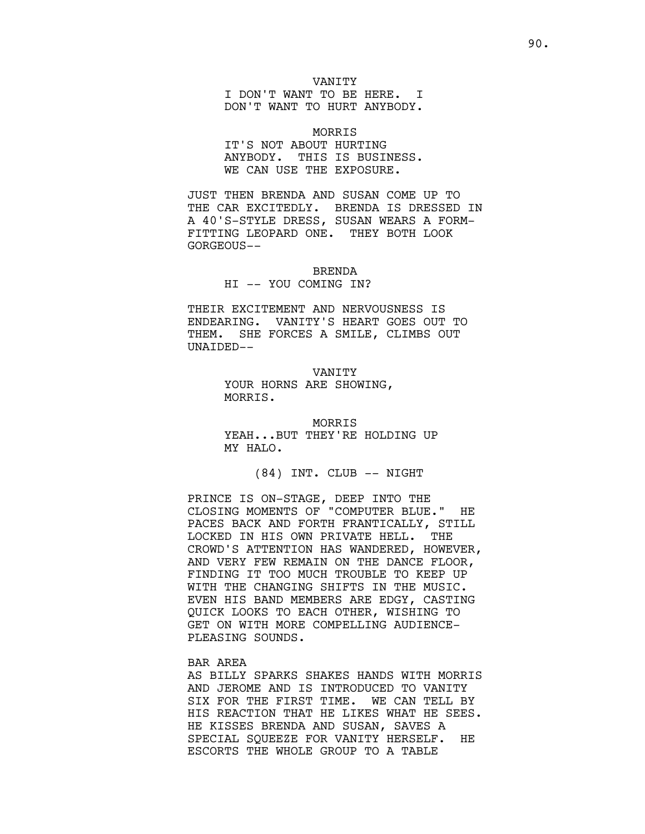VANITY

 I DON'T WANT TO BE HERE. I DON'T WANT TO HURT ANYBODY.

 MORRIS IT'S NOT ABOUT HURTING ANYBODY. THIS IS BUSINESS. WE CAN USE THE EXPOSURE.

 JUST THEN BRENDA AND SUSAN COME UP TO THE CAR EXCITEDLY. BRENDA IS DRESSED IN A 40'S-STYLE DRESS, SUSAN WEARS A FORM- FITTING LEOPARD ONE. THEY BOTH LOOK GORGEOUS--

#### BRENDA

### HI -- YOU COMING IN?

 THEIR EXCITEMENT AND NERVOUSNESS IS ENDEARING. VANITY'S HEART GOES OUT TO THEM. SHE FORCES A SMILE, CLIMBS OUT UNAIDED--

> VANITY YOUR HORNS ARE SHOWING, MORRIS.

 MORRIS YEAH...BUT THEY'RE HOLDING UP MY HALO.

### (84) INT. CLUB -- NIGHT

 PRINCE IS ON-STAGE, DEEP INTO THE CLOSING MOMENTS OF "COMPUTER BLUE." HE PACES BACK AND FORTH FRANTICALLY, STILL LOCKED IN HIS OWN PRIVATE HELL. THE CROWD'S ATTENTION HAS WANDERED, HOWEVER, AND VERY FEW REMAIN ON THE DANCE FLOOR, FINDING IT TOO MUCH TROUBLE TO KEEP UP WITH THE CHANGING SHIFTS IN THE MUSIC. EVEN HIS BAND MEMBERS ARE EDGY, CASTING QUICK LOOKS TO EACH OTHER, WISHING TO GET ON WITH MORE COMPELLING AUDIENCE- PLEASING SOUNDS.

### BAR AREA

 AS BILLY SPARKS SHAKES HANDS WITH MORRIS AND JEROME AND IS INTRODUCED TO VANITY SIX FOR THE FIRST TIME. WE CAN TELL BY HIS REACTION THAT HE LIKES WHAT HE SEES. HE KISSES BRENDA AND SUSAN, SAVES A SPECIAL SQUEEZE FOR VANITY HERSELF. HE ESCORTS THE WHOLE GROUP TO A TABLE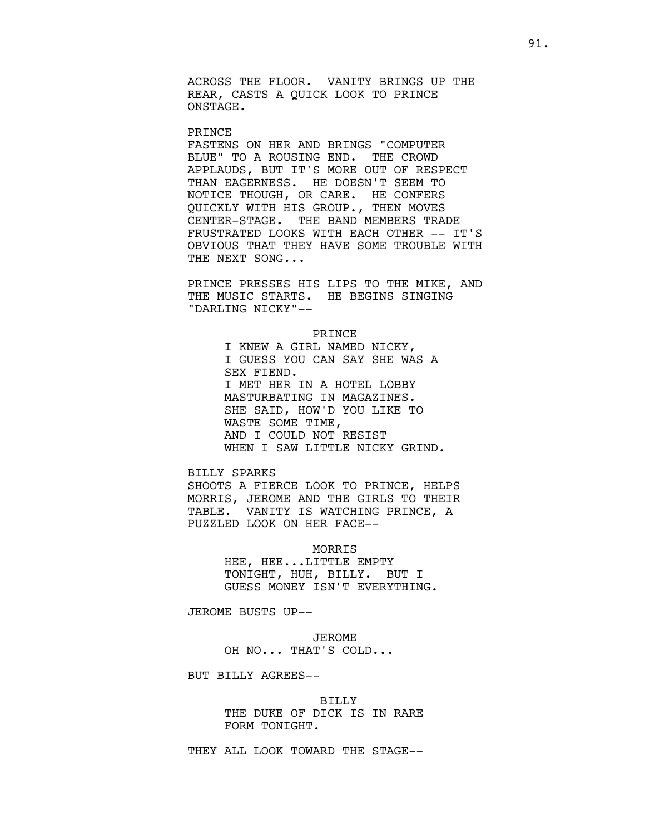ACROSS THE FLOOR. VANITY BRINGS UP THE REAR, CASTS A QUICK LOOK TO PRINCE ONSTAGE.

### PRINCE

 FASTENS ON HER AND BRINGS "COMPUTER BLUE" TO A ROUSING END. THE CROWD APPLAUDS, BUT IT'S MORE OUT OF RESPECT THAN EAGERNESS. HE DOESN'T SEEM TO NOTICE THOUGH, OR CARE. HE CONFERS QUICKLY WITH HIS GROUP., THEN MOVES CENTER-STAGE. THE BAND MEMBERS TRADE FRUSTRATED LOOKS WITH EACH OTHER -- IT'S OBVIOUS THAT THEY HAVE SOME TROUBLE WITH THE NEXT SONG...

 PRINCE PRESSES HIS LIPS TO THE MIKE, AND THE MUSIC STARTS. HE BEGINS SINGING "DARLING NICKY"--

> PRINCE I KNEW A GIRL NAMED NICKY, I GUESS YOU CAN SAY SHE WAS A SEX FIEND. I MET HER IN A HOTEL LOBBY MASTURBATING IN MAGAZINES. SHE SAID, HOW'D YOU LIKE TO WASTE SOME TIME, AND I COULD NOT RESIST WHEN I SAW LITTLE NICKY GRIND.

### BILLY SPARKS

 SHOOTS A FIERCE LOOK TO PRINCE, HELPS MORRIS, JEROME AND THE GIRLS TO THEIR TABLE. VANITY IS WATCHING PRINCE, A PUZZLED LOOK ON HER FACE--

MORRIS

 HEE, HEE...LITTLE EMPTY TONIGHT, HUH, BILLY. BUT I GUESS MONEY ISN'T EVERYTHING.

JEROME BUSTS UP--

 JEROME OH NO... THAT'S COLD...

BUT BILLY AGREES--

#### BILLY

 THE DUKE OF DICK IS IN RARE FORM TONIGHT.

THEY ALL LOOK TOWARD THE STAGE--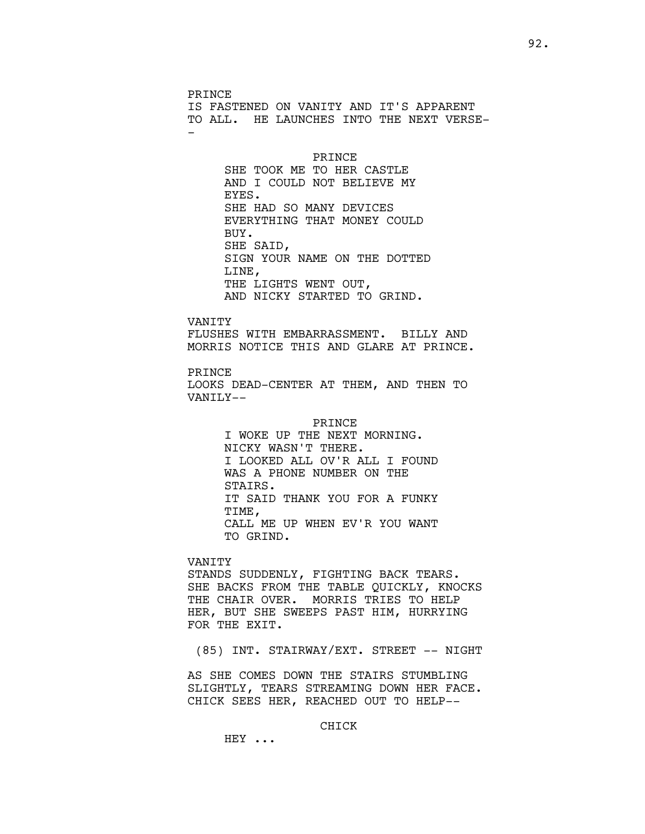PRINCE IS FASTENED ON VANITY AND IT'S APPARENT TO ALL. HE LAUNCHES INTO THE NEXT VERSE- - 1990 - 1990 - 1990 - PRINCE SHE TOOK ME TO HER CASTLE AND I COULD NOT BELIEVE MY EYES. SHE HAD SO MANY DEVICES EVERYTHING THAT MONEY COULD BUY. SHE SAID, SIGN YOUR NAME ON THE DOTTED LINE, THE LIGHTS WENT OUT, AND NICKY STARTED TO GRIND. VANITY FLUSHES WITH EMBARRASSMENT. BILLY AND MORRIS NOTICE THIS AND GLARE AT PRINCE. PRINCE LOOKS DEAD-CENTER AT THEM, AND THEN TO VANILY-- PRINCE I WOKE UP THE NEXT MORNING. NICKY WASN'T THERE. I LOOKED ALL OV'R ALL I FOUND WAS A PHONE NUMBER ON THE STAIRS. IT SAID THANK YOU FOR A FUNKY TIME, CALL ME UP WHEN EV'R YOU WANT TO GRIND. VANITY STANDS SUDDENLY, FIGHTING BACK TEARS. SHE BACKS FROM THE TABLE QUICKLY, KNOCKS THE CHAIR OVER. MORRIS TRIES TO HELP HER, BUT SHE SWEEPS PAST HIM, HURRYING FOR THE EXIT. (85) INT. STAIRWAY/EXT. STREET -- NIGHT AS SHE COMES DOWN THE STAIRS STUMBLING SLIGHTLY, TEARS STREAMING DOWN HER FACE. CHICK SEES HER, REACHED OUT TO HELP-- CHICK

HEY ...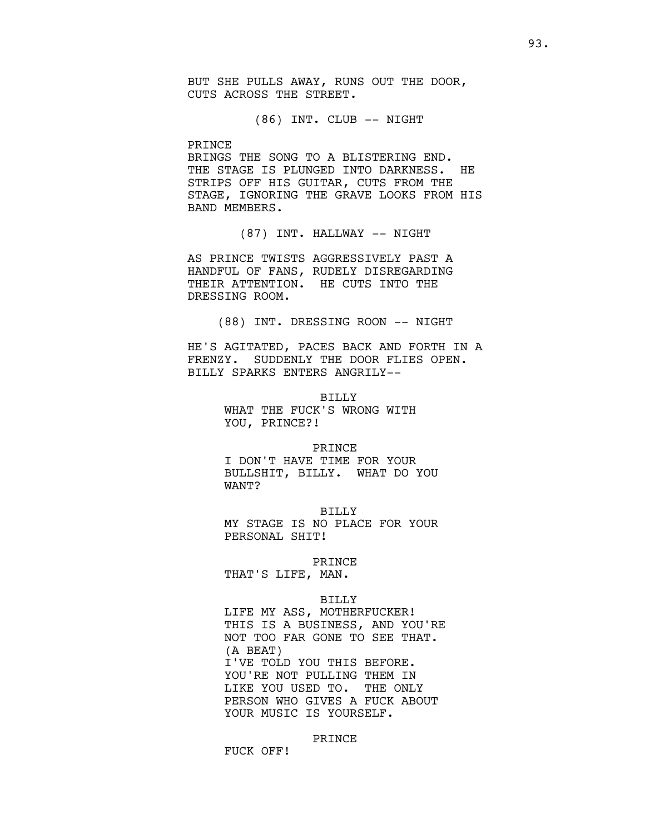BUT SHE PULLS AWAY, RUNS OUT THE DOOR, CUTS ACROSS THE STREET.

#### (86) INT. CLUB -- NIGHT

PRINCE

 BRINGS THE SONG TO A BLISTERING END. THE STAGE IS PLUNGED INTO DARKNESS. HE STRIPS OFF HIS GUITAR, CUTS FROM THE STAGE, IGNORING THE GRAVE LOOKS FROM HIS BAND MEMBERS.

(87) INT. HALLWAY -- NIGHT

 AS PRINCE TWISTS AGGRESSIVELY PAST A HANDFUL OF FANS, RUDELY DISREGARDING THEIR ATTENTION. HE CUTS INTO THE DRESSING ROOM.

(88) INT. DRESSING ROON -- NIGHT

 HE'S AGITATED, PACES BACK AND FORTH IN A FRENZY. SUDDENLY THE DOOR FLIES OPEN. BILLY SPARKS ENTERS ANGRILY--

> BILLY WHAT THE FUCK'S WRONG WITH YOU, PRINCE?!

> > **PRINCE**

 I DON'T HAVE TIME FOR YOUR BULLSHIT, BILLY. WHAT DO YOU WANT?

 BILLY MY STAGE IS NO PLACE FOR YOUR PERSONAL SHIT!

PRINCE

THAT'S LIFE, MAN.

### BILLY

 LIFE MY ASS, MOTHERFUCKER! THIS IS A BUSINESS, AND YOU'RE NOT TOO FAR GONE TO SEE THAT. (A BEAT) I'VE TOLD YOU THIS BEFORE. YOU'RE NOT PULLING THEM IN LIKE YOU USED TO. THE ONLY PERSON WHO GIVES A FUCK ABOUT YOUR MUSIC IS YOURSELF.

### PRINCE

FUCK OFF!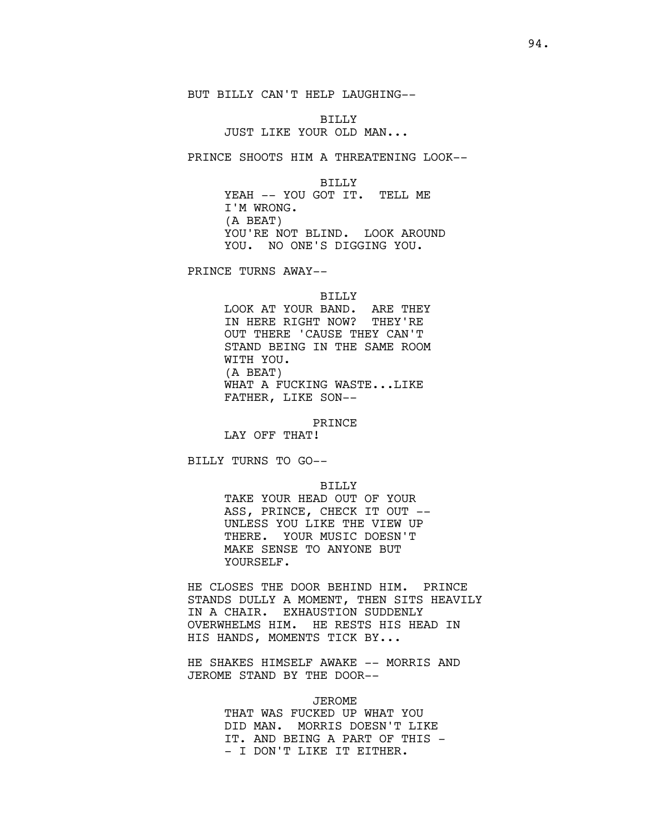BUT BILLY CAN'T HELP LAUGHING--

 BILLY JUST LIKE YOUR OLD MAN...

PRINCE SHOOTS HIM A THREATENING LOOK--

BILLY

YEAH -- YOU GOT IT. TELL ME I'M WRONG. (A BEAT) YOU'RE NOT BLIND. LOOK AROUND YOU. NO ONE'S DIGGING YOU.

PRINCE TURNS AWAY--

BILLY

 LOOK AT YOUR BAND. ARE THEY IN HERE RIGHT NOW? THEY'RE OUT THERE 'CAUSE THEY CAN'T STAND BEING IN THE SAME ROOM WITH YOU. (A BEAT) WHAT A FUCKING WASTE...LIKE FATHER, LIKE SON--

PRINCE

LAY OFF THAT!

BILLY TURNS TO GO--

BILLY

 TAKE YOUR HEAD OUT OF YOUR ASS, PRINCE, CHECK IT OUT -- UNLESS YOU LIKE THE VIEW UP THERE. YOUR MUSIC DOESN'T MAKE SENSE TO ANYONE BUT YOURSELF.

 HE CLOSES THE DOOR BEHIND HIM. PRINCE STANDS DULLY A MOMENT, THEN SITS HEAVILY IN A CHAIR. EXHAUSTION SUDDENLY OVERWHELMS HIM. HE RESTS HIS HEAD IN HIS HANDS, MOMENTS TICK BY...

 HE SHAKES HIMSELF AWAKE -- MORRIS AND JEROME STAND BY THE DOOR--

> JEROME THAT WAS FUCKED UP WHAT YOU DID MAN. MORRIS DOESN'T LIKE IT. AND BEING A PART OF THIS -- I DON'T LIKE IT EITHER.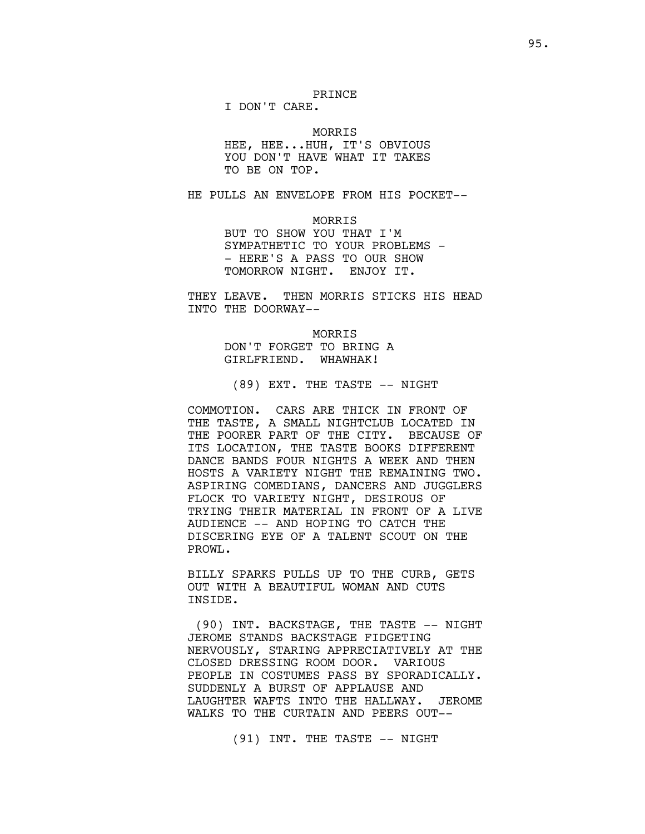### PRINCE

I DON'T CARE.

TO BE ON TOP.

 MORRIS HEE, HEE...HUH, IT'S OBVIOUS YOU DON'T HAVE WHAT IT TAKES

HE PULLS AN ENVELOPE FROM HIS POCKET--

 MORRIS BUT TO SHOW YOU THAT I'M SYMPATHETIC TO YOUR PROBLEMS - - HERE'S A PASS TO OUR SHOW TOMORROW NIGHT. ENJOY IT.

 THEY LEAVE. THEN MORRIS STICKS HIS HEAD INTO THE DOORWAY--

> MORRIS DON'T FORGET TO BRING A GIRLFRIEND. WHAWHAK!

(89) EXT. THE TASTE -- NIGHT

 COMMOTION. CARS ARE THICK IN FRONT OF THE TASTE, A SMALL NIGHTCLUB LOCATED IN THE POORER PART OF THE CITY. BECAUSE OF ITS LOCATION, THE TASTE BOOKS DIFFERENT DANCE BANDS FOUR NIGHTS A WEEK AND THEN HOSTS A VARIETY NIGHT THE REMAINING TWO. ASPIRING COMEDIANS, DANCERS AND JUGGLERS FLOCK TO VARIETY NIGHT, DESIROUS OF TRYING THEIR MATERIAL IN FRONT OF A LIVE AUDIENCE -- AND HOPING TO CATCH THE DISCERING EYE OF A TALENT SCOUT ON THE PROWL.

 BILLY SPARKS PULLS UP TO THE CURB, GETS OUT WITH A BEAUTIFUL WOMAN AND CUTS INSIDE.

(90) INT. BACKSTAGE, THE TASTE -- NIGHT JEROME STANDS BACKSTAGE FIDGETING NERVOUSLY, STARING APPRECIATIVELY AT THE CLOSED DRESSING ROOM DOOR. VARIOUS PEOPLE IN COSTUMES PASS BY SPORADICALLY. SUDDENLY A BURST OF APPLAUSE AND LAUGHTER WAFTS INTO THE HALLWAY. JEROME WALKS TO THE CURTAIN AND PEERS OUT--

(91) INT. THE TASTE -- NIGHT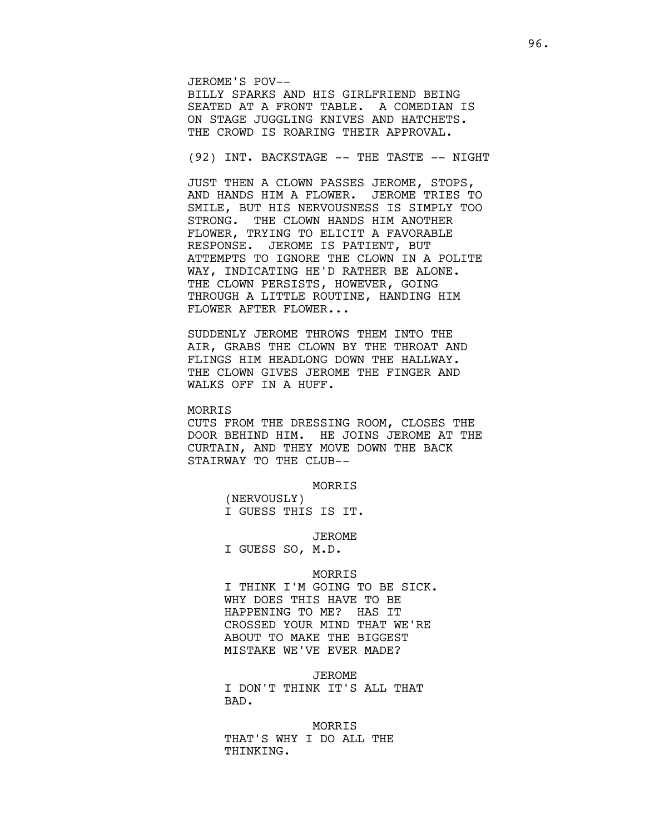JEROME'S POV-- BILLY SPARKS AND HIS GIRLFRIEND BEING SEATED AT A FRONT TABLE. A COMEDIAN IS ON STAGE JUGGLING KNIVES AND HATCHETS. THE CROWD IS ROARING THEIR APPROVAL.

(92) INT. BACKSTAGE -- THE TASTE -- NIGHT

 JUST THEN A CLOWN PASSES JEROME, STOPS, AND HANDS HIM A FLOWER. JEROME TRIES TO SMILE, BUT HIS NERVOUSNESS IS SIMPLY TOO STRONG. THE CLOWN HANDS HIM ANOTHER FLOWER, TRYING TO ELICIT A FAVORABLE RESPONSE. JEROME IS PATIENT, BUT ATTEMPTS TO IGNORE THE CLOWN IN A POLITE WAY, INDICATING HE'D RATHER BE ALONE. THE CLOWN PERSISTS, HOWEVER, GOING THROUGH A LITTLE ROUTINE, HANDING HIM FLOWER AFTER FLOWER...

 SUDDENLY JEROME THROWS THEM INTO THE AIR, GRABS THE CLOWN BY THE THROAT AND FLINGS HIM HEADLONG DOWN THE HALLWAY. THE CLOWN GIVES JEROME THE FINGER AND WALKS OFF IN A HUFF.

### MORRIS

 CUTS FROM THE DRESSING ROOM, CLOSES THE DOOR BEHIND HIM. HE JOINS JEROME AT THE CURTAIN, AND THEY MOVE DOWN THE BACK STAIRWAY TO THE CLUB--

MORRIS

 (NERVOUSLY) I GUESS THIS IS IT.

JEROME

I GUESS SO, M.D.

MORRIS

 I THINK I'M GOING TO BE SICK. WHY DOES THIS HAVE TO BE HAPPENING TO ME? HAS IT CROSSED YOUR MIND THAT WE'RE ABOUT TO MAKE THE BIGGEST MISTAKE WE'VE EVER MADE?

JEROME

 I DON'T THINK IT'S ALL THAT BAD.

 MORRIS THAT'S WHY I DO ALL THE THINKING.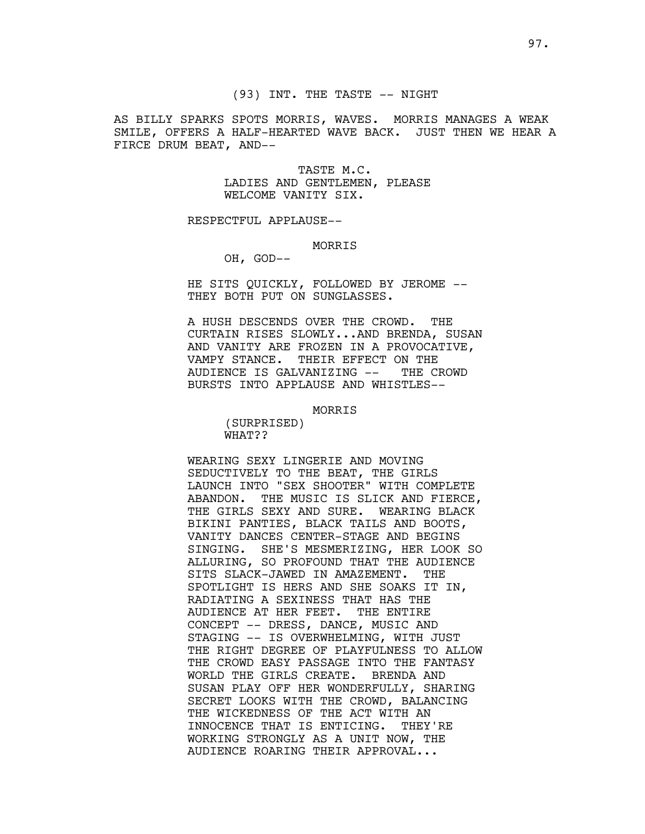AS BILLY SPARKS SPOTS MORRIS, WAVES. MORRIS MANAGES A WEAK SMILE, OFFERS A HALF-HEARTED WAVE BACK. JUST THEN WE HEAR A FIRCE DRUM BEAT, AND--

> TASTE M.C. LADIES AND GENTLEMEN, PLEASE WELCOME VANITY SIX.

RESPECTFUL APPLAUSE--

### MORRIS

OH, GOD--

 HE SITS QUICKLY, FOLLOWED BY JEROME -- THEY BOTH PUT ON SUNGLASSES.

 A HUSH DESCENDS OVER THE CROWD. THE CURTAIN RISES SLOWLY...AND BRENDA, SUSAN AND VANITY ARE FROZEN IN A PROVOCATIVE, VAMPY STANCE. THEIR EFFECT ON THE AUDIENCE IS GALVANIZING -- THE CROWD BURSTS INTO APPLAUSE AND WHISTLES--

MORRIS

 (SURPRISED) WHAT??

 WEARING SEXY LINGERIE AND MOVING SEDUCTIVELY TO THE BEAT, THE GIRLS LAUNCH INTO "SEX SHOOTER" WITH COMPLETE ABANDON. THE MUSIC IS SLICK AND FIERCE, THE GIRLS SEXY AND SURE. WEARING BLACK BIKINI PANTIES, BLACK TAILS AND BOOTS, VANITY DANCES CENTER-STAGE AND BEGINS SINGING. SHE'S MESMERIZING, HER LOOK SO ALLURING, SO PROFOUND THAT THE AUDIENCE SITS SLACK-JAWED IN AMAZEMENT. THE SPOTLIGHT IS HERS AND SHE SOAKS IT IN, RADIATING A SEXINESS THAT HAS THE AUDIENCE AT HER FEET. THE ENTIRE CONCEPT -- DRESS, DANCE, MUSIC AND STAGING -- IS OVERWHELMING, WITH JUST THE RIGHT DEGREE OF PLAYFULNESS TO ALLOW THE CROWD EASY PASSAGE INTO THE FANTASY WORLD THE GIRLS CREATE. BRENDA AND SUSAN PLAY OFF HER WONDERFULLY, SHARING SECRET LOOKS WITH THE CROWD, BALANCING THE WICKEDNESS OF THE ACT WITH AN INNOCENCE THAT IS ENTICING. THEY'RE WORKING STRONGLY AS A UNIT NOW, THE AUDIENCE ROARING THEIR APPROVAL...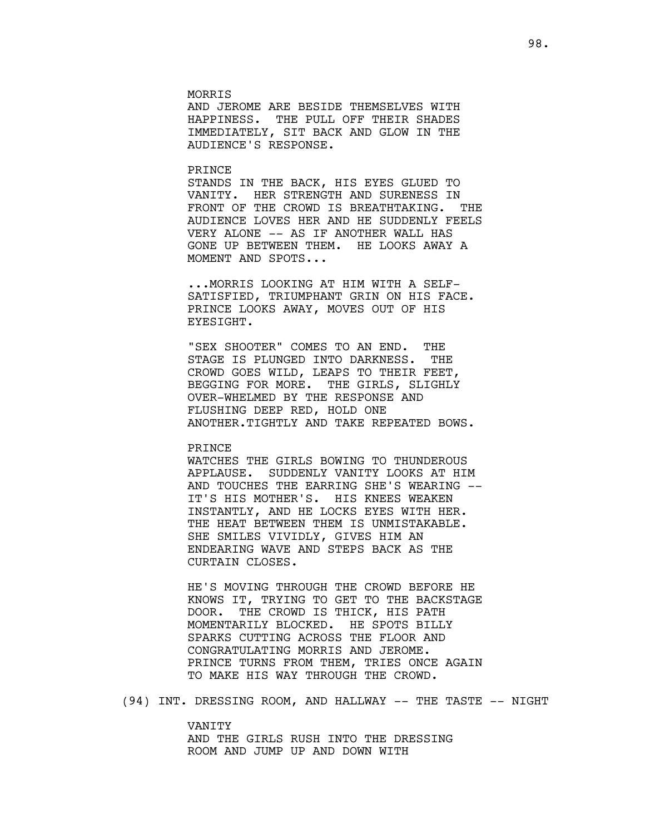#### MORRIS

 AND JEROME ARE BESIDE THEMSELVES WITH HAPPINESS. THE PULL OFF THEIR SHADES IMMEDIATELY, SIT BACK AND GLOW IN THE AUDIENCE'S RESPONSE.

#### PRINCE

 STANDS IN THE BACK, HIS EYES GLUED TO VANITY. HER STRENGTH AND SURENESS IN FRONT OF THE CROWD IS BREATHTAKING. THE AUDIENCE LOVES HER AND HE SUDDENLY FEELS VERY ALONE -- AS IF ANOTHER WALL HAS GONE UP BETWEEN THEM. HE LOOKS AWAY A MOMENT AND SPOTS...

 ...MORRIS LOOKING AT HIM WITH A SELF- SATISFIED, TRIUMPHANT GRIN ON HIS FACE. PRINCE LOOKS AWAY, MOVES OUT OF HIS EYESIGHT.

"SEX SHOOTER" COMES TO AN END. THE<br>STAGE IS PLUNGED INTO DARKNESS. THE STAGE IS PLUNGED INTO DARKNESS. CROWD GOES WILD, LEAPS TO THEIR FEET, BEGGING FOR MORE. THE GIRLS, SLIGHLY OVER-WHELMED BY THE RESPONSE AND FLUSHING DEEP RED, HOLD ONE ANOTHER.TIGHTLY AND TAKE REPEATED BOWS.

#### **PRINCE**

 WATCHES THE GIRLS BOWING TO THUNDEROUS APPLAUSE. SUDDENLY VANITY LOOKS AT HIM AND TOUCHES THE EARRING SHE'S WEARING -- IT'S HIS MOTHER'S. HIS KNEES WEAKEN INSTANTLY, AND HE LOCKS EYES WITH HER. THE HEAT BETWEEN THEM IS UNMISTAKABLE. SHE SMILES VIVIDLY, GIVES HIM AN ENDEARING WAVE AND STEPS BACK AS THE CURTAIN CLOSES.

 HE'S MOVING THROUGH THE CROWD BEFORE HE KNOWS IT, TRYING TO GET TO THE BACKSTAGE DOOR. THE CROWD IS THICK, HIS PATH MOMENTARILY BLOCKED. HE SPOTS BILLY SPARKS CUTTING ACROSS THE FLOOR AND CONGRATULATING MORRIS AND JEROME. PRINCE TURNS FROM THEM, TRIES ONCE AGAIN TO MAKE HIS WAY THROUGH THE CROWD.

(94) INT. DRESSING ROOM, AND HALLWAY -- THE TASTE -- NIGHT

 VANITY AND THE GIRLS RUSH INTO THE DRESSING ROOM AND JUMP UP AND DOWN WITH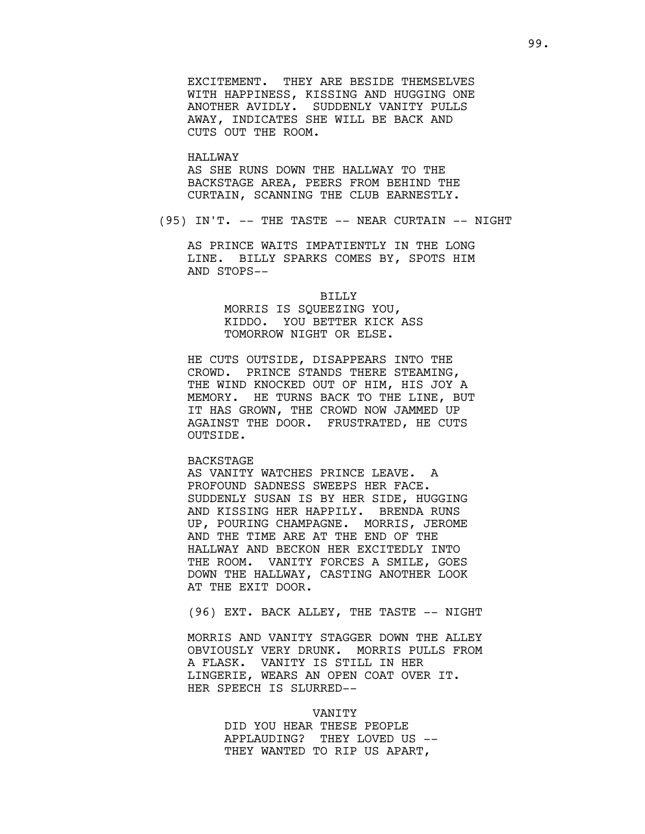EXCITEMENT. THEY ARE BESIDE THEMSELVES WITH HAPPINESS, KISSING AND HUGGING ONE ANOTHER AVIDLY. SUDDENLY VANITY PULLS AWAY, INDICATES SHE WILL BE BACK AND CUTS OUT THE ROOM.

#### HALLWAY

 AS SHE RUNS DOWN THE HALLWAY TO THE BACKSTAGE AREA, PEERS FROM BEHIND THE CURTAIN, SCANNING THE CLUB EARNESTLY.

(95) IN'T. -- THE TASTE -- NEAR CURTAIN -- NIGHT

 AS PRINCE WAITS IMPATIENTLY IN THE LONG LINE. BILLY SPARKS COMES BY, SPOTS HIM AND STOPS--

BILLY

 MORRIS IS SQUEEZING YOU, KIDDO. YOU BETTER KICK ASS TOMORROW NIGHT OR ELSE.

 HE CUTS OUTSIDE, DISAPPEARS INTO THE CROWD. PRINCE STANDS THERE STEAMING, THE WIND KNOCKED OUT OF HIM, HIS JOY A MEMORY. HE TURNS BACK TO THE LINE, BUT IT HAS GROWN, THE CROWD NOW JAMMED UP AGAINST THE DOOR. FRUSTRATED, HE CUTS OUTSIDE.

#### BACKSTAGE

 AS VANITY WATCHES PRINCE LEAVE. A PROFOUND SADNESS SWEEPS HER FACE. SUDDENLY SUSAN IS BY HER SIDE, HUGGING AND KISSING HER HAPPILY. BRENDA RUNS UP, POURING CHAMPAGNE. MORRIS, JEROME AND THE TIME ARE AT THE END OF THE HALLWAY AND BECKON HER EXCITEDLY INTO THE ROOM. VANITY FORCES A SMILE, GOES DOWN THE HALLWAY, CASTING ANOTHER LOOK AT THE EXIT DOOR.

(96) EXT. BACK ALLEY, THE TASTE -- NIGHT

 MORRIS AND VANITY STAGGER DOWN THE ALLEY OBVIOUSLY VERY DRUNK. MORRIS PULLS FROM A FLASK. VANITY IS STILL IN HER LINGERIE, WEARS AN OPEN COAT OVER IT. HER SPEECH IS SLURRED--

#### VANITY

 DID YOU HEAR THESE PEOPLE APPLAUDING? THEY LOVED US -- THEY WANTED TO RIP US APART,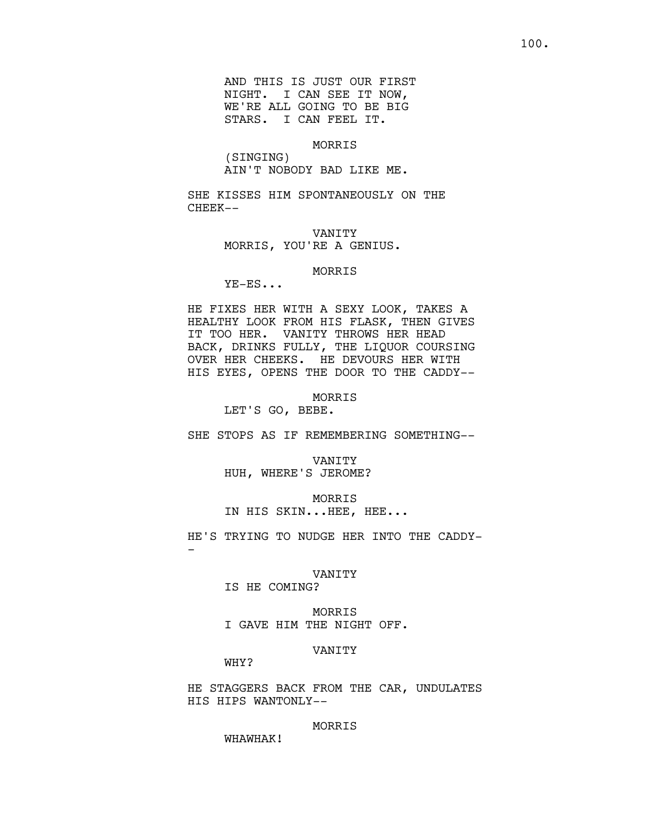AND THIS IS JUST OUR FIRST NIGHT. I CAN SEE IT NOW, WE'RE ALL GOING TO BE BIG STARS. I CAN FEEL IT.

### MORRIS

 (SINGING) AIN'T NOBODY BAD LIKE ME.

 SHE KISSES HIM SPONTANEOUSLY ON THE CHEEK--

> VANITY MORRIS, YOU'RE A GENIUS.

#### MORRIS

YE-ES...

 HE FIXES HER WITH A SEXY LOOK, TAKES A HEALTHY LOOK FROM HIS FLASK, THEN GIVES IT TOO HER. VANITY THROWS HER HEAD BACK, DRINKS FULLY, THE LIQUOR COURSING OVER HER CHEEKS. HE DEVOURS HER WITH HIS EYES, OPENS THE DOOR TO THE CADDY--

MORRIS

LET'S GO, BEBE.

SHE STOPS AS IF REMEMBERING SOMETHING--

 VANITY HUH, WHERE'S JEROME?

 MORRIS IN HIS SKIN...HEE, HEE...

 HE'S TRYING TO NUDGE HER INTO THE CADDY- - 1990 - 1990 - 1990 -

> VANITY IS HE COMING?

 MORRIS I GAVE HIM THE NIGHT OFF.

### VANITY

WHY?

 HE STAGGERS BACK FROM THE CAR, UNDULATES HIS HIPS WANTONLY--

## MORRIS

WHAWHAK!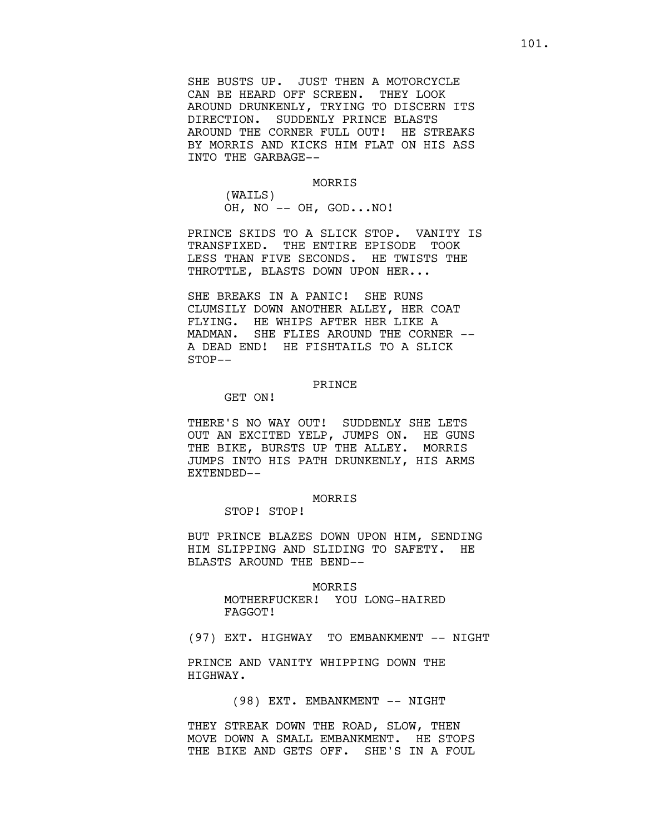SHE BUSTS UP. JUST THEN A MOTORCYCLE CAN BE HEARD OFF SCREEN. THEY LOOK AROUND DRUNKENLY, TRYING TO DISCERN ITS DIRECTION. SUDDENLY PRINCE BLASTS AROUND THE CORNER FULL OUT! HE STREAKS BY MORRIS AND KICKS HIM FLAT ON HIS ASS INTO THE GARBAGE--

#### MORRIS

 (WAILS) OH, NO -- OH, GOD...NO!

 PRINCE SKIDS TO A SLICK STOP. VANITY IS TRANSFIXED. THE ENTIRE EPISODE TOOK LESS THAN FIVE SECONDS. HE TWISTS THE THROTTLE, BLASTS DOWN UPON HER...

 SHE BREAKS IN A PANIC! SHE RUNS CLUMSILY DOWN ANOTHER ALLEY, HER COAT FLYING. HE WHIPS AFTER HER LIKE A MADMAN. SHE FLIES AROUND THE CORNER -- A DEAD END! HE FISHTAILS TO A SLICK STOP--

# PRINCE

GET ON!

 THERE'S NO WAY OUT! SUDDENLY SHE LETS OUT AN EXCITED YELP, JUMPS ON. HE GUNS THE BIKE, BURSTS UP THE ALLEY. MORRIS JUMPS INTO HIS PATH DRUNKENLY, HIS ARMS EXTENDED--

## MORRIS

STOP! STOP!

 BUT PRINCE BLAZES DOWN UPON HIM, SENDING HIM SLIPPING AND SLIDING TO SAFETY. HE BLASTS AROUND THE BEND--

> MORRIS MOTHERFUCKER! YOU LONG-HAIRED

FAGGOT!

(97) EXT. HIGHWAY TO EMBANKMENT -- NIGHT

 PRINCE AND VANITY WHIPPING DOWN THE HIGHWAY.

(98) EXT. EMBANKMENT -- NIGHT

 THEY STREAK DOWN THE ROAD, SLOW, THEN MOVE DOWN A SMALL EMBANKMENT. HE STOPS THE BIKE AND GETS OFF. SHE'S IN A FOUL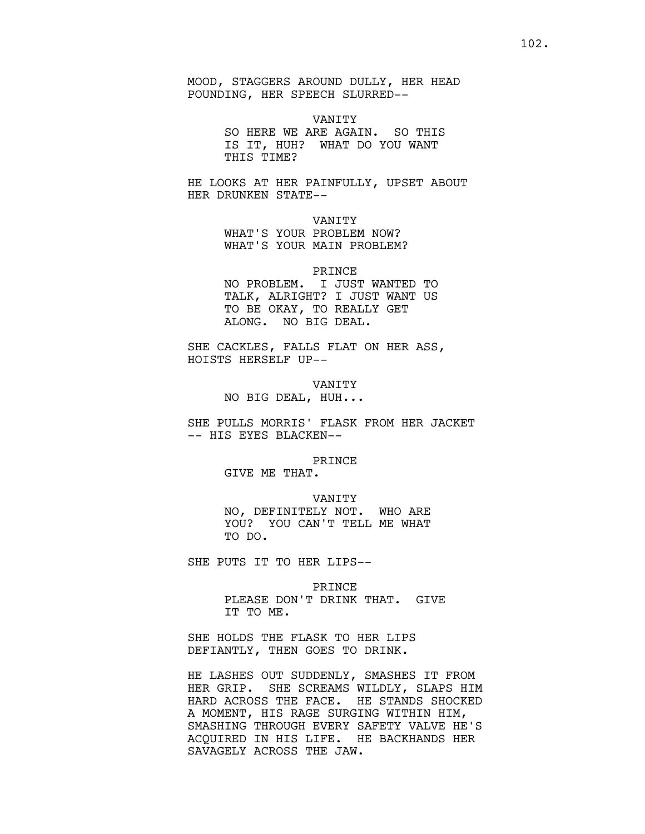MOOD, STAGGERS AROUND DULLY, HER HEAD POUNDING, HER SPEECH SLURRED--

> VANITY SO HERE WE ARE AGAIN. SO THIS IS IT, HUH? WHAT DO YOU WANT THIS TIME?

 HE LOOKS AT HER PAINFULLY, UPSET ABOUT HER DRUNKEN STATE--

> VANITY WHAT'S YOUR PROBLEM NOW? WHAT'S YOUR MAIN PROBLEM?

 PRINCE NO PROBLEM. I JUST WANTED TO TALK, ALRIGHT? I JUST WANT US TO BE OKAY, TO REALLY GET ALONG. NO BIG DEAL.

 SHE CACKLES, FALLS FLAT ON HER ASS, HOISTS HERSELF UP--

> VANITY NO BIG DEAL, HUH...

 SHE PULLS MORRIS' FLASK FROM HER JACKET -- HIS EYES BLACKEN--

PRINCE

GIVE ME THAT.

 VANITY NO, DEFINITELY NOT. WHO ARE YOU? YOU CAN'T TELL ME WHAT TO DO.

SHE PUTS IT TO HER LIPS--

 PRINCE PLEASE DON'T DRINK THAT. GIVE IT TO ME.

 SHE HOLDS THE FLASK TO HER LIPS DEFIANTLY, THEN GOES TO DRINK.

 HE LASHES OUT SUDDENLY, SMASHES IT FROM HER GRIP. SHE SCREAMS WILDLY, SLAPS HIM HARD ACROSS THE FACE. HE STANDS SHOCKED A MOMENT, HIS RAGE SURGING WITHIN HIM, SMASHING THROUGH EVERY SAFETY VALVE HE'S ACQUIRED IN HIS LIFE. HE BACKHANDS HER SAVAGELY ACROSS THE JAW.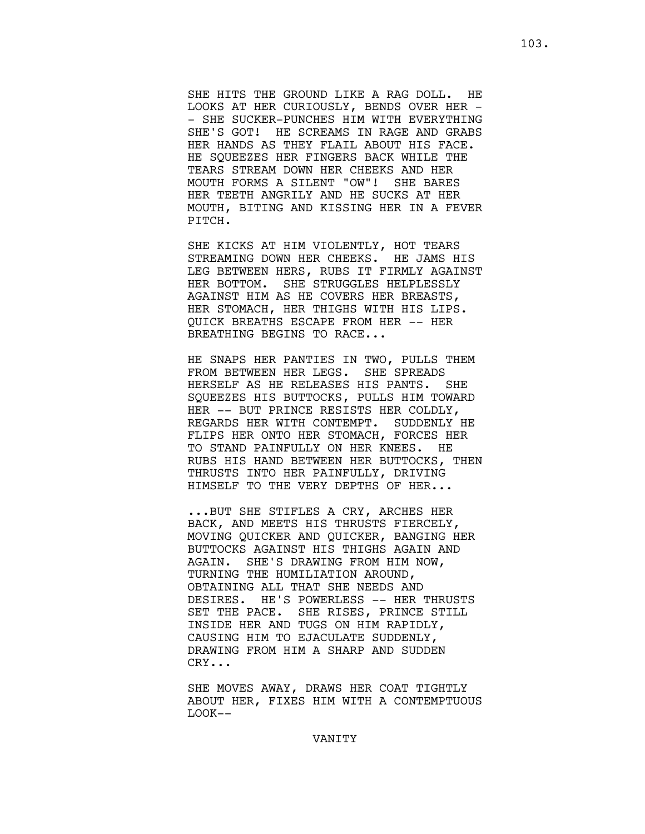SHE HITS THE GROUND LIKE A RAG DOLL. HE LOOKS AT HER CURIOUSLY, BENDS OVER HER - - SHE SUCKER-PUNCHES HIM WITH EVERYTHING SHE'S GOT! HE SCREAMS IN RAGE AND GRABS HER HANDS AS THEY FLAIL ABOUT HIS FACE. HE SQUEEZES HER FINGERS BACK WHILE THE TEARS STREAM DOWN HER CHEEKS AND HER MOUTH FORMS A SILENT "OW"! SHE BARES HER TEETH ANGRILY AND HE SUCKS AT HER MOUTH, BITING AND KISSING HER IN A FEVER PITCH.

 SHE KICKS AT HIM VIOLENTLY, HOT TEARS STREAMING DOWN HER CHEEKS. HE JAMS HIS LEG BETWEEN HERS, RUBS IT FIRMLY AGAINST HER BOTTOM. SHE STRUGGLES HELPLESSLY AGAINST HIM AS HE COVERS HER BREASTS, HER STOMACH, HER THIGHS WITH HIS LIPS. QUICK BREATHS ESCAPE FROM HER -- HER BREATHING BEGINS TO RACE...

 HE SNAPS HER PANTIES IN TWO, PULLS THEM FROM BETWEEN HER LEGS. SHE SPREADS HERSELF AS HE RELEASES HIS PANTS. SHE SQUEEZES HIS BUTTOCKS, PULLS HIM TOWARD HER -- BUT PRINCE RESISTS HER COLDLY, REGARDS HER WITH CONTEMPT. SUDDENLY HE FLIPS HER ONTO HER STOMACH, FORCES HER TO STAND PAINFULLY ON HER KNEES. HE RUBS HIS HAND BETWEEN HER BUTTOCKS, THEN THRUSTS INTO HER PAINFULLY, DRIVING HIMSELF TO THE VERY DEPTHS OF HER...

 ...BUT SHE STIFLES A CRY, ARCHES HER BACK, AND MEETS HIS THRUSTS FIERCELY, MOVING QUICKER AND QUICKER, BANGING HER BUTTOCKS AGAINST HIS THIGHS AGAIN AND AGAIN. SHE'S DRAWING FROM HIM NOW, TURNING THE HUMILIATION AROUND, OBTAINING ALL THAT SHE NEEDS AND DESIRES. HE'S POWERLESS -- HER THRUSTS SET THE PACE. SHE RISES, PRINCE STILL INSIDE HER AND TUGS ON HIM RAPIDLY, CAUSING HIM TO EJACULATE SUDDENLY, DRAWING FROM HIM A SHARP AND SUDDEN CRY...

 SHE MOVES AWAY, DRAWS HER COAT TIGHTLY ABOUT HER, FIXES HIM WITH A CONTEMPTUOUS LOOK--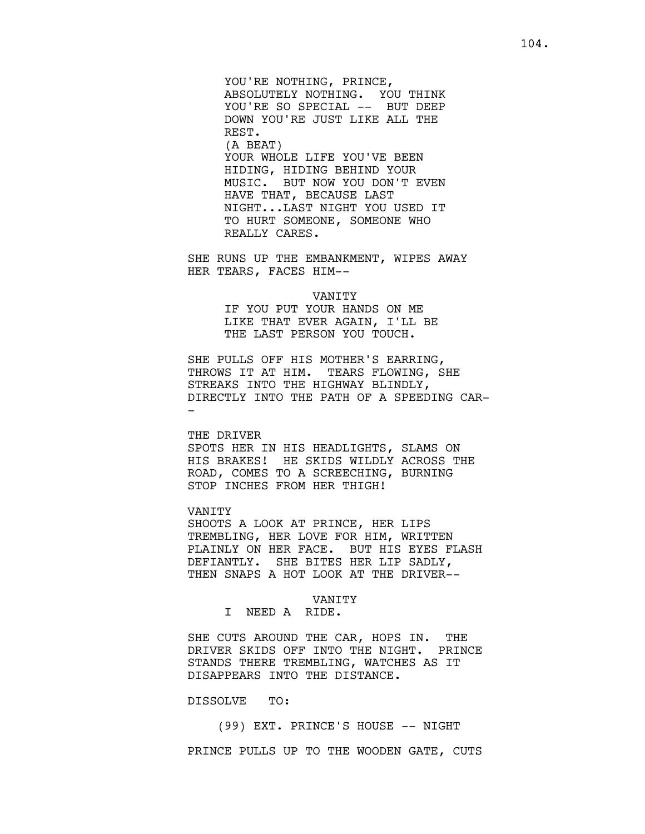YOU'RE NOTHING, PRINCE, ABSOLUTELY NOTHING. YOU THINK YOU'RE SO SPECIAL -- BUT DEEP DOWN YOU'RE JUST LIKE ALL THE REST. (A BEAT) YOUR WHOLE LIFE YOU'VE BEEN HIDING, HIDING BEHIND YOUR MUSIC. BUT NOW YOU DON'T EVEN HAVE THAT, BECAUSE LAST NIGHT...LAST NIGHT YOU USED IT TO HURT SOMEONE, SOMEONE WHO REALLY CARES.

 SHE RUNS UP THE EMBANKMENT, WIPES AWAY HER TEARS, FACES HIM--

> VANITY IF YOU PUT YOUR HANDS ON ME LIKE THAT EVER AGAIN, I'LL BE THE LAST PERSON YOU TOUCH.

 SHE PULLS OFF HIS MOTHER'S EARRING, THROWS IT AT HIM. TEARS FLOWING, SHE STREAKS INTO THE HIGHWAY BLINDLY, DIRECTLY INTO THE PATH OF A SPEEDING CAR- - 1990 - 1990 - 1990 -

> THE DRIVER SPOTS HER IN HIS HEADLIGHTS, SLAMS ON HIS BRAKES! HE SKIDS WILDLY ACROSS THE ROAD, COMES TO A SCREECHING, BURNING STOP INCHES FROM HER THIGH!

#### VANITY

 SHOOTS A LOOK AT PRINCE, HER LIPS TREMBLING, HER LOVE FOR HIM, WRITTEN PLAINLY ON HER FACE. BUT HIS EYES FLASH DEFIANTLY. SHE BITES HER LIP SADLY, THEN SNAPS A HOT LOOK AT THE DRIVER--

#### VANITY

### I NEED A RIDE.

 SHE CUTS AROUND THE CAR, HOPS IN. THE DRIVER SKIDS OFF INTO THE NIGHT. PRINCE STANDS THERE TREMBLING, WATCHES AS IT DISAPPEARS INTO THE DISTANCE.

DISSOLVE TO:

 (99) EXT. PRINCE'S HOUSE -- NIGHT PRINCE PULLS UP TO THE WOODEN GATE, CUTS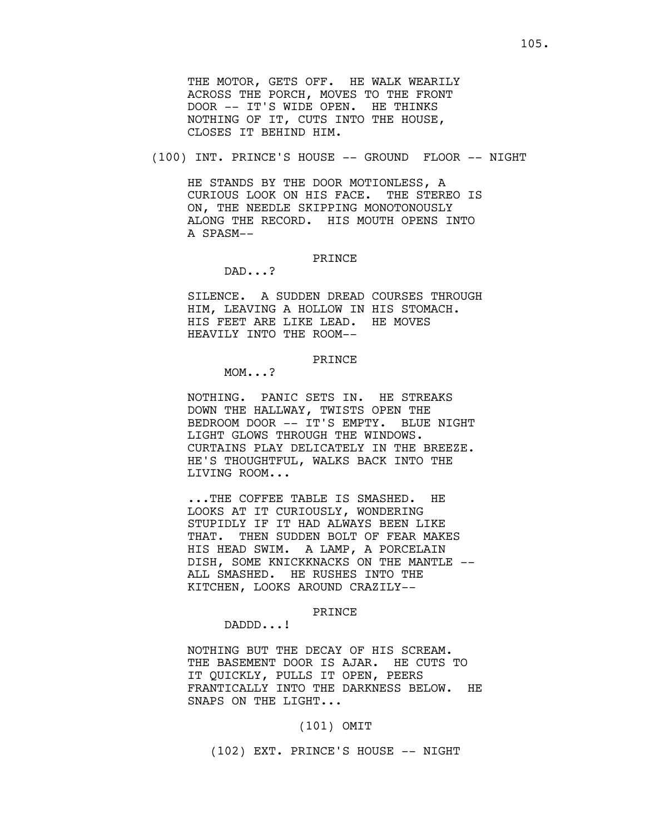THE MOTOR, GETS OFF. HE WALK WEARILY ACROSS THE PORCH, MOVES TO THE FRONT DOOR -- IT'S WIDE OPEN. HE THINKS NOTHING OF IT, CUTS INTO THE HOUSE, CLOSES IT BEHIND HIM.

(100) INT. PRINCE'S HOUSE -- GROUND FLOOR -- NIGHT

 HE STANDS BY THE DOOR MOTIONLESS, A CURIOUS LOOK ON HIS FACE. THE STEREO IS ON, THE NEEDLE SKIPPING MONOTONOUSLY ALONG THE RECORD. HIS MOUTH OPENS INTO A SPASM--

### PRINCE

DAD...?

 SILENCE. A SUDDEN DREAD COURSES THROUGH HIM, LEAVING A HOLLOW IN HIS STOMACH. HIS FEET ARE LIKE LEAD. HE MOVES HEAVILY INTO THE ROOM--

### PRINCE

MOM...?

 NOTHING. PANIC SETS IN. HE STREAKS DOWN THE HALLWAY, TWISTS OPEN THE BEDROOM DOOR -- IT'S EMPTY. BLUE NIGHT LIGHT GLOWS THROUGH THE WINDOWS. CURTAINS PLAY DELICATELY IN THE BREEZE. HE'S THOUGHTFUL, WALKS BACK INTO THE LIVING ROOM...

 ...THE COFFEE TABLE IS SMASHED. HE LOOKS AT IT CURIOUSLY, WONDERING STUPIDLY IF IT HAD ALWAYS BEEN LIKE THAT. THEN SUDDEN BOLT OF FEAR MAKES HIS HEAD SWIM. A LAMP, A PORCELAIN DISH, SOME KNICKKNACKS ON THE MANTLE -- ALL SMASHED. HE RUSHES INTO THE KITCHEN, LOOKS AROUND CRAZILY--

### **PRINCE**

DADDD...!

 NOTHING BUT THE DECAY OF HIS SCREAM. THE BASEMENT DOOR IS AJAR. HE CUTS TO IT QUICKLY, PULLS IT OPEN, PEERS FRANTICALLY INTO THE DARKNESS BELOW. HE SNAPS ON THE LIGHT...

### (101) OMIT

(102) EXT. PRINCE'S HOUSE -- NIGHT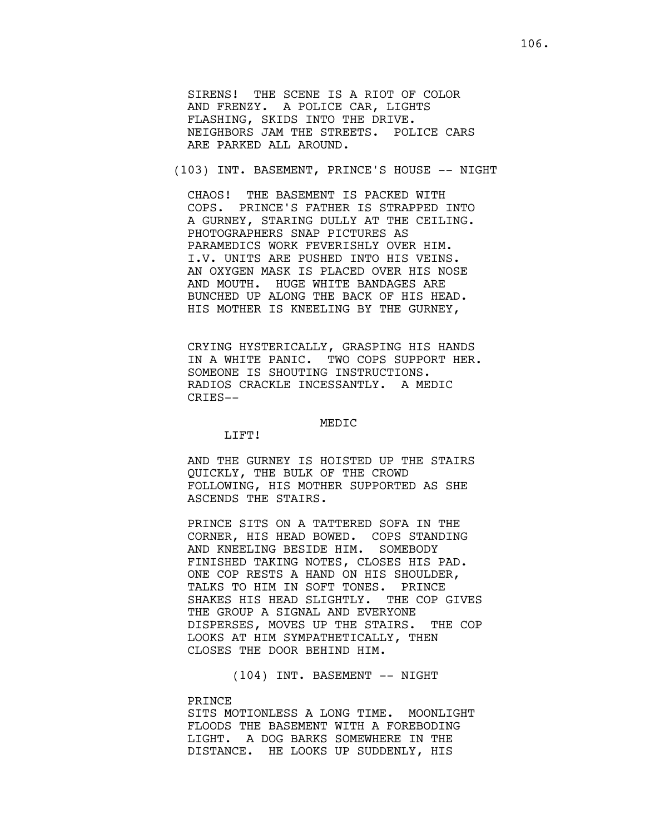SIRENS! THE SCENE IS A RIOT OF COLOR AND FRENZY. A POLICE CAR, LIGHTS FLASHING, SKIDS INTO THE DRIVE. NEIGHBORS JAM THE STREETS. POLICE CARS ARE PARKED ALL AROUND.

(103) INT. BASEMENT, PRINCE'S HOUSE -- NIGHT

 CHAOS! THE BASEMENT IS PACKED WITH COPS. PRINCE'S FATHER IS STRAPPED INTO A GURNEY, STARING DULLY AT THE CEILING. PHOTOGRAPHERS SNAP PICTURES AS PARAMEDICS WORK FEVERISHLY OVER HIM. I.V. UNITS ARE PUSHED INTO HIS VEINS. AN OXYGEN MASK IS PLACED OVER HIS NOSE AND MOUTH. HUGE WHITE BANDAGES ARE BUNCHED UP ALONG THE BACK OF HIS HEAD. HIS MOTHER IS KNEELING BY THE GURNEY,

 CRYING HYSTERICALLY, GRASPING HIS HANDS IN A WHITE PANIC. TWO COPS SUPPORT HER. SOMEONE IS SHOUTING INSTRUCTIONS. RADIOS CRACKLE INCESSANTLY. A MEDIC CRIES--

## MEDIC

LIFT!

 AND THE GURNEY IS HOISTED UP THE STAIRS QUICKLY, THE BULK OF THE CROWD FOLLOWING, HIS MOTHER SUPPORTED AS SHE ASCENDS THE STAIRS.

 PRINCE SITS ON A TATTERED SOFA IN THE CORNER, HIS HEAD BOWED. COPS STANDING AND KNEELING BESIDE HIM. SOMEBODY FINISHED TAKING NOTES, CLOSES HIS PAD. ONE COP RESTS A HAND ON HIS SHOULDER, TALKS TO HIM IN SOFT TONES. PRINCE SHAKES HIS HEAD SLIGHTLY. THE COP GIVES THE GROUP A SIGNAL AND EVERYONE DISPERSES, MOVES UP THE STAIRS. THE COP LOOKS AT HIM SYMPATHETICALLY, THEN CLOSES THE DOOR BEHIND HIM.

(104) INT. BASEMENT -- NIGHT

PRINCE

 SITS MOTIONLESS A LONG TIME. MOONLIGHT FLOODS THE BASEMENT WITH A FOREBODING LIGHT. A DOG BARKS SOMEWHERE IN THE DISTANCE. HE LOOKS UP SUDDENLY, HIS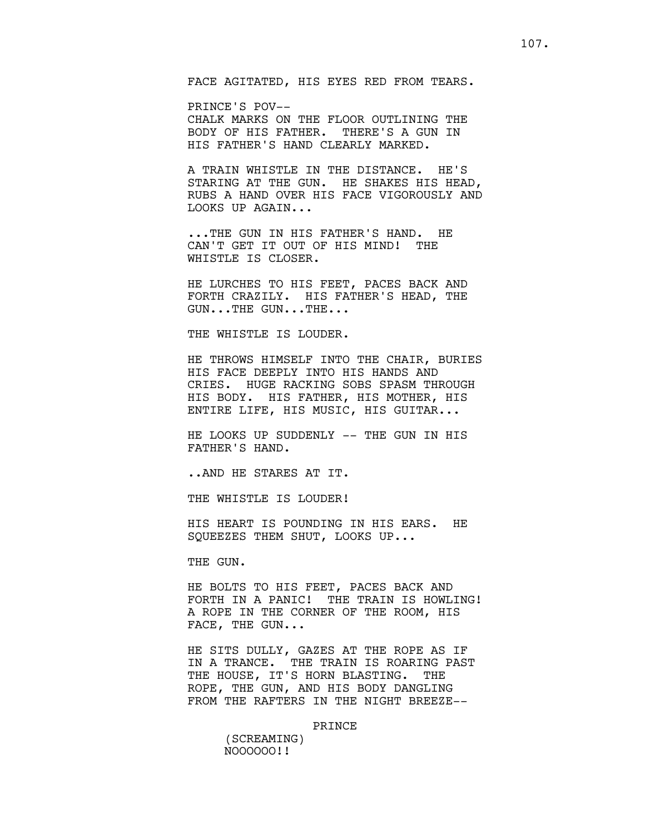FACE AGITATED, HIS EYES RED FROM TEARS.

 PRINCE'S POV-- CHALK MARKS ON THE FLOOR OUTLINING THE BODY OF HIS FATHER. THERE'S A GUN IN HIS FATHER'S HAND CLEARLY MARKED.

 A TRAIN WHISTLE IN THE DISTANCE. HE'S STARING AT THE GUN. HE SHAKES HIS HEAD, RUBS A HAND OVER HIS FACE VIGOROUSLY AND LOOKS UP AGAIN...

 ...THE GUN IN HIS FATHER'S HAND. HE CAN'T GET IT OUT OF HIS MIND! THE WHISTLE IS CLOSER.

 HE LURCHES TO HIS FEET, PACES BACK AND FORTH CRAZILY. HIS FATHER'S HEAD, THE GUN...THE GUN...THE...

THE WHISTLE IS LOUDER.

 HE THROWS HIMSELF INTO THE CHAIR, BURIES HIS FACE DEEPLY INTO HIS HANDS AND CRIES. HUGE RACKING SOBS SPASM THROUGH HIS BODY. HIS FATHER, HIS MOTHER, HIS ENTIRE LIFE, HIS MUSIC, HIS GUITAR...

HE LOOKS UP SUDDENLY -- THE GUN IN HIS FATHER'S HAND.

..AND HE STARES AT IT.

THE WHISTLE IS LOUDER!

 HIS HEART IS POUNDING IN HIS EARS. HE SQUEEZES THEM SHUT, LOOKS UP...

THE GUN.

 HE BOLTS TO HIS FEET, PACES BACK AND FORTH IN A PANIC! THE TRAIN IS HOWLING! A ROPE IN THE CORNER OF THE ROOM, HIS FACE, THE GUN...

 HE SITS DULLY, GAZES AT THE ROPE AS IF IN A TRANCE. THE TRAIN IS ROARING PAST THE HOUSE, IT'S HORN BLASTING. THE ROPE, THE GUN, AND HIS BODY DANGLING FROM THE RAFTERS IN THE NIGHT BREEZE--

**PRINCE** 

 (SCREAMING) NOOOOOO!!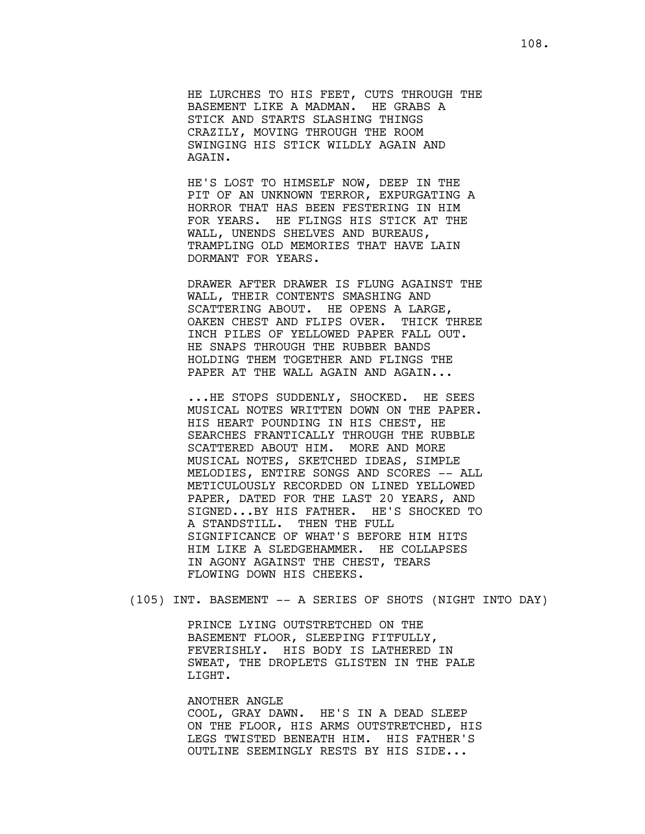HE LURCHES TO HIS FEET, CUTS THROUGH THE BASEMENT LIKE A MADMAN. HE GRABS A STICK AND STARTS SLASHING THINGS CRAZILY, MOVING THROUGH THE ROOM SWINGING HIS STICK WILDLY AGAIN AND AGAIN.

 HE'S LOST TO HIMSELF NOW, DEEP IN THE PIT OF AN UNKNOWN TERROR, EXPURGATING A HORROR THAT HAS BEEN FESTERING IN HIM FOR YEARS. HE FLINGS HIS STICK AT THE WALL, UNENDS SHELVES AND BUREAUS, TRAMPLING OLD MEMORIES THAT HAVE LAIN DORMANT FOR YEARS.

 DRAWER AFTER DRAWER IS FLUNG AGAINST THE WALL, THEIR CONTENTS SMASHING AND SCATTERING ABOUT. HE OPENS A LARGE, OAKEN CHEST AND FLIPS OVER. THICK THREE INCH PILES OF YELLOWED PAPER FALL OUT. HE SNAPS THROUGH THE RUBBER BANDS HOLDING THEM TOGETHER AND FLINGS THE PAPER AT THE WALL AGAIN AND AGAIN...

 ...HE STOPS SUDDENLY, SHOCKED. HE SEES MUSICAL NOTES WRITTEN DOWN ON THE PAPER. HIS HEART POUNDING IN HIS CHEST, HE SEARCHES FRANTICALLY THROUGH THE RUBBLE SCATTERED ABOUT HIM. MORE AND MORE MUSICAL NOTES, SKETCHED IDEAS, SIMPLE MELODIES, ENTIRE SONGS AND SCORES -- ALL METICULOUSLY RECORDED ON LINED YELLOWED PAPER, DATED FOR THE LAST 20 YEARS, AND SIGNED...BY HIS FATHER. HE'S SHOCKED TO A STANDSTILL. THEN THE FULL SIGNIFICANCE OF WHAT'S BEFORE HIM HITS HIM LIKE A SLEDGEHAMMER. HE COLLAPSES IN AGONY AGAINST THE CHEST, TEARS FLOWING DOWN HIS CHEEKS.

(105) INT. BASEMENT -- A SERIES OF SHOTS (NIGHT INTO DAY)

 PRINCE LYING OUTSTRETCHED ON THE BASEMENT FLOOR, SLEEPING FITFULLY, FEVERISHLY. HIS BODY IS LATHERED IN SWEAT, THE DROPLETS GLISTEN IN THE PALE LIGHT.

 ANOTHER ANGLE COOL, GRAY DAWN. HE'S IN A DEAD SLEEP ON THE FLOOR, HIS ARMS OUTSTRETCHED, HIS LEGS TWISTED BENEATH HIM. HIS FATHER'S OUTLINE SEEMINGLY RESTS BY HIS SIDE...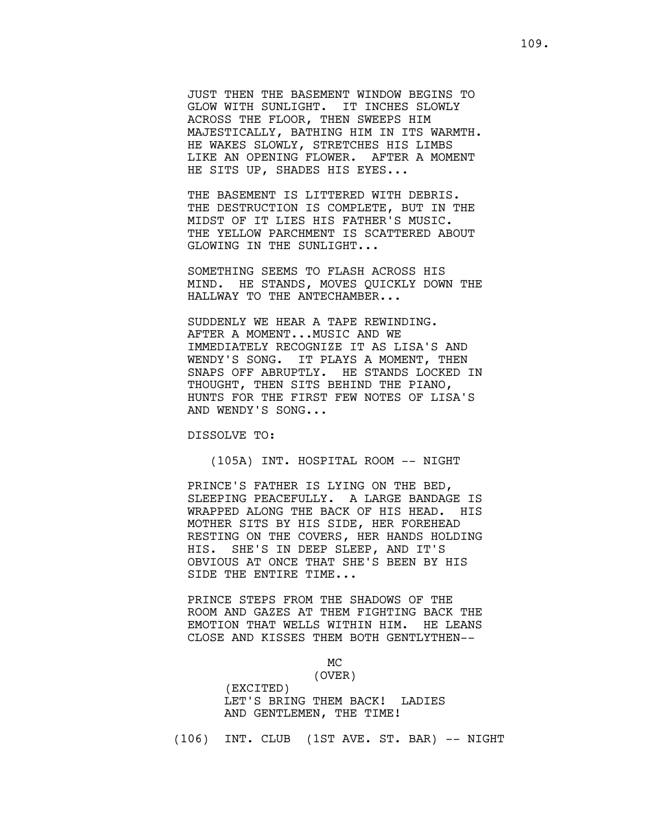JUST THEN THE BASEMENT WINDOW BEGINS TO GLOW WITH SUNLIGHT. IT INCHES SLOWLY ACROSS THE FLOOR, THEN SWEEPS HIM MAJESTICALLY, BATHING HIM IN ITS WARMTH. HE WAKES SLOWLY, STRETCHES HIS LIMBS LIKE AN OPENING FLOWER. AFTER A MOMENT HE SITS UP, SHADES HIS EYES...

 THE BASEMENT IS LITTERED WITH DEBRIS. THE DESTRUCTION IS COMPLETE, BUT IN THE MIDST OF IT LIES HIS FATHER'S MUSIC. THE YELLOW PARCHMENT IS SCATTERED ABOUT GLOWING IN THE SUNLIGHT...

 SOMETHING SEEMS TO FLASH ACROSS HIS MIND. HE STANDS, MOVES QUICKLY DOWN THE HALLWAY TO THE ANTECHAMBER...

 SUDDENLY WE HEAR A TAPE REWINDING. AFTER A MOMENT...MUSIC AND WE IMMEDIATELY RECOGNIZE IT AS LISA'S AND WENDY'S SONG. IT PLAYS A MOMENT, THEN SNAPS OFF ABRUPTLY. HE STANDS LOCKED IN THOUGHT, THEN SITS BEHIND THE PIANO, HUNTS FOR THE FIRST FEW NOTES OF LISA'S AND WENDY'S SONG...

DISSOLVE TO:

(105A) INT. HOSPITAL ROOM -- NIGHT

 PRINCE'S FATHER IS LYING ON THE BED, SLEEPING PEACEFULLY. A LARGE BANDAGE IS WRAPPED ALONG THE BACK OF HIS HEAD. HIS MOTHER SITS BY HIS SIDE, HER FOREHEAD RESTING ON THE COVERS, HER HANDS HOLDING HIS. SHE'S IN DEEP SLEEP, AND IT'S OBVIOUS AT ONCE THAT SHE'S BEEN BY HIS SIDE THE ENTIRE TIME...

 PRINCE STEPS FROM THE SHADOWS OF THE ROOM AND GAZES AT THEM FIGHTING BACK THE EMOTION THAT WELLS WITHIN HIM. HE LEANS CLOSE AND KISSES THEM BOTH GENTLYTHEN--

(OVER)

 (EXCITED) LET'S BRING THEM BACK! LADIES AND GENTLEMEN, THE TIME!

(106) INT. CLUB (1ST AVE. ST. BAR) -- NIGHT

**MC** MC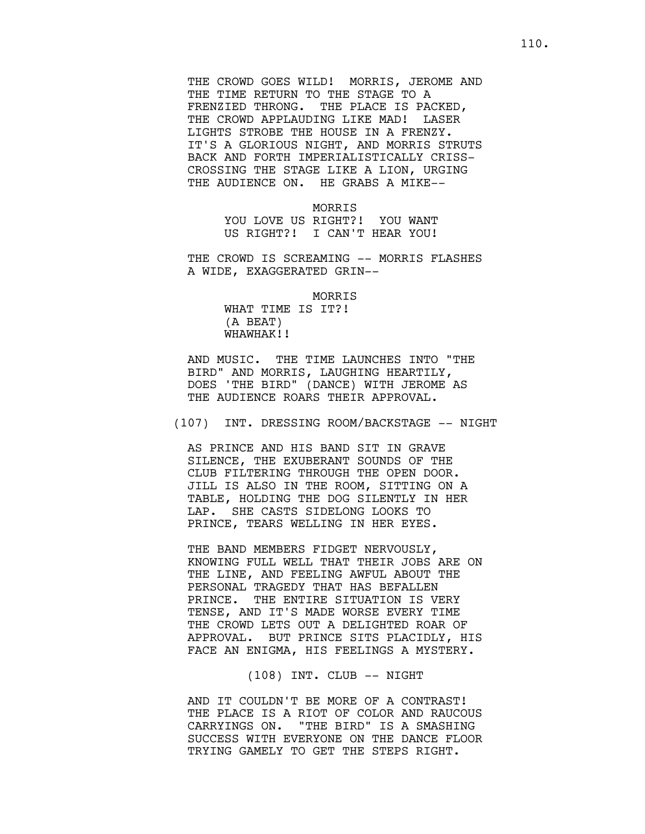THE CROWD GOES WILD! MORRIS, JEROME AND THE TIME RETURN TO THE STAGE TO A FRENZIED THRONG. THE PLACE IS PACKED, THE CROWD APPLAUDING LIKE MAD! LASER LIGHTS STROBE THE HOUSE IN A FRENZY. IT'S A GLORIOUS NIGHT, AND MORRIS STRUTS BACK AND FORTH IMPERIALISTICALLY CRISS- CROSSING THE STAGE LIKE A LION, URGING THE AUDIENCE ON. HE GRABS A MIKE--

> MORRIS YOU LOVE US RIGHT?! YOU WANT US RIGHT?! I CAN'T HEAR YOU!

 THE CROWD IS SCREAMING -- MORRIS FLASHES A WIDE, EXAGGERATED GRIN--

> MORRIS WHAT TIME IS IT?! (A BEAT) WHAWHAK!!

 AND MUSIC. THE TIME LAUNCHES INTO "THE BIRD" AND MORRIS, LAUGHING HEARTILY, DOES 'THE BIRD" (DANCE) WITH JEROME AS THE AUDIENCE ROARS THEIR APPROVAL.

(107) INT. DRESSING ROOM/BACKSTAGE -- NIGHT

 AS PRINCE AND HIS BAND SIT IN GRAVE SILENCE, THE EXUBERANT SOUNDS OF THE CLUB FILTERING THROUGH THE OPEN DOOR. JILL IS ALSO IN THE ROOM, SITTING ON A TABLE, HOLDING THE DOG SILENTLY IN HER LAP. SHE CASTS SIDELONG LOOKS TO PRINCE, TEARS WELLING IN HER EYES.

 THE BAND MEMBERS FIDGET NERVOUSLY, KNOWING FULL WELL THAT THEIR JOBS ARE ON THE LINE, AND FEELING AWFUL ABOUT THE PERSONAL TRAGEDY THAT HAS BEFALLEN PRINCE. THE ENTIRE SITUATION IS VERY TENSE, AND IT'S MADE WORSE EVERY TIME THE CROWD LETS OUT A DELIGHTED ROAR OF APPROVAL. BUT PRINCE SITS PLACIDLY, HIS FACE AN ENIGMA, HIS FEELINGS A MYSTERY.

(108) INT. CLUB -- NIGHT

 AND IT COULDN'T BE MORE OF A CONTRAST! THE PLACE IS A RIOT OF COLOR AND RAUCOUS CARRYINGS ON. "THE BIRD" IS A SMASHING SUCCESS WITH EVERYONE ON THE DANCE FLOOR TRYING GAMELY TO GET THE STEPS RIGHT.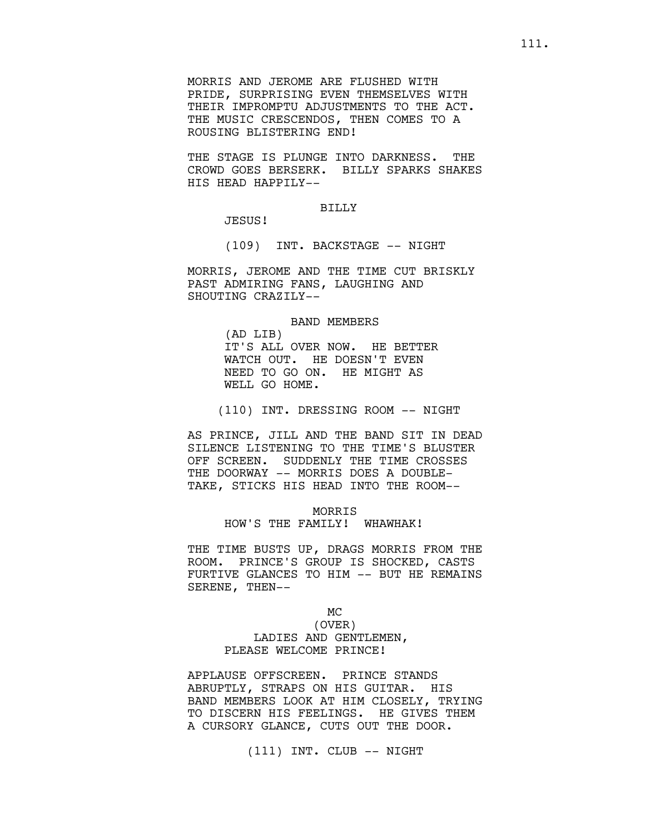MORRIS AND JEROME ARE FLUSHED WITH PRIDE, SURPRISING EVEN THEMSELVES WITH THEIR IMPROMPTU ADJUSTMENTS TO THE ACT. THE MUSIC CRESCENDOS, THEN COMES TO A ROUSING BLISTERING END!

 THE STAGE IS PLUNGE INTO DARKNESS. THE CROWD GOES BERSERK. BILLY SPARKS SHAKES HIS HEAD HAPPILY--

#### BILLY

JESUS!

(109) INT. BACKSTAGE -- NIGHT

 MORRIS, JEROME AND THE TIME CUT BRISKLY PAST ADMIRING FANS, LAUGHING AND SHOUTING CRAZILY--

BAND MEMBERS

 (AD LIB) IT'S ALL OVER NOW. HE BETTER WATCH OUT. HE DOESN'T EVEN NEED TO GO ON. HE MIGHT AS WELL GO HOME.

(110) INT. DRESSING ROOM -- NIGHT

 AS PRINCE, JILL AND THE BAND SIT IN DEAD SILENCE LISTENING TO THE TIME'S BLUSTER OFF SCREEN. SUDDENLY THE TIME CROSSES THE DOORWAY -- MORRIS DOES A DOUBLE-TAKE, STICKS HIS HEAD INTO THE ROOM--

# MORRIS HOW'S THE FAMILY! WHAWHAK!

 THE TIME BUSTS UP, DRAGS MORRIS FROM THE ROOM. PRINCE'S GROUP IS SHOCKED, CASTS FURTIVE GLANCES TO HIM -- BUT HE REMAINS SERENE, THEN--

**MC** MC (OVER) LADIES AND GENTLEMEN, PLEASE WELCOME PRINCE!

> APPLAUSE OFFSCREEN. PRINCE STANDS ABRUPTLY, STRAPS ON HIS GUITAR. HIS BAND MEMBERS LOOK AT HIM CLOSELY, TRYING TO DISCERN HIS FEELINGS. HE GIVES THEM A CURSORY GLANCE, CUTS OUT THE DOOR.

> > (111) INT. CLUB -- NIGHT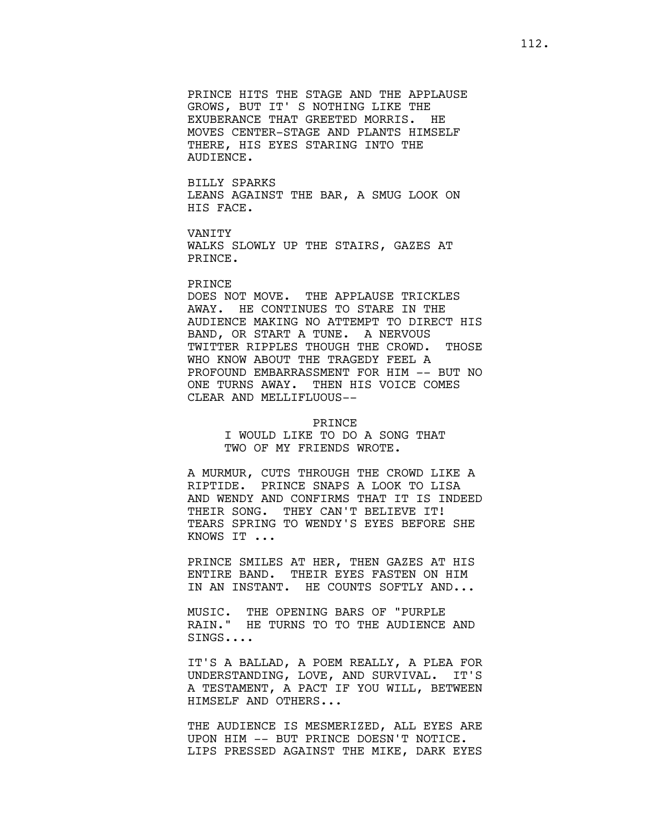PRINCE HITS THE STAGE AND THE APPLAUSE GROWS, BUT IT' S NOTHING LIKE THE EXUBERANCE THAT GREETED MORRIS. HE MOVES CENTER-STAGE AND PLANTS HIMSELF THERE, HIS EYES STARING INTO THE AUDIENCE.

 BILLY SPARKS LEANS AGAINST THE BAR, A SMUG LOOK ON HIS FACE.

 VANITY WALKS SLOWLY UP THE STAIRS, GAZES AT PRINCE.

# PRINCE

 DOES NOT MOVE. THE APPLAUSE TRICKLES AWAY. HE CONTINUES TO STARE IN THE AUDIENCE MAKING NO ATTEMPT TO DIRECT HIS BAND, OR START A TUNE. A NERVOUS TWITTER RIPPLES THOUGH THE CROWD. THOSE WHO KNOW ABOUT THE TRAGEDY FEEL A PROFOUND EMBARRASSMENT FOR HIM -- BUT NO ONE TURNS AWAY. THEN HIS VOICE COMES CLEAR AND MELLIFLUOUS--

> PRINCE I WOULD LIKE TO DO A SONG THAT TWO OF MY FRIENDS WROTE.

 A MURMUR, CUTS THROUGH THE CROWD LIKE A RIPTIDE. PRINCE SNAPS A LOOK TO LISA AND WENDY AND CONFIRMS THAT IT IS INDEED THEIR SONG. THEY CAN'T BELIEVE IT! TEARS SPRING TO WENDY'S EYES BEFORE SHE KNOWS IT ...

 PRINCE SMILES AT HER, THEN GAZES AT HIS ENTIRE BAND. THEIR EYES FASTEN ON HIM IN AN INSTANT. HE COUNTS SOFTLY AND...

 MUSIC. THE OPENING BARS OF "PURPLE RAIN." HE TURNS TO TO THE AUDIENCE AND SINGS....

 IT'S A BALLAD, A POEM REALLY, A PLEA FOR UNDERSTANDING, LOVE, AND SURVIVAL. IT'S A TESTAMENT, A PACT IF YOU WILL, BETWEEN HIMSELF AND OTHERS...

 THE AUDIENCE IS MESMERIZED, ALL EYES ARE UPON HIM -- BUT PRINCE DOESN'T NOTICE. LIPS PRESSED AGAINST THE MIKE, DARK EYES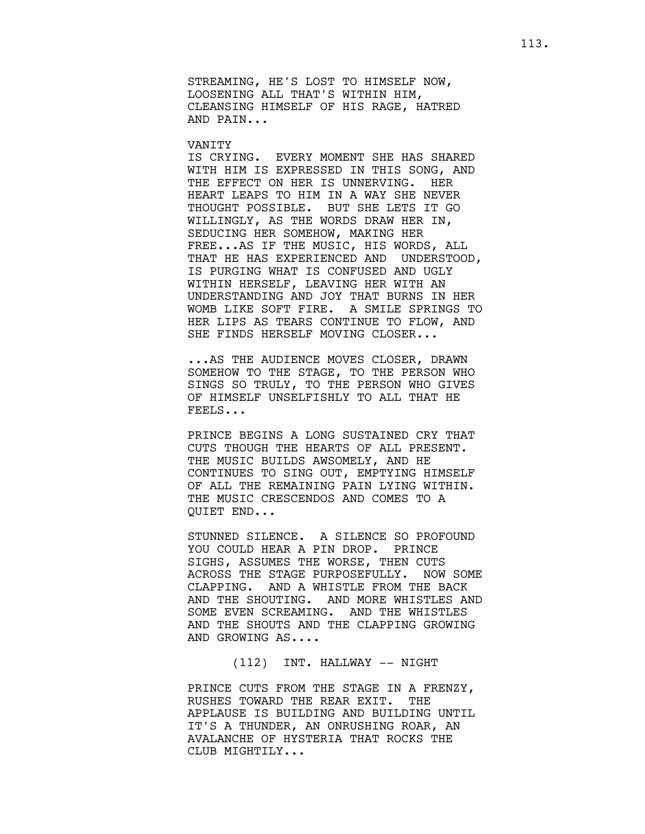STREAMING, HE'S LOST TO HIMSELF NOW, LOOSENING ALL THAT'S WITHIN HIM, CLEANSING HIMSELF OF HIS RAGE, HATRED AND PAIN...

### VANITY

 IS CRYING. EVERY MOMENT SHE HAS SHARED WITH HIM IS EXPRESSED IN THIS SONG, AND THE EFFECT ON HER IS UNNERVING. HER HEART LEAPS TO HIM IN A WAY SHE NEVER THOUGHT POSSIBLE. BUT SHE LETS IT GO WILLINGLY, AS THE WORDS DRAW HER IN, SEDUCING HER SOMEHOW, MAKING HER FREE...AS IF THE MUSIC, HIS WORDS, ALL THAT HE HAS EXPERIENCED AND UNDERSTOOD, IS PURGING WHAT IS CONFUSED AND UGLY WITHIN HERSELF, LEAVING HER WITH AN UNDERSTANDING AND JOY THAT BURNS IN HER WOMB LIKE SOFT FIRE. A SMILE SPRINGS TO HER LIPS AS TEARS CONTINUE TO FLOW, AND SHE FINDS HERSELF MOVING CLOSER...

 ...AS THE AUDIENCE MOVES CLOSER, DRAWN SOMEHOW TO THE STAGE, TO THE PERSON WHO SINGS SO TRULY, TO THE PERSON WHO GIVES OF HIMSELF UNSELFISHLY TO ALL THAT HE FEELS...

 PRINCE BEGINS A LONG SUSTAINED CRY THAT CUTS THOUGH THE HEARTS OF ALL PRESENT. THE MUSIC BUILDS AWSOMELY, AND HE CONTINUES TO SING OUT, EMPTYING HIMSELF OF ALL THE REMAINING PAIN LYING WITHIN. THE MUSIC CRESCENDOS AND COMES TO A QUIET END...

 STUNNED SILENCE. A SILENCE SO PROFOUND YOU COULD HEAR A PIN DROP. PRINCE SIGHS, ASSUMES THE WORSE, THEN CUTS ACROSS THE STAGE PURPOSEFULLY. NOW SOME CLAPPING. AND A WHISTLE FROM THE BACK AND THE SHOUTING. AND MORE WHISTLES AND SOME EVEN SCREAMING. AND THE WHISTLES AND THE SHOUTS AND THE CLAPPING GROWING AND GROWING AS....

# (112) INT. HALLWAY -- NIGHT

 PRINCE CUTS FROM THE STAGE IN A FRENZY, RUSHES TOWARD THE REAR EXIT. THE APPLAUSE IS BUILDING AND BUILDING UNTIL IT'S A THUNDER, AN ONRUSHING ROAR, AN AVALANCHE OF HYSTERIA THAT ROCKS THE CLUB MIGHTILY...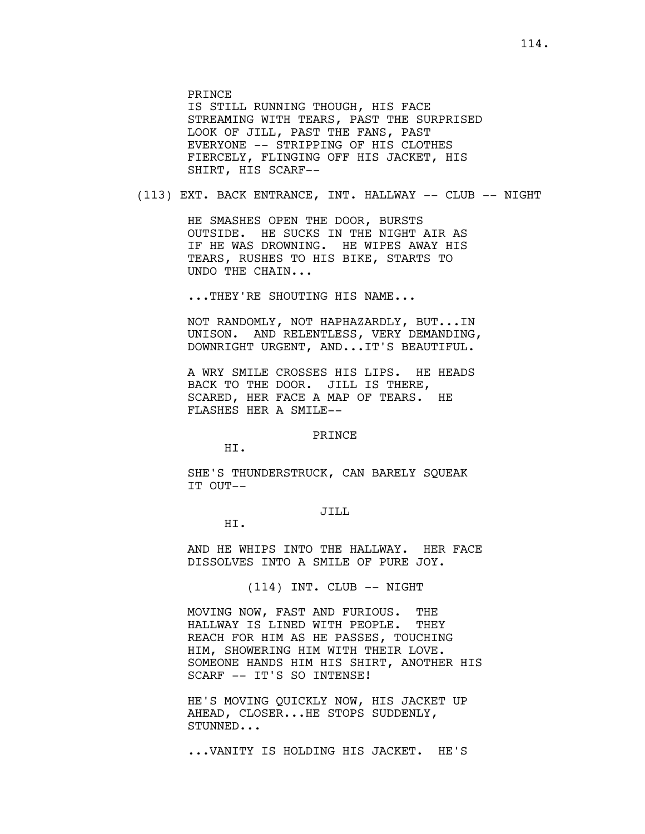IS STILL RUNNING THOUGH, HIS FACE STREAMING WITH TEARS, PAST THE SURPRISED LOOK OF JILL, PAST THE FANS, PAST EVERYONE -- STRIPPING OF HIS CLOTHES FIERCELY, FLINGING OFF HIS JACKET, HIS SHIRT, HIS SCARF--

(113) EXT. BACK ENTRANCE, INT. HALLWAY -- CLUB -- NIGHT

 HE SMASHES OPEN THE DOOR, BURSTS OUTSIDE. HE SUCKS IN THE NIGHT AIR AS IF HE WAS DROWNING. HE WIPES AWAY HIS TEARS, RUSHES TO HIS BIKE, STARTS TO UNDO THE CHAIN...

...THEY'RE SHOUTING HIS NAME...

 NOT RANDOMLY, NOT HAPHAZARDLY, BUT...IN UNISON. AND RELENTLESS, VERY DEMANDING, DOWNRIGHT URGENT, AND...IT'S BEAUTIFUL.

 A WRY SMILE CROSSES HIS LIPS. HE HEADS BACK TO THE DOOR. JILL IS THERE, SCARED, HER FACE A MAP OF TEARS. HE FLASHES HER A SMILE--

#### PRINCE

HI.

 SHE'S THUNDERSTRUCK, CAN BARELY SQUEAK IT OUT--

# JILL

HI.

 AND HE WHIPS INTO THE HALLWAY. HER FACE DISSOLVES INTO A SMILE OF PURE JOY.

(114) INT. CLUB -- NIGHT

 MOVING NOW, FAST AND FURIOUS. THE HALLWAY IS LINED WITH PEOPLE. THEY REACH FOR HIM AS HE PASSES, TOUCHING HIM, SHOWERING HIM WITH THEIR LOVE. SOMEONE HANDS HIM HIS SHIRT, ANOTHER HIS SCARF -- IT'S SO INTENSE!

 HE'S MOVING QUICKLY NOW, HIS JACKET UP AHEAD, CLOSER...HE STOPS SUDDENLY, STUNNED...

...VANITY IS HOLDING HIS JACKET. HE'S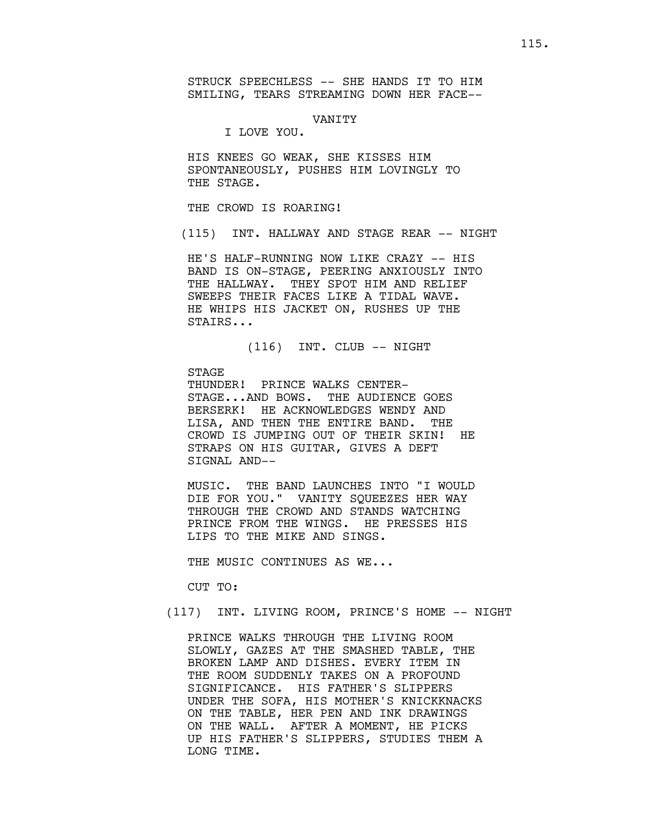STRUCK SPEECHLESS -- SHE HANDS IT TO HIM SMILING, TEARS STREAMING DOWN HER FACE--

#### VANITY

I LOVE YOU.

 HIS KNEES GO WEAK, SHE KISSES HIM SPONTANEOUSLY, PUSHES HIM LOVINGLY TO THE STAGE.

THE CROWD IS ROARING!

(115) INT. HALLWAY AND STAGE REAR -- NIGHT

 HE'S HALF-RUNNING NOW LIKE CRAZY -- HIS BAND IS ON-STAGE, PEERING ANXIOUSLY INTO THE HALLWAY. THEY SPOT HIM AND RELIEF SWEEPS THEIR FACES LIKE A TIDAL WAVE. HE WHIPS HIS JACKET ON, RUSHES UP THE STAIRS...

(116) INT. CLUB -- NIGHT

STAGE

 THUNDER! PRINCE WALKS CENTER- STAGE...AND BOWS. THE AUDIENCE GOES BERSERK! HE ACKNOWLEDGES WENDY AND LISA, AND THEN THE ENTIRE BAND. THE CROWD IS JUMPING OUT OF THEIR SKIN! HE STRAPS ON HIS GUITAR, GIVES A DEFT SIGNAL AND--

 MUSIC. THE BAND LAUNCHES INTO "I WOULD DIE FOR YOU." VANITY SQUEEZES HER WAY THROUGH THE CROWD AND STANDS WATCHING PRINCE FROM THE WINGS. HE PRESSES HIS LIPS TO THE MIKE AND SINGS.

THE MUSIC CONTINUES AS WE...

CUT TO:

(117) INT. LIVING ROOM, PRINCE'S HOME -- NIGHT

 PRINCE WALKS THROUGH THE LIVING ROOM SLOWLY, GAZES AT THE SMASHED TABLE, THE BROKEN LAMP AND DISHES. EVERY ITEM IN THE ROOM SUDDENLY TAKES ON A PROFOUND SIGNIFICANCE. HIS FATHER'S SLIPPERS UNDER THE SOFA, HIS MOTHER'S KNICKKNACKS ON THE TABLE, HER PEN AND INK DRAWINGS ON THE WALL. AFTER A MOMENT, HE PICKS UP HIS FATHER'S SLIPPERS, STUDIES THEM A LONG TIME.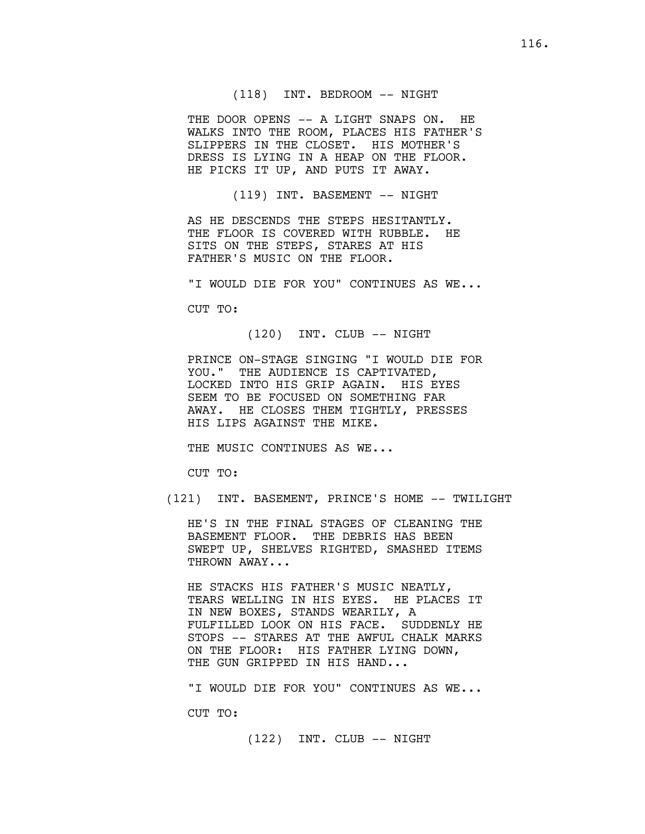(118) INT. BEDROOM -- NIGHT

THE DOOR OPENS -- A LIGHT SNAPS ON. HE WALKS INTO THE ROOM, PLACES HIS FATHER'S SLIPPERS IN THE CLOSET. HIS MOTHER'S DRESS IS LYING IN A HEAP ON THE FLOOR. HE PICKS IT UP, AND PUTS IT AWAY.

(119) INT. BASEMENT -- NIGHT

 AS HE DESCENDS THE STEPS HESITANTLY. THE FLOOR IS COVERED WITH RUBBLE. HE SITS ON THE STEPS, STARES AT HIS FATHER'S MUSIC ON THE FLOOR.

"I WOULD DIE FOR YOU" CONTINUES AS WE...

CUT TO:

(120) INT. CLUB -- NIGHT

 PRINCE ON-STAGE SINGING "I WOULD DIE FOR YOU." THE AUDIENCE IS CAPTIVATED, LOCKED INTO HIS GRIP AGAIN. HIS EYES SEEM TO BE FOCUSED ON SOMETHING FAR AWAY. HE CLOSES THEM TIGHTLY, PRESSES HIS LIPS AGAINST THE MIKE.

THE MUSIC CONTINUES AS WE...

CUT TO:

(121) INT. BASEMENT, PRINCE'S HOME -- TWILIGHT

 HE'S IN THE FINAL STAGES OF CLEANING THE BASEMENT FLOOR. THE DEBRIS HAS BEEN SWEPT UP, SHELVES RIGHTED, SMASHED ITEMS THROWN AWAY...

 HE STACKS HIS FATHER'S MUSIC NEATLY, TEARS WELLING IN HIS EYES. HE PLACES IT IN NEW BOXES, STANDS WEARILY, A FULFILLED LOOK ON HIS FACE. SUDDENLY HE STOPS -- STARES AT THE AWFUL CHALK MARKS ON THE FLOOR: HIS FATHER LYING DOWN, THE GUN GRIPPED IN HIS HAND...

"I WOULD DIE FOR YOU" CONTINUES AS WE...

CUT TO:

(122) INT. CLUB -- NIGHT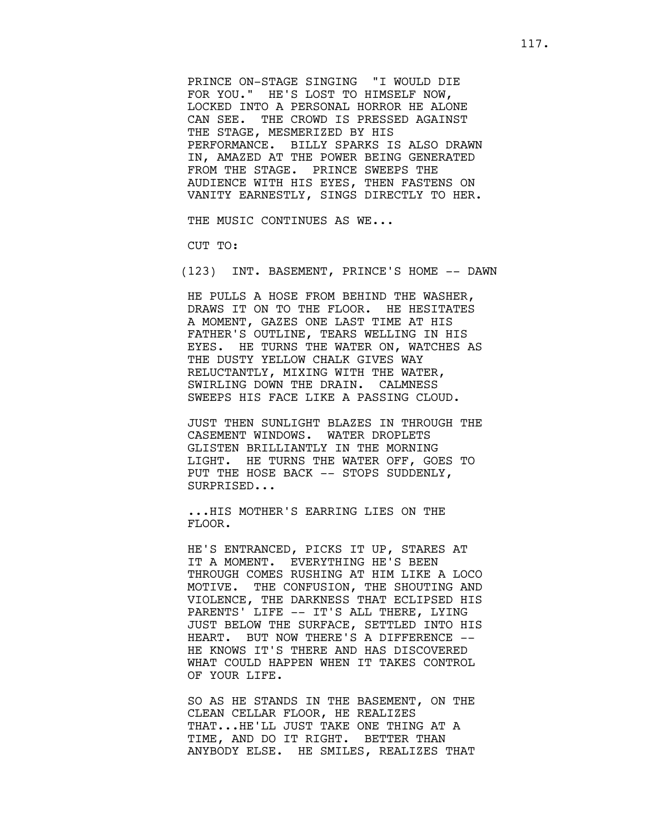PRINCE ON-STAGE SINGING "I WOULD DIE FOR YOU." HE'S LOST TO HIMSELF NOW, LOCKED INTO A PERSONAL HORROR HE ALONE CAN SEE. THE CROWD IS PRESSED AGAINST THE STAGE, MESMERIZED BY HIS PERFORMANCE. BILLY SPARKS IS ALSO DRAWN IN, AMAZED AT THE POWER BEING GENERATED FROM THE STAGE. PRINCE SWEEPS THE AUDIENCE WITH HIS EYES, THEN FASTENS ON VANITY EARNESTLY, SINGS DIRECTLY TO HER.

THE MUSIC CONTINUES AS WE...

CUT TO:

(123) INT. BASEMENT, PRINCE'S HOME -- DAWN

 HE PULLS A HOSE FROM BEHIND THE WASHER, DRAWS IT ON TO THE FLOOR. HE HESITATES A MOMENT, GAZES ONE LAST TIME AT HIS FATHER'S OUTLINE, TEARS WELLING IN HIS EYES. HE TURNS THE WATER ON, WATCHES AS THE DUSTY YELLOW CHALK GIVES WAY RELUCTANTLY, MIXING WITH THE WATER, SWIRLING DOWN THE DRAIN. CALMNESS SWEEPS HIS FACE LIKE A PASSING CLOUD.

 JUST THEN SUNLIGHT BLAZES IN THROUGH THE CASEMENT WINDOWS. WATER DROPLETS GLISTEN BRILLIANTLY IN THE MORNING LIGHT. HE TURNS THE WATER OFF, GOES TO PUT THE HOSE BACK -- STOPS SUDDENLY, SURPRISED...

 ...HIS MOTHER'S EARRING LIES ON THE FLOOR.

 HE'S ENTRANCED, PICKS IT UP, STARES AT IT A MOMENT. EVERYTHING HE'S BEEN THROUGH COMES RUSHING AT HIM LIKE A LOCO MOTIVE. THE CONFUSION, THE SHOUTING AND VIOLENCE, THE DARKNESS THAT ECLIPSED HIS PARENTS' LIFE -- IT'S ALL THERE, LYING JUST BELOW THE SURFACE, SETTLED INTO HIS HEART. BUT NOW THERE'S A DIFFERENCE -- HE KNOWS IT'S THERE AND HAS DISCOVERED WHAT COULD HAPPEN WHEN IT TAKES CONTROL OF YOUR LIFE.

 SO AS HE STANDS IN THE BASEMENT, ON THE CLEAN CELLAR FLOOR, HE REALIZES THAT...HE'LL JUST TAKE ONE THING AT A TIME, AND DO IT RIGHT. BETTER THAN ANYBODY ELSE. HE SMILES, REALIZES THAT